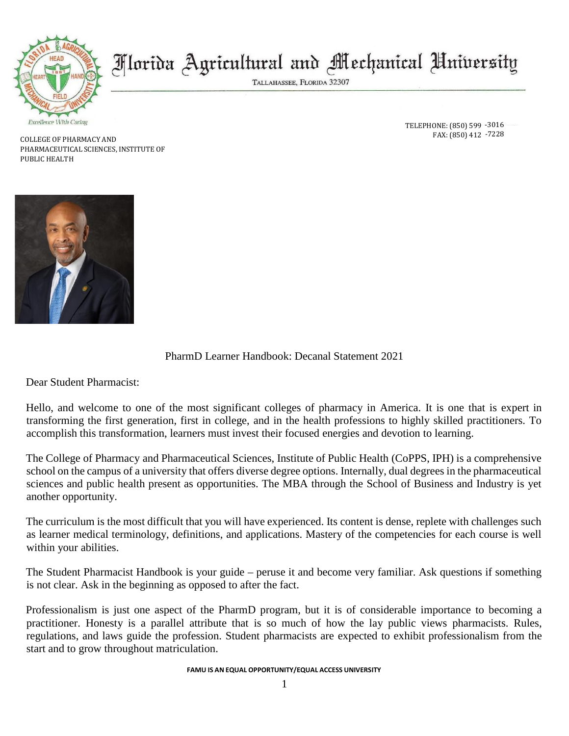

# Morida Agricultural and Mechanical University

TALLAHASSEE, FLORIDA 32307

COLLEGE OF PHARMACY AND PHARMACEUTICAL SCIENCES, INSTITUTE OF PUBLIC HEALTH

PharmD Learner Handbook: Decanal Statement 2021

Dear Student Pharmacist:

Hello, and welcome to one of the most significant colleges of pharmacy in America. It is one that is expert in transforming the first generation, first in college, and in the health professions to highly skilled practitioners. To accomplish this transformation, learners must invest their focused energies and devotion to learning.

The College of Pharmacy and Pharmaceutical Sciences, Institute of Public Health (CoPPS, IPH) is a comprehensive school on the campus of a university that offers diverse degree options. Internally, dual degrees in the pharmaceutical sciences and public health present as opportunities. The MBA through the School of Business and Industry is yet another opportunity.

The curriculum is the most difficult that you will have experienced. Its content is dense, replete with challenges such as learner medical terminology, definitions, and applications. Mastery of the competencies for each course is well within your abilities.

The Student Pharmacist Handbook is your guide – peruse it and become very familiar. Ask questions if something is not clear. Ask in the beginning as opposed to after the fact.

Professionalism is just one aspect of the PharmD program, but it is of considerable importance to becoming a practitioner. Honesty is a parallel attribute that is so much of how the lay public views pharmacists. Rules, regulations, and laws guide the profession. Student pharmacists are expected to exhibit professionalism from the start and to grow throughout matriculation.

**FAMU IS AN EQUAL OPPORTUNITY/EQUAL ACCESS UNIVERSITY**

TELEPHONE: (850) 599 -3016 FAX: (850) 412 -7228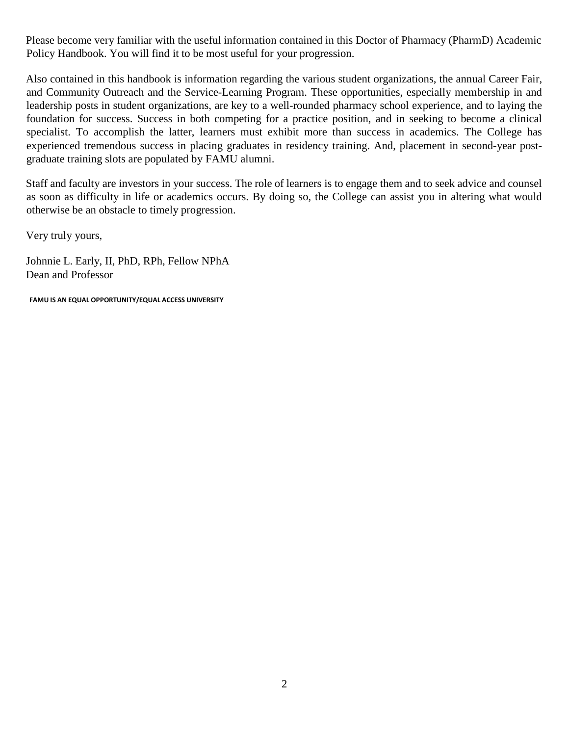Please become very familiar with the useful information contained in this Doctor of Pharmacy (PharmD) Academic Policy Handbook. You will find it to be most useful for your progression.

Also contained in this handbook is information regarding the various student organizations, the annual Career Fair, and Community Outreach and the Service-Learning Program. These opportunities, especially membership in and leadership posts in student organizations, are key to a well-rounded pharmacy school experience, and to laying the foundation for success. Success in both competing for a practice position, and in seeking to become a clinical specialist. To accomplish the latter, learners must exhibit more than success in academics. The College has experienced tremendous success in placing graduates in residency training. And, placement in second-year postgraduate training slots are populated by FAMU alumni.

Staff and faculty are investors in your success. The role of learners is to engage them and to seek advice and counsel as soon as difficulty in life or academics occurs. By doing so, the College can assist you in altering what would otherwise be an obstacle to timely progression.

Very truly yours,

Johnnie L. Early, II, PhD, RPh, Fellow NPhA Dean and Professor

**FAMU IS AN EQUAL OPPORTUNITY/EQUAL ACCESS UNIVERSITY**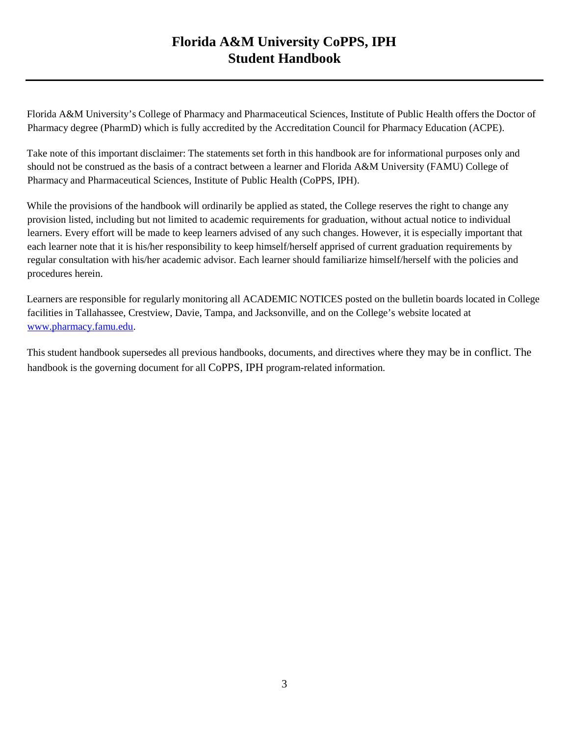## **Florida A&M University CoPPS, IPH Student Handbook**

Florida A&M University's College of Pharmacy and Pharmaceutical Sciences, Institute of Public Health offers the Doctor of Pharmacy degree (PharmD) which is fully accredited by the Accreditation Council for Pharmacy Education (ACPE).

Take note of this important disclaimer: The statements set forth in this handbook are for informational purposes only and should not be construed as the basis of a contract between a learner and Florida A&M University (FAMU) College of Pharmacy and Pharmaceutical Sciences, Institute of Public Health (CoPPS, IPH).

While the provisions of the handbook will ordinarily be applied as stated, the College reserves the right to change any provision listed, including but not limited to academic requirements for graduation, without actual notice to individual learners. Every effort will be made to keep learners advised of any such changes. However, it is especially important that each learner note that it is his/her responsibility to keep himself/herself apprised of current graduation requirements by regular consultation with his/her academic advisor. Each learner should familiarize himself/herself with the policies and procedures herein.

Learners are responsible for regularly monitoring all ACADEMIC NOTICES posted on the bulletin boards located in College facilities in Tallahassee, Crestview, Davie, Tampa, and Jacksonville, and on the College's website located at [www.pharmacy.famu.edu.](http://www.pharmacy.famu.edu/)

This student handbook supersedes all previous handbooks, documents, and directives where they may be in conflict. The handbook is the governing document for all CoPPS, IPH program-related information.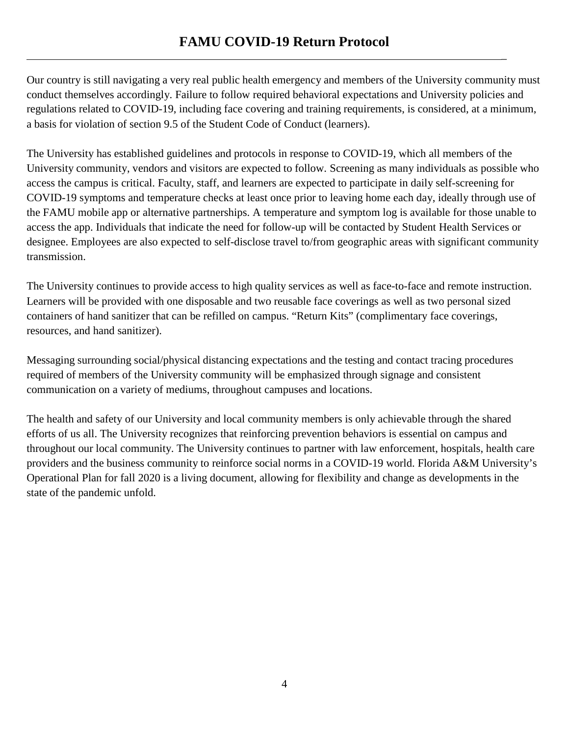\_

Our country is still navigating a very real public health emergency and members of the University community must conduct themselves accordingly. Failure to follow required behavioral expectations and University policies and regulations related to COVID-19, including face covering and training requirements, is considered, at a minimum, a basis for violation of section 9.5 of the Student Code of Conduct (learners).

The University has established guidelines and protocols in response to COVID-19, which all members of the University community, vendors and visitors are expected to follow. Screening as many individuals as possible who access the campus is critical. Faculty, staff, and learners are expected to participate in daily self-screening for COVID-19 symptoms and temperature checks at least once prior to leaving home each day, ideally through use of the FAMU mobile app or alternative partnerships. A temperature and symptom log is available for those unable to access the app. Individuals that indicate the need for follow-up will be contacted by Student Health Services or designee. Employees are also expected to self-disclose travel to/from geographic areas with significant community transmission.

The University continues to provide access to high quality services as well as face-to-face and remote instruction. Learners will be provided with one disposable and two reusable face coverings as well as two personal sized containers of hand sanitizer that can be refilled on campus. "Return Kits" (complimentary face coverings, resources, and hand sanitizer).

Messaging surrounding social/physical distancing expectations and the testing and contact tracing procedures required of members of the University community will be emphasized through signage and consistent communication on a variety of mediums, throughout campuses and locations.

The health and safety of our University and local community members is only achievable through the shared efforts of us all. The University recognizes that reinforcing prevention behaviors is essential on campus and throughout our local community. The University continues to partner with law enforcement, hospitals, health care providers and the business community to reinforce social norms in a COVID-19 world. Florida A&M University's Operational Plan for fall 2020 is a living document, allowing for flexibility and change as developments in the state of the pandemic unfold.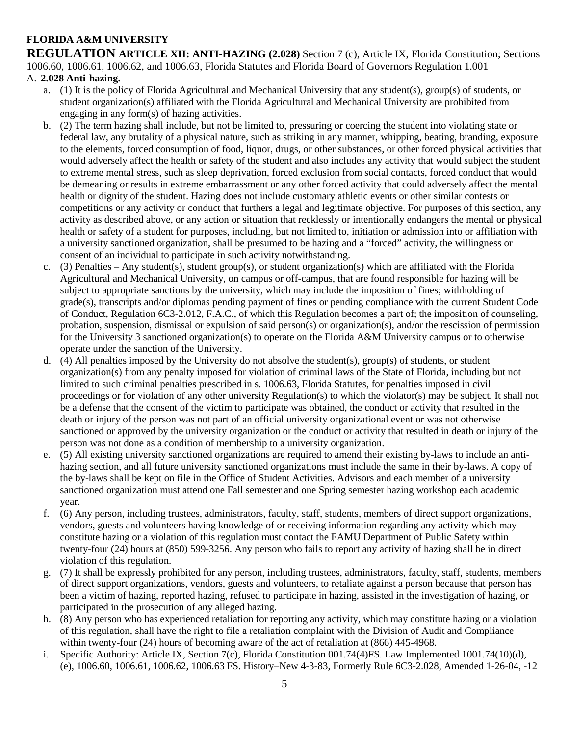#### **FLORIDA A&M UNIVERSITY**

**REGULATION ARTICLE XII: ANTI-HAZING (2.028)** Section 7 (c), Article IX, Florida Constitution; Sections 1006.60, 1006.61, 1006.62, and 1006.63, Florida Statutes and Florida Board of Governors Regulation 1.001

#### A. **2.028 Anti-hazing.**

- a. (1) It is the policy of Florida Agricultural and Mechanical University that any student(s), group(s) of students, or student organization(s) affiliated with the Florida Agricultural and Mechanical University are prohibited from engaging in any form(s) of hazing activities.
- b. (2) The term hazing shall include, but not be limited to, pressuring or coercing the student into violating state or federal law, any brutality of a physical nature, such as striking in any manner, whipping, beating, branding, exposure to the elements, forced consumption of food, liquor, drugs, or other substances, or other forced physical activities that would adversely affect the health or safety of the student and also includes any activity that would subject the student to extreme mental stress, such as sleep deprivation, forced exclusion from social contacts, forced conduct that would be demeaning or results in extreme embarrassment or any other forced activity that could adversely affect the mental health or dignity of the student. Hazing does not include customary athletic events or other similar contests or competitions or any activity or conduct that furthers a legal and legitimate objective. For purposes of this section, any activity as described above, or any action or situation that recklessly or intentionally endangers the mental or physical health or safety of a student for purposes, including, but not limited to, initiation or admission into or affiliation with a university sanctioned organization, shall be presumed to be hazing and a "forced" activity, the willingness or consent of an individual to participate in such activity notwithstanding.
- c. (3) Penalties Any student(s), student group(s), or student organization(s) which are affiliated with the Florida Agricultural and Mechanical University, on campus or off-campus, that are found responsible for hazing will be subject to appropriate sanctions by the university, which may include the imposition of fines; withholding of grade(s), transcripts and/or diplomas pending payment of fines or pending compliance with the current Student Code of Conduct, Regulation 6C3-2.012, F.A.C., of which this Regulation becomes a part of; the imposition of counseling, probation, suspension, dismissal or expulsion of said person(s) or organization(s), and/or the rescission of permission for the University 3 sanctioned organization(s) to operate on the Florida A&M University campus or to otherwise operate under the sanction of the University.
- d. (4) All penalties imposed by the University do not absolve the student(s), group(s) of students, or student organization(s) from any penalty imposed for violation of criminal laws of the State of Florida, including but not limited to such criminal penalties prescribed in s. 1006.63, Florida Statutes, for penalties imposed in civil proceedings or for violation of any other university Regulation(s) to which the violator(s) may be subject. It shall not be a defense that the consent of the victim to participate was obtained, the conduct or activity that resulted in the death or injury of the person was not part of an official university organizational event or was not otherwise sanctioned or approved by the university organization or the conduct or activity that resulted in death or injury of the person was not done as a condition of membership to a university organization.
- e. (5) All existing university sanctioned organizations are required to amend their existing by-laws to include an antihazing section, and all future university sanctioned organizations must include the same in their by-laws. A copy of the by-laws shall be kept on file in the Office of Student Activities. Advisors and each member of a university sanctioned organization must attend one Fall semester and one Spring semester hazing workshop each academic year.
- f. (6) Any person, including trustees, administrators, faculty, staff, students, members of direct support organizations, vendors, guests and volunteers having knowledge of or receiving information regarding any activity which may constitute hazing or a violation of this regulation must contact the FAMU Department of Public Safety within twenty-four (24) hours at (850) 599-3256. Any person who fails to report any activity of hazing shall be in direct violation of this regulation.
- g. (7) It shall be expressly prohibited for any person, including trustees, administrators, faculty, staff, students, members of direct support organizations, vendors, guests and volunteers, to retaliate against a person because that person has been a victim of hazing, reported hazing, refused to participate in hazing, assisted in the investigation of hazing, or participated in the prosecution of any alleged hazing.
- h. (8) Any person who has experienced retaliation for reporting any activity, which may constitute hazing or a violation of this regulation, shall have the right to file a retaliation complaint with the Division of Audit and Compliance within twenty-four (24) hours of becoming aware of the act of retaliation at (866) 445-4968.
- i. Specific Authority: Article IX, Section 7(c), Florida Constitution 001.74(4)FS. Law Implemented 1001.74(10)(d), (e), 1006.60, 1006.61, 1006.62, 1006.63 FS. History–New 4-3-83, Formerly Rule 6C3-2.028, Amended 1-26-04, -12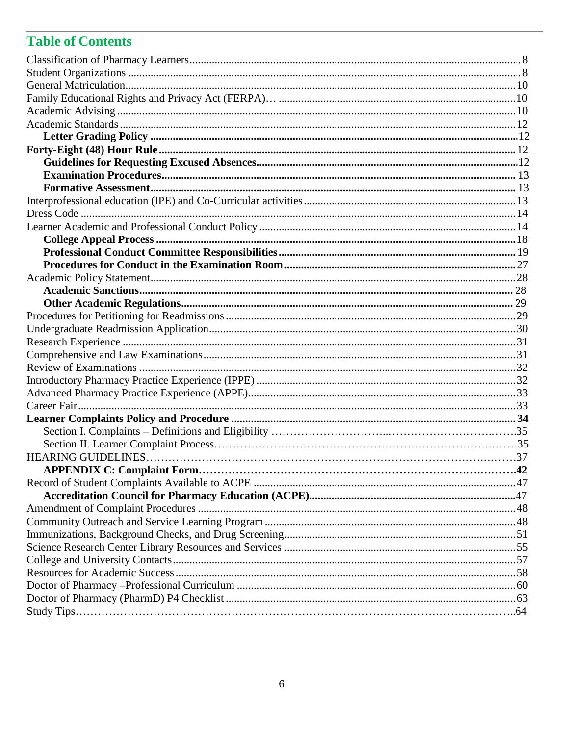## **Table of Contents**

| .42 |
|-----|
|     |
|     |
|     |
|     |
|     |
|     |
|     |
|     |
|     |
|     |
|     |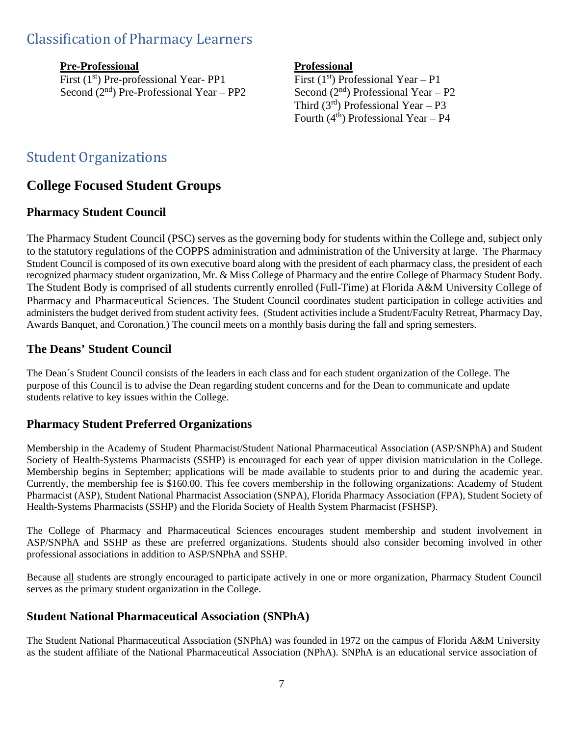## <span id="page-6-0"></span>Classification of Pharmacy Learners

**Pre-Professional**<br>First (1<sup>st</sup>) Pre-professional Year- PP1 First (1<sup>st</sup>) Professional Year – P1 First (1<sup>st</sup>) Pre-professional Year- PP1<br>Second (2<sup>nd</sup>) Pre-Professional Year – PP2

Second  $(2<sup>nd</sup>)$  Professional Year – P2 Third  $(3^{rd})$  Professional Year – P3 Fourth  $(4<sup>th</sup>)$  Professional Year – P4

### <span id="page-6-1"></span>Student Organizations

### **College Focused Student Groups**

### **Pharmacy Student Council**

The Pharmacy Student Council (PSC) serves as the governing body for students within the College and, subject only to the statutory regulations of the COPPS administration and administration of the University at large. The Pharmacy Student Council is composed of its own executive board along with the president of each pharmacy class, the president of each recognized pharmacy student organization, Mr. & Miss College of Pharmacy and the entire College of Pharmacy Student Body. The Student Body is comprised of all students currently enrolled (Full-Time) at Florida A&M University College of Pharmacy and Pharmaceutical Sciences. The Student Council coordinates student participation in college activities and administers the budget derived from student activity fees. (Student activities include a Student/Faculty Retreat, Pharmacy Day, Awards Banquet, and Coronation.) The council meets on a monthly basis during the fall and spring semesters.

#### **The Deans' Student Council**

The Dean´s Student Council consists of the leaders in each class and for each student organization of the College. The purpose of this Council is to advise the Dean regarding student concerns and for the Dean to communicate and update students relative to key issues within the College.

#### **Pharmacy Student Preferred Organizations**

Membership in the Academy of Student Pharmacist/Student National Pharmaceutical Association (ASP/SNPhA) and Student Society of Health-Systems Pharmacists (SSHP) is encouraged for each year of upper division matriculation in the College. Membership begins in September; applications will be made available to students prior to and during the academic year. Currently, the membership fee is \$160.00. This fee covers membership in the following organizations: Academy of Student Pharmacist (ASP), Student National Pharmacist Association (SNPA), Florida Pharmacy Association (FPA), Student Society of Health-Systems Pharmacists (SSHP) and the Florida Society of Health System Pharmacist (FSHSP).

The College of Pharmacy and Pharmaceutical Sciences encourages student membership and student involvement in ASP/SNPhA and SSHP as these are preferred organizations. Students should also consider becoming involved in other professional associations in addition to ASP/SNPhA and SSHP.

Because all students are strongly encouraged to participate actively in one or more organization, Pharmacy Student Council serves as the primary student organization in the College.

#### **Student National Pharmaceutical Association (SNPhA)**

The Student National Pharmaceutical Association (SNPhA) was founded in 1972 on the campus of Florida A&M University as the student affiliate of the National Pharmaceutical Association (NPhA). SNPhA is an educational service association of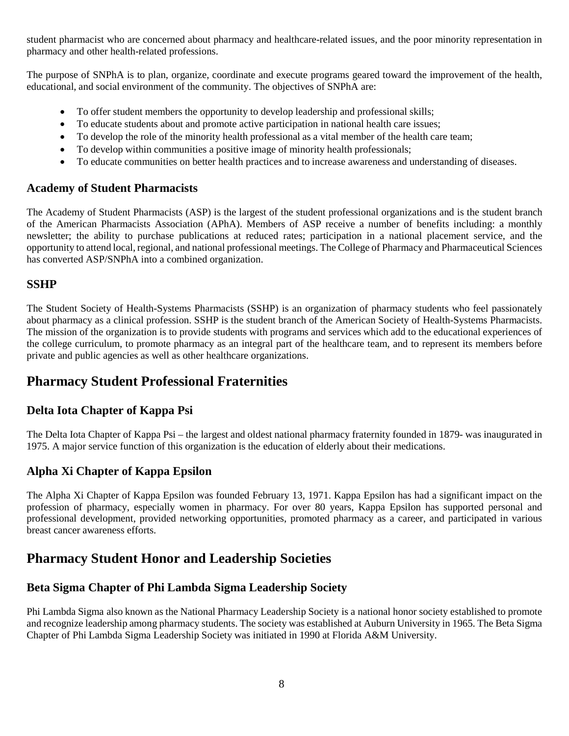student pharmacist who are concerned about pharmacy and healthcare-related issues, and the poor minority representation in pharmacy and other health-related professions.

The purpose of SNPhA is to plan, organize, coordinate and execute programs geared toward the improvement of the health, educational, and social environment of the community. The objectives of SNPhA are:

- To offer student members the opportunity to develop leadership and professional skills;
- To educate students about and promote active participation in national health care issues;
- To develop the role of the minority health professional as a vital member of the health care team;
- To develop within communities a positive image of minority health professionals;
- To educate communities on better health practices and to increase awareness and understanding of diseases.

#### **Academy of Student Pharmacists**

The Academy of Student Pharmacists (ASP) is the largest of the student professional organizations and is the student branch of the American Pharmacists Association (APhA). Members of ASP receive a number of benefits including: a monthly newsletter; the ability to purchase publications at reduced rates; participation in a national placement service, and the opportunity to attend local, regional, and national professional meetings. The College of Pharmacy and Pharmaceutical Sciences has converted ASP/SNPhA into a combined organization.

#### **SSHP**

The Student Society of Health-Systems Pharmacists (SSHP) is an organization of pharmacy students who feel passionately about pharmacy as a clinical profession. SSHP is the student branch of the American Society of Health-Systems Pharmacists. The mission of the organization is to provide students with programs and services which add to the educational experiences of the college curriculum, to promote pharmacy as an integral part of the healthcare team, and to represent its members before private and public agencies as well as other healthcare organizations.

### **Pharmacy Student Professional Fraternities**

#### **Delta Iota Chapter of Kappa Psi**

The Delta Iota Chapter of Kappa Psi – the largest and oldest national pharmacy fraternity founded in 1879- was inaugurated in 1975. A major service function of this organization is the education of elderly about their medications.

#### **Alpha Xi Chapter of Kappa Epsilon**

The Alpha Xi Chapter of Kappa Epsilon was founded February 13, 1971. Kappa Epsilon has had a significant impact on the profession of pharmacy, especially women in pharmacy. For over 80 years, Kappa Epsilon has supported personal and professional development, provided networking opportunities, promoted pharmacy as a career, and participated in various breast cancer awareness efforts.

### **Pharmacy Student Honor and Leadership Societies**

### **Beta Sigma Chapter of Phi Lambda Sigma Leadership Society**

Phi Lambda Sigma also known as the National Pharmacy Leadership Society is a national honor society established to promote and recognize leadership among pharmacy students. The society was established at Auburn University in 1965. The Beta Sigma Chapter of Phi Lambda Sigma Leadership Society was initiated in 1990 at Florida A&M University.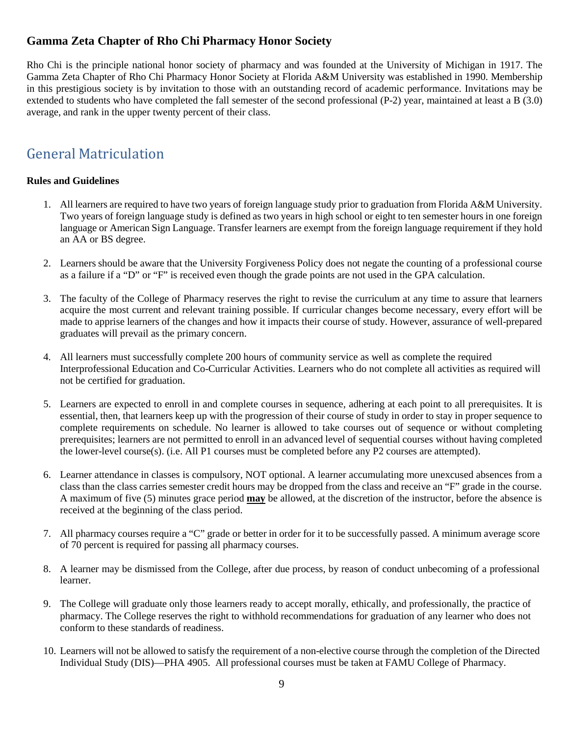### **Gamma Zeta Chapter of Rho Chi Pharmacy Honor Society**

Rho Chi is the principle national honor society of pharmacy and was founded at the University of Michigan in 1917. The Gamma Zeta Chapter of Rho Chi Pharmacy Honor Society at Florida A&M University was established in 1990. Membership in this prestigious society is by invitation to those with an outstanding record of academic performance. Invitations may be extended to students who have completed the fall semester of the second professional (P-2) year, maintained at least a B (3.0) average, and rank in the upper twenty percent of their class.

## <span id="page-8-0"></span>General Matriculation

#### **Rules and Guidelines**

- 1. All learners are required to have two years of foreign language study prior to graduation from Florida A&M University. Two years of foreign language study is defined as two years in high school or eight to ten semester hours in one foreign language or American Sign Language. Transfer learners are exempt from the foreign language requirement if they hold an AA or BS degree.
- 2. Learners should be aware that the University Forgiveness Policy does not negate the counting of a professional course as a failure if a "D" or "F" is received even though the grade points are not used in the GPA calculation.
- 3. The faculty of the College of Pharmacy reserves the right to revise the curriculum at any time to assure that learners acquire the most current and relevant training possible. If curricular changes become necessary, every effort will be made to apprise learners of the changes and how it impacts their course of study. However, assurance of well-prepared graduates will prevail as the primary concern.
- 4. All learners must successfully complete 200 hours of community service as well as complete the required Interprofessional Education and Co-Curricular Activities. Learners who do not complete all activities as required will not be certified for graduation.
- 5. Learners are expected to enroll in and complete courses in sequence, adhering at each point to all prerequisites. It is essential, then, that learners keep up with the progression of their course of study in order to stay in proper sequence to complete requirements on schedule. No learner is allowed to take courses out of sequence or without completing prerequisites; learners are not permitted to enroll in an advanced level of sequential courses without having completed the lower-level course(s). (i.e. All P1 courses must be completed before any P2 courses are attempted).
- 6. Learner attendance in classes is compulsory, NOT optional. A learner accumulating more unexcused absences from a class than the class carries semester credit hours may be dropped from the class and receive an "F" grade in the course. A maximum of five (5) minutes grace period **may** be allowed, at the discretion of the instructor, before the absence is received at the beginning of the class period.
- 7. All pharmacy courses require a "C" grade or better in order for it to be successfully passed. A minimum average score of 70 percent is required for passing all pharmacy courses.
- 8. A learner may be dismissed from the College, after due process, by reason of conduct unbecoming of a professional learner.
- 9. The College will graduate only those learners ready to accept morally, ethically, and professionally, the practice of pharmacy. The College reserves the right to withhold recommendations for graduation of any learner who does not conform to these standards of readiness.
- 10. Learners will not be allowed to satisfy the requirement of a non-elective course through the completion of the Directed Individual Study (DIS)—PHA 4905. All professional courses must be taken at FAMU College of Pharmacy.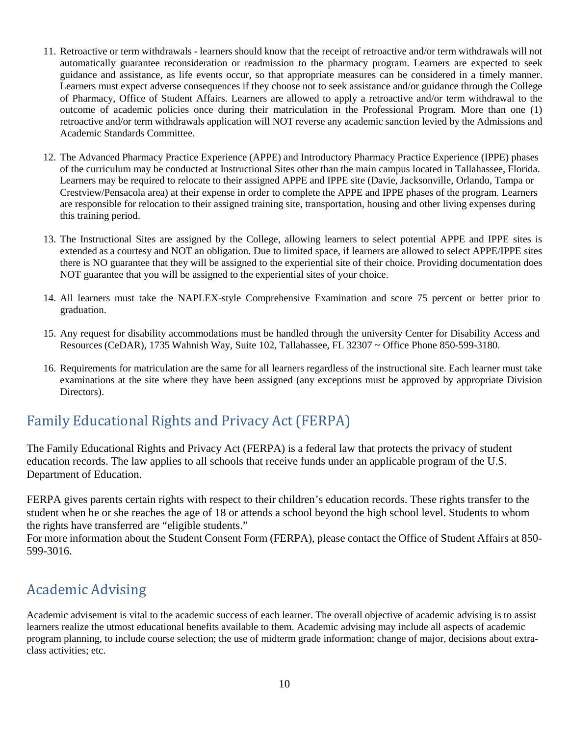- 11. Retroactive or term withdrawals learners should know that the receipt of retroactive and/or term withdrawals will not automatically guarantee reconsideration or readmission to the pharmacy program. Learners are expected to seek guidance and assistance, as life events occur, so that appropriate measures can be considered in a timely manner. Learners must expect adverse consequences if they choose not to seek assistance and/or guidance through the College of Pharmacy, Office of Student Affairs. Learners are allowed to apply a retroactive and/or term withdrawal to the outcome of academic policies once during their matriculation in the Professional Program. More than one (1) retroactive and/or term withdrawals application will NOT reverse any academic sanction levied by the Admissions and Academic Standards Committee.
- 12. The Advanced Pharmacy Practice Experience (APPE) and Introductory Pharmacy Practice Experience (IPPE) phases of the curriculum may be conducted at Instructional Sites other than the main campus located in Tallahassee, Florida. Learners may be required to relocate to their assigned APPE and IPPE site (Davie, Jacksonville, Orlando, Tampa or Crestview/Pensacola area) at their expense in order to complete the APPE and IPPE phases of the program. Learners are responsible for relocation to their assigned training site, transportation, housing and other living expenses during this training period.
- 13. The Instructional Sites are assigned by the College, allowing learners to select potential APPE and IPPE sites is extended as a courtesy and NOT an obligation. Due to limited space, if learners are allowed to select APPE/IPPE sites there is NO guarantee that they will be assigned to the experiential site of their choice. Providing documentation does NOT guarantee that you will be assigned to the experiential sites of your choice.
- 14. All learners must take the NAPLEX-style Comprehensive Examination and score 75 percent or better prior to graduation.
- 15. Any request for disability accommodations must be handled through the university Center for Disability Access and Resources (CeDAR), 1735 Wahnish Way, Suite 102, Tallahassee, FL 32307 ~ Office Phone 850-599-3180.
- 16. Requirements for matriculation are the same for all learners regardless of the instructional site. Each learner must take examinations at the site where they have been assigned (any exceptions must be approved by appropriate Division Directors).

## Family Educational Rights and Privacy Act (FERPA)

The Family Educational Rights and Privacy Act (FERPA) is a federal law that protects the privacy of student education records. The law applies to all schools that receive funds under an applicable program of the U.S. Department of Education.

FERPA gives parents certain rights with respect to their children's education records. These rights transfer to the student when he or she reaches the age of 18 or attends a school beyond the high school level. Students to whom the rights have transferred are "eligible students."

For more information about the Student Consent Form (FERPA), please contact the Office of Student Affairs at 850- 599-3016.

## <span id="page-9-0"></span>Academic Advising

Academic advisement is vital to the academic success of each learner. The overall objective of academic advising is to assist learners realize the utmost educational benefits available to them. Academic advising may include all aspects of academic program planning, to include course selection; the use of midterm grade information; change of major, decisions about extraclass activities; etc.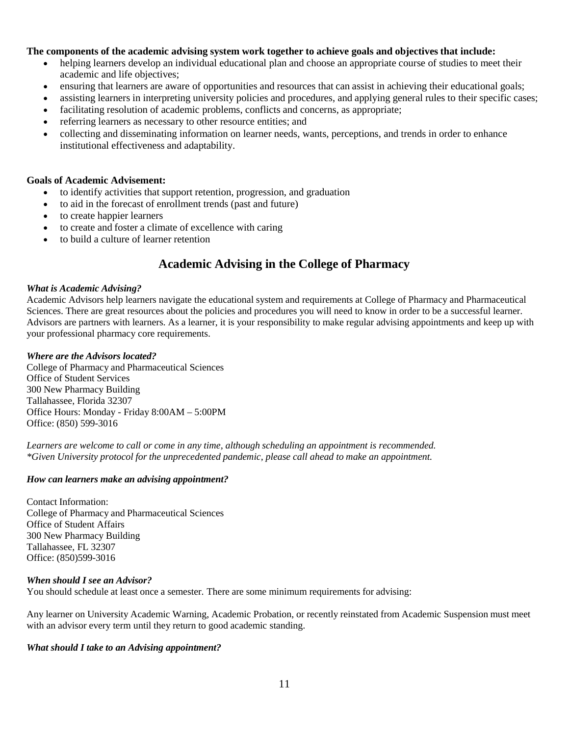#### **The components of the academic advising system work together to achieve goals and objectives that include:**

- helping learners develop an individual educational plan and choose an appropriate course of studies to meet their academic and life objectives;
- ensuring that learners are aware of opportunities and resources that can assist in achieving their educational goals;
- assisting learners in interpreting university policies and procedures, and applying general rules to their specific cases;
- facilitating resolution of academic problems, conflicts and concerns, as appropriate;
- referring learners as necessary to other resource entities; and
- collecting and disseminating information on learner needs, wants, perceptions, and trends in order to enhance institutional effectiveness and adaptability.

#### **Goals of Academic Advisement:**

- to identify activities that support retention, progression, and graduation
- to aid in the forecast of enrollment trends (past and future)
- to create happier learners
- to create and foster a climate of excellence with caring
- to build a culture of learner retention

#### **Academic Advising in the College of Pharmacy**

#### *What is Academic Advising?*

Academic Advisors help learners navigate the educational system and requirements at College of Pharmacy and Pharmaceutical Sciences. There are great resources about the policies and procedures you will need to know in order to be a successful learner. Advisors are partners with learners. As a learner, it is your responsibility to make regular advising appointments and keep up with your professional pharmacy core requirements.

#### *Where are the Advisors located?*

College of Pharmacy and Pharmaceutical Sciences Office of Student Services 300 New Pharmacy Building Tallahassee, Florida 32307 Office Hours: Monday - Friday 8:00AM – 5:00PM Office: (850) 599-3016

*Learners are welcome to call or come in any time, although scheduling an appointment is recommended. \*Given University protocol for the unprecedented pandemic, please call ahead to make an appointment.*

#### *How can learners make an advising appointment?*

Contact Information: College of Pharmacy and Pharmaceutical Sciences Office of Student Affairs 300 New Pharmacy Building Tallahassee, FL 32307 Office: (850)599-3016

#### *When should I see an Advisor?*

You should schedule at least once a semester. There are some minimum requirements for advising:

Any learner on University Academic Warning, Academic Probation, or recently reinstated from Academic Suspension must meet with an advisor every term until they return to good academic standing.

#### *What should I take to an Advising appointment?*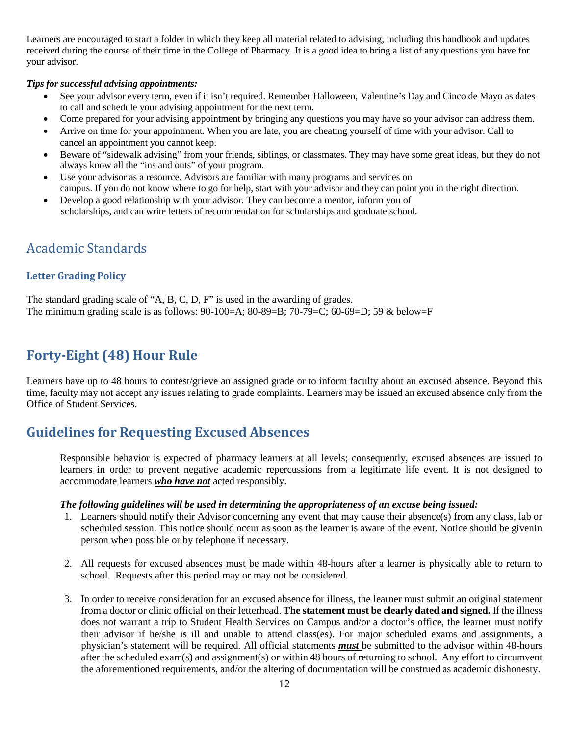Learners are encouraged to start a folder in which they keep all material related to advising, including this handbook and updates received during the course of their time in the College of Pharmacy. It is a good idea to bring a list of any questions you have for your advisor.

#### *Tips for successful advising appointments:*

- See your advisor every term, even if it isn't required. Remember Halloween, Valentine's Day and Cinco de Mayo as dates to call and schedule your advising appointment for the next term.
- Come prepared for your advising appointment by bringing any questions you may have so your advisor can address them.
- Arrive on time for your appointment. When you are late, you are cheating yourself of time with your advisor. Call to cancel an appointment you cannot keep.
- Beware of "sidewalk advising" from your friends, siblings, or classmates. They may have some great ideas, but they do not always know all the "ins and outs" of your program.
- Use your advisor as a resource. Advisors are familiar with many programs and services on campus. If you do not know where to go for help, start with your advisor and they can point you in the right direction.
- Develop a good relationship with your advisor. They can become a mentor, inform you of scholarships, and can write letters of recommendation for scholarships and graduate school.

### <span id="page-11-1"></span><span id="page-11-0"></span>Academic Standards

#### **Letter Grading Policy**

The standard grading scale of "A, B, C, D, F" is used in the awarding of grades. The minimum grading scale is as follows: 90-100=A; 80-89=B; 70-79=C; 60-69=D; 59 & below=F

### <span id="page-11-2"></span>**Forty-Eight (48) Hour Rule**

Learners have up to 48 hours to contest/grieve an assigned grade or to inform faculty about an excused absence. Beyond this time, faculty may not accept any issues relating to grade complaints. Learners may be issued an excused absence only from the Office of Student Services.

### <span id="page-11-3"></span>**Guidelines for Requesting Excused Absences**

Responsible behavior is expected of pharmacy learners at all levels; consequently, excused absences are issued to learners in order to prevent negative academic repercussions from a legitimate life event. It is not designed to accommodate learners *who have not* acted responsibly.

#### *The following guidelines will be used in determining the appropriateness of an excuse being issued:*

- 1. Learners should notify their Advisor concerning any event that may cause their absence(s) from any class, lab or scheduled session. This notice should occur as soon as the learner is aware of the event. Notice should be givenin person when possible or by telephone if necessary.
- 2. All requests for excused absences must be made within 48-hours after a learner is physically able to return to school. Requests after this period may or may not be considered.
- 3. In order to receive consideration for an excused absence for illness, the learner must submit an original statement from a doctor or clinic official on their letterhead. **The statement must be clearly dated and signed.** If the illness does not warrant a trip to Student Health Services on Campus and/or a doctor's office, the learner must notify their advisor if he/she is ill and unable to attend class(es). For major scheduled exams and assignments, a physician's statement will be required. All official statements *must* be submitted to the advisor within 48-hours after the scheduled exam(s) and assignment(s) or within 48 hours of returning to school. Any effort to circumvent the aforementioned requirements, and/or the altering of documentation will be construed as academic dishonesty.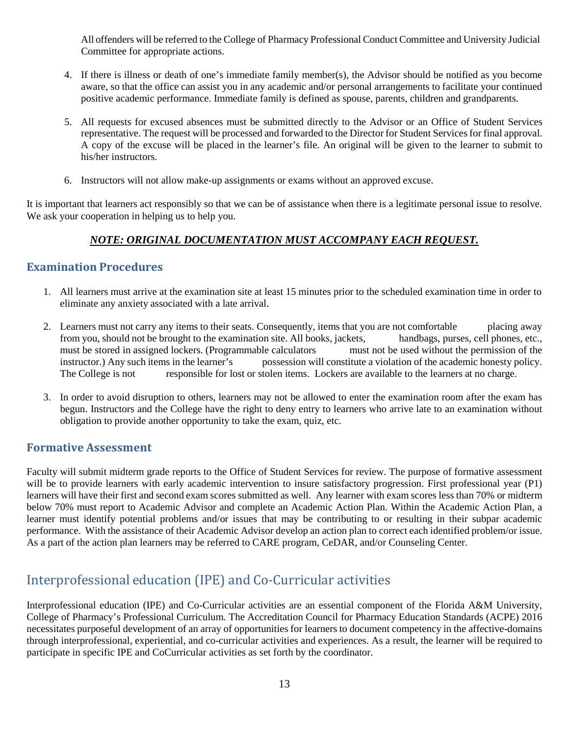All offenders will be referred to the College of Pharmacy Professional Conduct Committee and University Judicial Committee for appropriate actions.

- 4. If there is illness or death of one's immediate family member(s), the Advisor should be notified as you become aware, so that the office can assist you in any academic and/or personal arrangements to facilitate your continued positive academic performance. Immediate family is defined as spouse, parents, children and grandparents.
- 5. All requests for excused absences must be submitted directly to the Advisor or an Office of Student Services representative. The request will be processed and forwarded to the Director for Student Services for final approval. A copy of the excuse will be placed in the learner's file. An original will be given to the learner to submit to his/her instructors.
- 6. Instructors will not allow make-up assignments or exams without an approved excuse.

It is important that learners act responsibly so that we can be of assistance when there is a legitimate personal issue to resolve. We ask your cooperation in helping us to help you.

#### *NOTE: ORIGINAL DOCUMENTATION MUST ACCOMPANY EACH REQUEST.*

#### <span id="page-12-0"></span>**Examination Procedures**

- 1. All learners must arrive at the examination site at least 15 minutes prior to the scheduled examination time in order to eliminate any anxiety associated with a late arrival.
- 2. Learners must not carry any items to their seats. Consequently, items that you are not comfortable placing away from you, should not be brought to the examination site. All books, jackets, handbags, purses, cell phones, etc., must be stored in assigned lockers. (Programmable calculators must not be used without the permission of the instructor.) Any such items in the learner's possession will constitute a violation of the academic honesty policy. The College is not responsible for lost or stolen items. Lockers are available to the learners at no charge.
- 3. In order to avoid disruption to others, learners may not be allowed to enter the examination room after the exam has begun. Instructors and the College have the right to deny entry to learners who arrive late to an examination without obligation to provide another opportunity to take the exam, quiz, etc.

#### <span id="page-12-1"></span>**Formative Assessment**

Faculty will submit midterm grade reports to the Office of Student Services for review. The purpose of formative assessment will be to provide learners with early academic intervention to insure satisfactory progression. First professional year (P1) learners will have their first and second exam scores submitted as well. Any learner with exam scores less than 70% or midterm below 70% must report to Academic Advisor and complete an Academic Action Plan. Within the Academic Action Plan, a learner must identify potential problems and/or issues that may be contributing to or resulting in their subpar academic performance. With the assistance of their Academic Advisor develop an action plan to correct each identified problem/or issue. As a part of the action plan learners may be referred to CARE program, CeDAR, and/or Counseling Center.

### <span id="page-12-2"></span>Interprofessional education (IPE) and Co-Curricular activities

Interprofessional education (IPE) and Co-Curricular activities are an essential component of the Florida A&M University, College of Pharmacy's Professional Curriculum. The Accreditation Council for Pharmacy Education Standards (ACPE) 2016 necessitates purposeful development of an array of opportunities for learners to document competency in the affective-domains through interprofessional, experiential, and co-curricular activities and experiences. As a result, the learner will be required to participate in specific IPE and CoCurricular activities as set forth by the coordinator.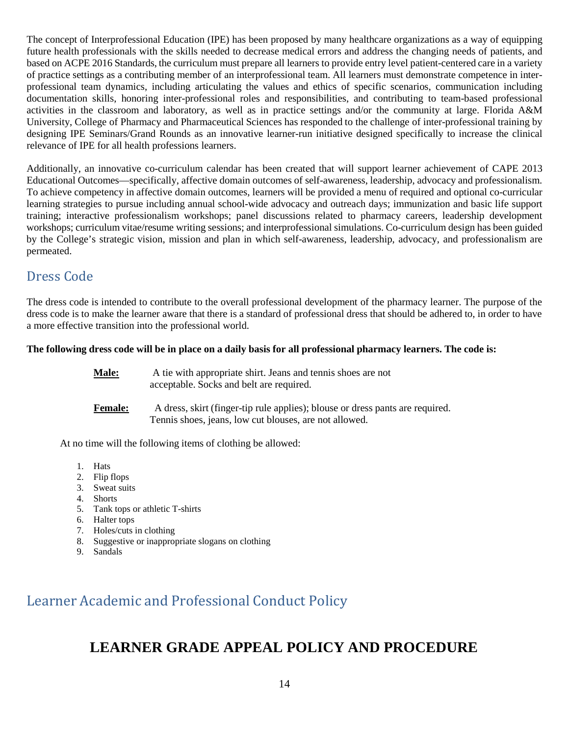The concept of Interprofessional Education (IPE) has been proposed by many healthcare organizations as a way of equipping future health professionals with the skills needed to decrease medical errors and address the changing needs of patients, and based on ACPE 2016 Standards, the curriculum must prepare all learners to provide entry level patient-centered care in a variety of practice settings as a contributing member of an interprofessional team. All learners must demonstrate competence in interprofessional team dynamics, including articulating the values and ethics of specific scenarios, communication including documentation skills, honoring inter-professional roles and responsibilities, and contributing to team-based professional activities in the classroom and laboratory, as well as in practice settings and/or the community at large. Florida A&M University, College of Pharmacy and Pharmaceutical Sciences has responded to the challenge of inter-professional training by designing IPE Seminars/Grand Rounds as an innovative learner-run initiative designed specifically to increase the clinical relevance of IPE for all health professions learners.

Additionally, an innovative co-curriculum calendar has been created that will support learner achievement of CAPE 2013 Educational Outcomes—specifically, affective domain outcomes of self-awareness, leadership, advocacy and professionalism. To achieve competency in affective domain outcomes, learners will be provided a menu of required and optional co-curricular learning strategies to pursue including annual school-wide advocacy and outreach days; immunization and basic life support training; interactive professionalism workshops; panel discussions related to pharmacy careers, leadership development workshops; curriculum vitae/resume writing sessions; and interprofessional simulations. Co-curriculum design has been guided by the College's strategic vision, mission and plan in which self-awareness, leadership, advocacy, and professionalism are permeated.

### <span id="page-13-0"></span>Dress Code

The dress code is intended to contribute to the overall professional development of the pharmacy learner. The purpose of the dress code is to make the learner aware that there is a standard of professional dress that should be adhered to, in order to have a more effective transition into the professional world.

#### **The following dress code will be in place on a daily basis for all professional pharmacy learners. The code is:**

- **Male:** A tie with appropriate shirt. Jeans and tennis shoes are not acceptable. Socks and belt are required.
- **Female:** A dress, skirt (finger-tip rule applies); blouse or dress pants are required. Tennis shoes, jeans, low cut blouses, are not allowed.

At no time will the following items of clothing be allowed:

- 1. Hats
- 2. Flip flops
- 3. Sweat suits
- 4. Shorts
- 5. Tank tops or athletic T-shirts
- 6. Halter tops
- 7. Holes/cuts in clothing
- 8. Suggestive or inappropriate slogans on clothing
- 9. Sandals

## <span id="page-13-1"></span>Learner Academic and Professional Conduct Policy

## **LEARNER GRADE APPEAL POLICY AND PROCEDURE**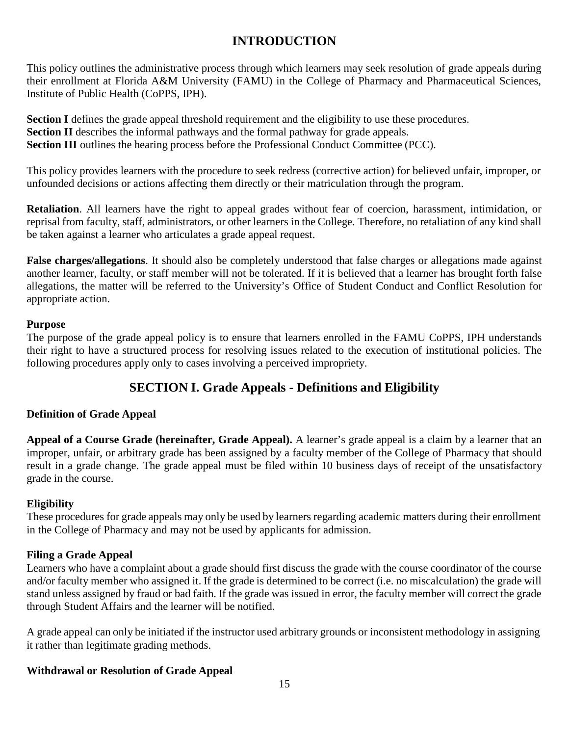### **INTRODUCTION**

This policy outlines the administrative process through which learners may seek resolution of grade appeals during their enrollment at Florida A&M University (FAMU) in the College of Pharmacy and Pharmaceutical Sciences, Institute of Public Health (CoPPS, IPH).

**Section I** defines the grade appeal threshold requirement and the eligibility to use these procedures. **Section <b>II** describes the informal pathways and the formal pathway for grade appeals. **Section <b>III** outlines the hearing process before the Professional Conduct Committee (PCC).

This policy provides learners with the procedure to seek redress (corrective action) for believed unfair, improper, or unfounded decisions or actions affecting them directly or their matriculation through the program.

**Retaliation**. All learners have the right to appeal grades without fear of coercion, harassment, intimidation, or reprisal from faculty, staff, administrators, or other learners in the College. Therefore, no retaliation of any kind shall be taken against a learner who articulates a grade appeal request.

**False charges/allegations**. It should also be completely understood that false charges or allegations made against another learner, faculty, or staff member will not be tolerated. If it is believed that a learner has brought forth false allegations, the matter will be referred to the University's Office of Student Conduct and Conflict Resolution for appropriate action.

#### **Purpose**

The purpose of the grade appeal policy is to ensure that learners enrolled in the FAMU CoPPS, IPH understands their right to have a structured process for resolving issues related to the execution of institutional policies. The following procedures apply only to cases involving a perceived impropriety.

### **SECTION I. Grade Appeals - Definitions and Eligibility**

#### **Definition of Grade Appeal**

**Appeal of a Course Grade (hereinafter, Grade Appeal).** A learner's grade appeal is a claim by a learner that an improper, unfair, or arbitrary grade has been assigned by a faculty member of the College of Pharmacy that should result in a grade change. The grade appeal must be filed within 10 business days of receipt of the unsatisfactory grade in the course.

#### **Eligibility**

These procedures for grade appeals may only be used by learners regarding academic matters during their enrollment in the College of Pharmacy and may not be used by applicants for admission.

#### **Filing a Grade Appeal**

Learners who have a complaint about a grade should first discuss the grade with the course coordinator of the course and/or faculty member who assigned it. If the grade is determined to be correct (i.e. no miscalculation) the grade will stand unless assigned by fraud or bad faith. If the grade was issued in error, the faculty member will correct the grade through Student Affairs and the learner will be notified.

A grade appeal can only be initiated if the instructor used arbitrary grounds or inconsistent methodology in assigning it rather than legitimate grading methods.

#### **Withdrawal or Resolution of Grade Appeal**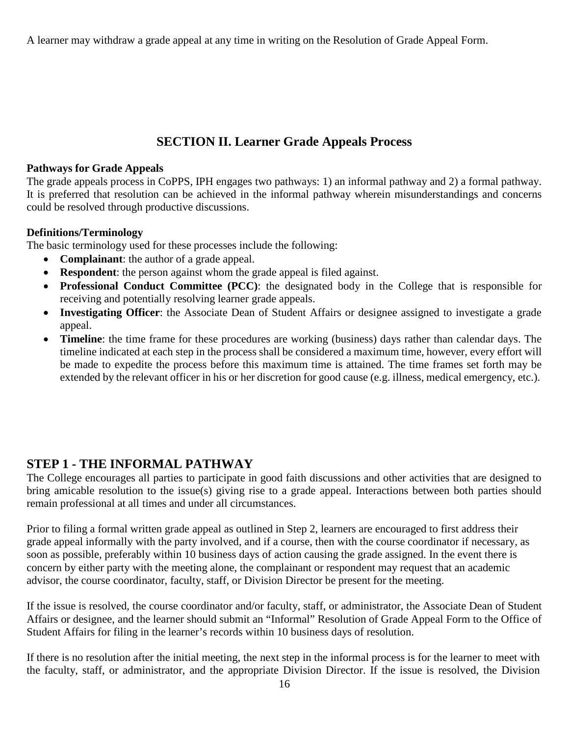A learner may withdraw a grade appeal at any time in writing on the Resolution of Grade Appeal Form.

### **SECTION II. Learner Grade Appeals Process**

#### **Pathways for Grade Appeals**

The grade appeals process in CoPPS, IPH engages two pathways: 1) an informal pathway and 2) a formal pathway. It is preferred that resolution can be achieved in the informal pathway wherein misunderstandings and concerns could be resolved through productive discussions.

#### **Definitions/Terminology**

The basic terminology used for these processes include the following:

- **Complainant**: the author of a grade appeal.
- **Respondent**: the person against whom the grade appeal is filed against.
- **Professional Conduct Committee (PCC)**: the designated body in the College that is responsible for receiving and potentially resolving learner grade appeals.
- **Investigating Officer**: the Associate Dean of Student Affairs or designee assigned to investigate a grade appeal.
- **Timeline**: the time frame for these procedures are working (business) days rather than calendar days. The timeline indicated at each step in the process shall be considered a maximum time, however, every effort will be made to expedite the process before this maximum time is attained. The time frames set forth may be extended by the relevant officer in his or her discretion for good cause (e.g. illness, medical emergency, etc.).

### **STEP 1 - THE INFORMAL PATHWAY**

The College encourages all parties to participate in good faith discussions and other activities that are designed to bring amicable resolution to the issue(s) giving rise to a grade appeal. Interactions between both parties should remain professional at all times and under all circumstances.

Prior to filing a formal written grade appeal as outlined in Step 2, learners are encouraged to first address their grade appeal informally with the party involved, and if a course, then with the course coordinator if necessary, as soon as possible, preferably within 10 business days of action causing the grade assigned. In the event there is concern by either party with the meeting alone, the complainant or respondent may request that an academic advisor, the course coordinator, faculty, staff, or Division Director be present for the meeting.

If the issue is resolved, the course coordinator and/or faculty, staff, or administrator, the Associate Dean of Student Affairs or designee, and the learner should submit an "Informal" Resolution of Grade Appeal Form to the Office of Student Affairs for filing in the learner's records within 10 business days of resolution.

If there is no resolution after the initial meeting, the next step in the informal process is for the learner to meet with the faculty, staff, or administrator, and the appropriate Division Director. If the issue is resolved, the Division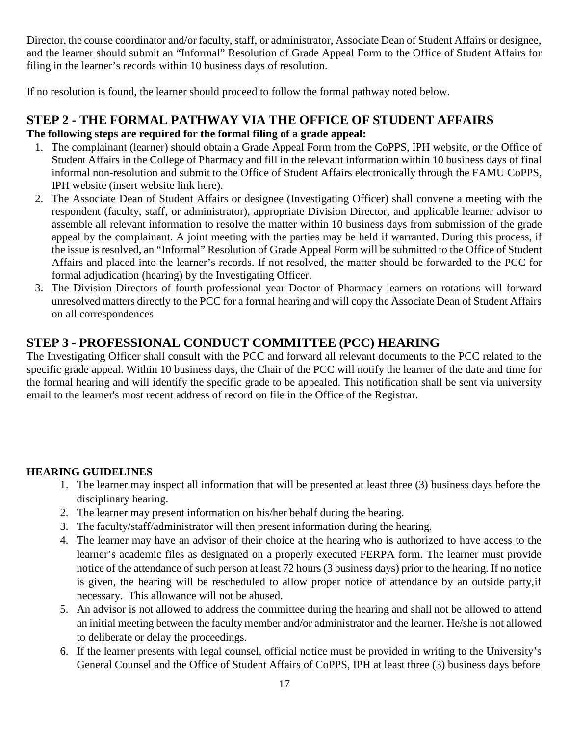Director, the course coordinator and/or faculty, staff, or administrator, Associate Dean of Student Affairs or designee, and the learner should submit an "Informal" Resolution of Grade Appeal Form to the Office of Student Affairs for filing in the learner's records within 10 business days of resolution.

If no resolution is found, the learner should proceed to follow the formal pathway noted below.

### **STEP 2 - THE FORMAL PATHWAY VIA THE OFFICE OF STUDENT AFFAIRS The following steps are required for the formal filing of a grade appeal:**

- 1. The complainant (learner) should obtain a Grade Appeal Form from the CoPPS, IPH website, or the Office of Student Affairs in the College of Pharmacy and fill in the relevant information within 10 business days of final informal non-resolution and submit to the Office of Student Affairs electronically through the FAMU CoPPS, IPH website (insert website link here).
- 2. The Associate Dean of Student Affairs or designee (Investigating Officer) shall convene a meeting with the respondent (faculty, staff, or administrator), appropriate Division Director, and applicable learner advisor to assemble all relevant information to resolve the matter within 10 business days from submission of the grade appeal by the complainant. A joint meeting with the parties may be held if warranted. During this process, if the issue is resolved, an "Informal" Resolution of Grade Appeal Form will be submitted to the Office of Student Affairs and placed into the learner's records. If not resolved, the matter should be forwarded to the PCC for formal adjudication (hearing) by the Investigating Officer.
- 3. The Division Directors of fourth professional year Doctor of Pharmacy learners on rotations will forward unresolved matters directly to the PCC for a formal hearing and will copy the Associate Dean of Student Affairs on all correspondences

### **STEP 3 - PROFESSIONAL CONDUCT COMMITTEE (PCC) HEARING**

The Investigating Officer shall consult with the PCC and forward all relevant documents to the PCC related to the specific grade appeal. Within 10 business days, the Chair of the PCC will notify the learner of the date and time for the formal hearing and will identify the specific grade to be appealed. This notification shall be sent via university email to the learner's most recent address of record on file in the Office of the Registrar.

#### **HEARING GUIDELINES**

- 1. The learner may inspect all information that will be presented at least three (3) business days before the disciplinary hearing.
- 2. The learner may present information on his/her behalf during the hearing.
- 3. The faculty/staff/administrator will then present information during the hearing.
- 4. The learner may have an advisor of their choice at the hearing who is authorized to have access to the learner's academic files as designated on a properly executed FERPA form. The learner must provide notice of the attendance of such person at least 72 hours (3 business days) prior to the hearing. If no notice is given, the hearing will be rescheduled to allow proper notice of attendance by an outside party,if necessary. This allowance will not be abused.
- 5. An advisor is not allowed to address the committee during the hearing and shall not be allowed to attend an initial meeting between the faculty member and/or administrator and the learner. He/she is not allowed to deliberate or delay the proceedings.
- 6. If the learner presents with legal counsel, official notice must be provided in writing to the University's General Counsel and the Office of Student Affairs of CoPPS, IPH at least three (3) business days before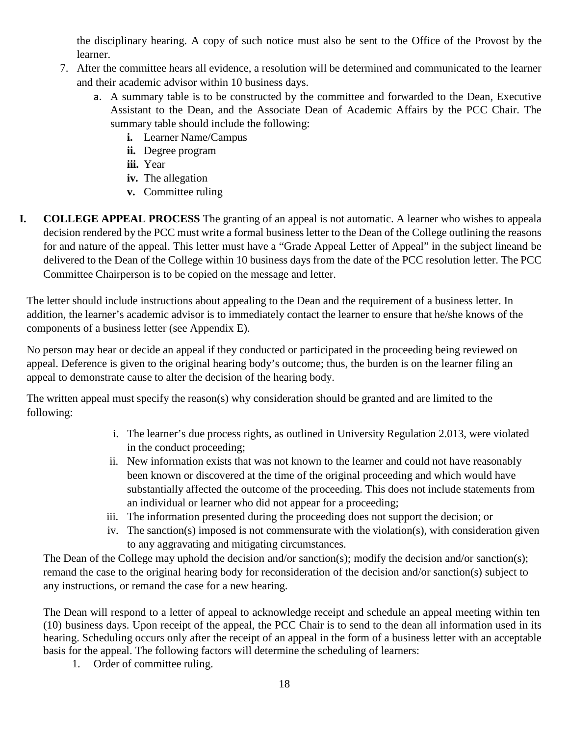the disciplinary hearing. A copy of such notice must also be sent to the Office of the Provost by the learner.

- 7. After the committee hears all evidence, a resolution will be determined and communicated to the learner and their academic advisor within 10 business days.
	- a. A summary table is to be constructed by the committee and forwarded to the Dean, Executive Assistant to the Dean, and the Associate Dean of Academic Affairs by the PCC Chair. The summary table should include the following:
		- **i.** Learner Name/Campus
		- **ii.** Degree program
		- **iii.** Year
		- **iv.** The allegation
		- **v.** Committee ruling
- **I. COLLEGE APPEAL PROCESS** The granting of an appeal is not automatic. A learner who wishes to appeala decision rendered by the PCC must write a formal business letter to the Dean of the College outlining the reasons for and nature of the appeal. This letter must have a "Grade Appeal Letter of Appeal" in the subject lineand be delivered to the Dean of the College within 10 business days from the date of the PCC resolution letter. The PCC Committee Chairperson is to be copied on the message and letter.

The letter should include instructions about appealing to the Dean and the requirement of a business letter. In addition, the learner's academic advisor is to immediately contact the learner to ensure that he/she knows of the components of a business letter (see Appendix E).

No person may hear or decide an appeal if they conducted or participated in the proceeding being reviewed on appeal. Deference is given to the original hearing body's outcome; thus, the burden is on the learner filing an appeal to demonstrate cause to alter the decision of the hearing body.

The written appeal must specify the reason(s) why consideration should be granted and are limited to the following:

- i. The learner's due process rights, as outlined in University Regulation 2.013, were violated in the conduct proceeding;
- ii. New information exists that was not known to the learner and could not have reasonably been known or discovered at the time of the original proceeding and which would have substantially affected the outcome of the proceeding. This does not include statements from an individual or learner who did not appear for a proceeding;
- iii. The information presented during the proceeding does not support the decision; or
- iv. The sanction(s) imposed is not commensurate with the violation(s), with consideration given to any aggravating and mitigating circumstances.

The Dean of the College may uphold the decision and/or sanction(s); modify the decision and/or sanction(s); remand the case to the original hearing body for reconsideration of the decision and/or sanction(s) subject to any instructions, or remand the case for a new hearing.

The Dean will respond to a letter of appeal to acknowledge receipt and schedule an appeal meeting within ten (10) business days. Upon receipt of the appeal, the PCC Chair is to send to the dean all information used in its hearing. Scheduling occurs only after the receipt of an appeal in the form of a business letter with an acceptable basis for the appeal. The following factors will determine the scheduling of learners:

1. Order of committee ruling.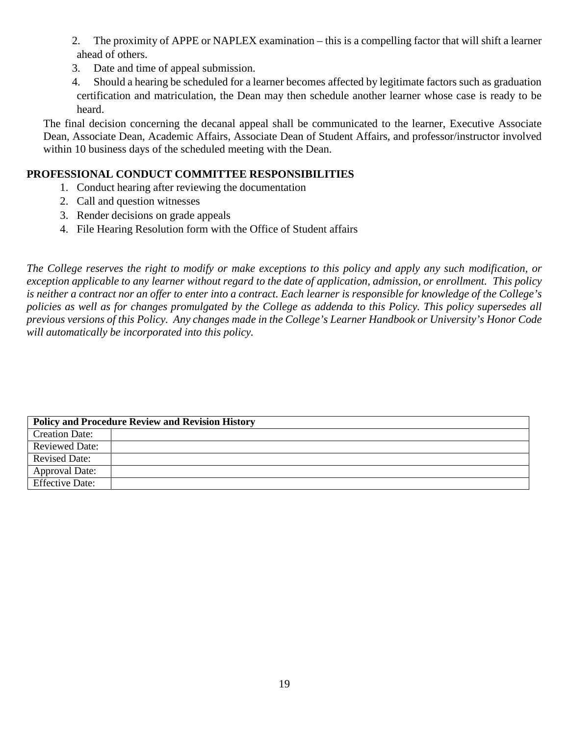- 2. The proximity of APPE or NAPLEX examination this is a compelling factor that will shift a learner ahead of others.
- 3. Date and time of appeal submission.
- 4. Should a hearing be scheduled for a learner becomes affected by legitimate factors such as graduation certification and matriculation, the Dean may then schedule another learner whose case is ready to be heard.

The final decision concerning the decanal appeal shall be communicated to the learner, Executive Associate Dean, Associate Dean, Academic Affairs, Associate Dean of Student Affairs, and professor/instructor involved within 10 business days of the scheduled meeting with the Dean.

#### <span id="page-18-0"></span>**PROFESSIONAL CONDUCT COMMITTEE RESPONSIBILITIES**

- 1. Conduct hearing after reviewing the documentation
- 2. Call and question witnesses
- 3. Render decisions on grade appeals
- 4. File Hearing Resolution form with the Office of Student affairs

*The College reserves the right to modify or make exceptions to this policy and apply any such modification, or* exception applicable to any learner without regard to the date of application, admission, or enrollment. This policy is neither a contract nor an offer to enter into a contract. Each learner is responsible for knowledge of the College's *policies as well as for changes promulgated by the College as addenda to this Policy. This policy supersedes all* previous versions of this Policy. Any changes made in the College's Learner Handbook or University's Honor Code *will automatically be incorporated into this policy.*

| <b>Policy and Procedure Review and Revision History</b> |  |
|---------------------------------------------------------|--|
| <b>Creation Date:</b>                                   |  |
| <b>Reviewed Date:</b>                                   |  |
| <b>Revised Date:</b>                                    |  |
| <b>Approval Date:</b>                                   |  |
| <b>Effective Date:</b>                                  |  |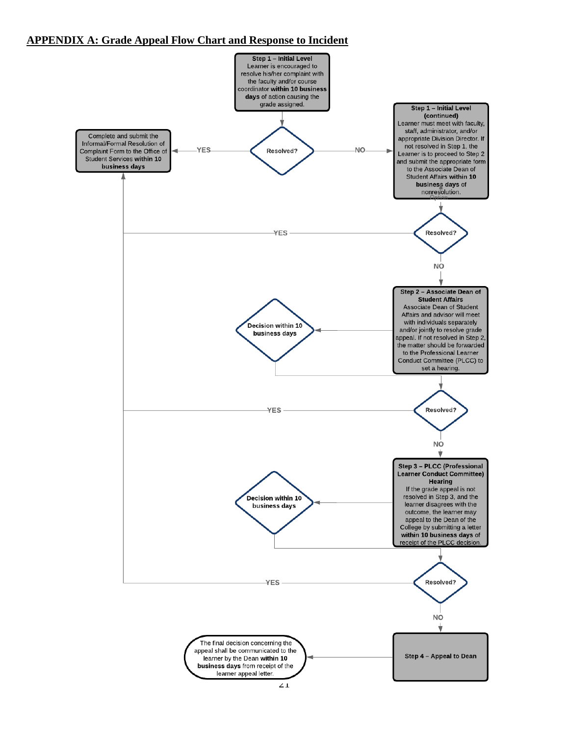#### **APPENDIX A: Grade Appeal Flow Chart and Response to Incident**

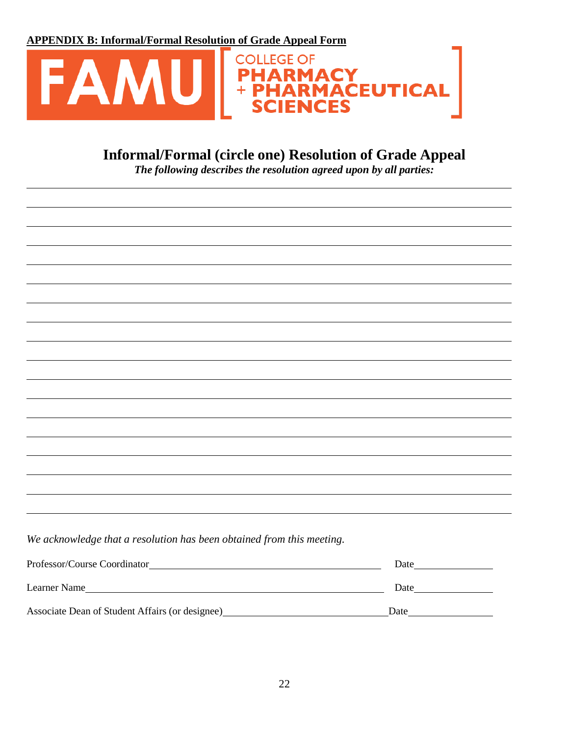**APPENDIX B: Informal/Formal Resolution of Grade Appeal Form**



## **Informal/Formal (circle one) Resolution of Grade Appeal**

*The following describes the resolution agreed upon by all parties:*

*We acknowledge that a resolution has been obtained from this meeting.*

| Professor/Course Coordinator                    | Date |
|-------------------------------------------------|------|
| Learner Name                                    | Date |
| Associate Dean of Student Affairs (or designee) | Date |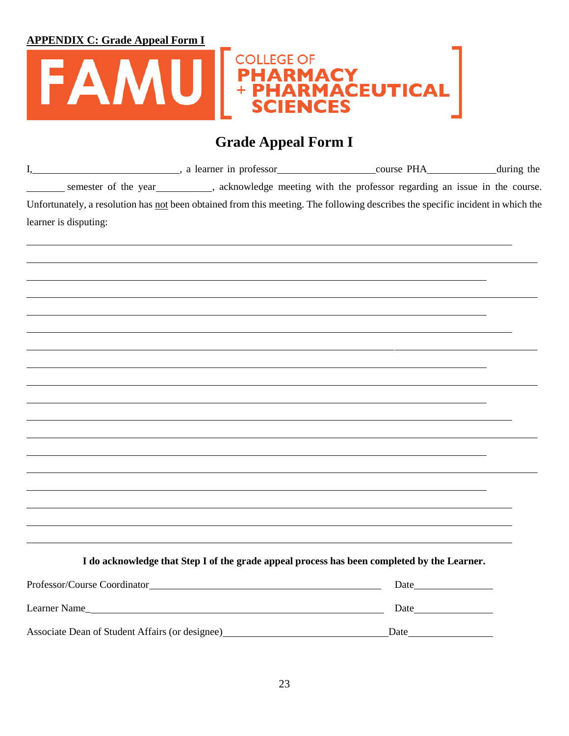

## **Grade Appeal Form I**

| I,                                              | a learner in professor course PHA course PHA during the                                                                                                                                                                          |      |  |
|-------------------------------------------------|----------------------------------------------------------------------------------------------------------------------------------------------------------------------------------------------------------------------------------|------|--|
|                                                 | semester of the year<br>semester of the year semester of the year semester of the year semester of the year semester of the year semester of the year semester of the year semester of the year semester of the year semester of |      |  |
|                                                 | Unfortunately, a resolution has not been obtained from this meeting. The following describes the specific incident in which the                                                                                                  |      |  |
| learner is disputing:                           |                                                                                                                                                                                                                                  |      |  |
|                                                 |                                                                                                                                                                                                                                  |      |  |
|                                                 |                                                                                                                                                                                                                                  |      |  |
|                                                 |                                                                                                                                                                                                                                  |      |  |
|                                                 |                                                                                                                                                                                                                                  |      |  |
|                                                 |                                                                                                                                                                                                                                  |      |  |
|                                                 |                                                                                                                                                                                                                                  |      |  |
|                                                 |                                                                                                                                                                                                                                  |      |  |
|                                                 |                                                                                                                                                                                                                                  |      |  |
|                                                 |                                                                                                                                                                                                                                  |      |  |
|                                                 |                                                                                                                                                                                                                                  |      |  |
|                                                 |                                                                                                                                                                                                                                  |      |  |
|                                                 |                                                                                                                                                                                                                                  |      |  |
|                                                 |                                                                                                                                                                                                                                  |      |  |
|                                                 |                                                                                                                                                                                                                                  |      |  |
|                                                 |                                                                                                                                                                                                                                  |      |  |
|                                                 |                                                                                                                                                                                                                                  |      |  |
|                                                 |                                                                                                                                                                                                                                  |      |  |
|                                                 | I do acknowledge that Step I of the grade appeal process has been completed by the Learner.                                                                                                                                      |      |  |
|                                                 |                                                                                                                                                                                                                                  |      |  |
|                                                 | Learner Name                                                                                                                                                                                                                     |      |  |
| Associate Dean of Student Affairs (or designee) |                                                                                                                                                                                                                                  | Date |  |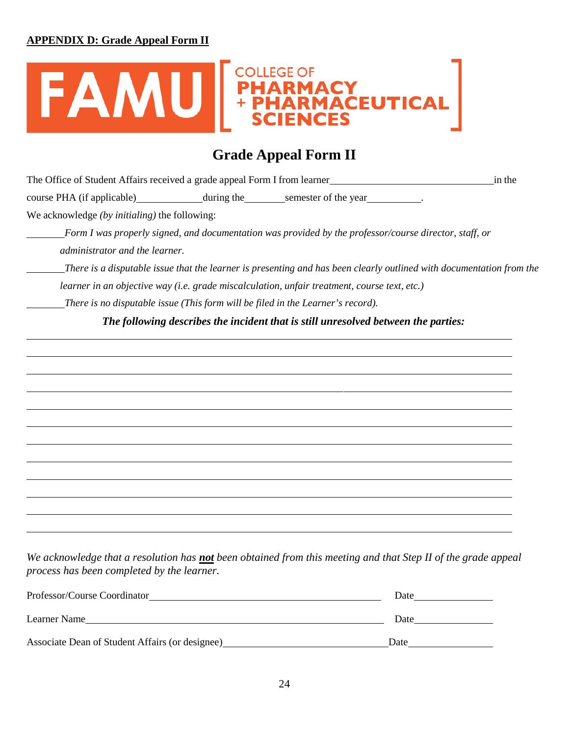#### **APPENDIX D: Grade Appeal Form II**



## **Grade Appeal Form II**

| The Office of Student Affairs received a grade appeal Form I from learner<br>in the                                                      |
|------------------------------------------------------------------------------------------------------------------------------------------|
|                                                                                                                                          |
| We acknowledge $(by\text{ }initialing)$ the following:                                                                                   |
| Form I was properly signed, and documentation was provided by the professor/course director, staff, or<br>administrator and the learner. |
| There is a disputable issue that the learner is presenting and has been clearly outlined with documentation from the                     |
| learner in an objective way (i.e. grade miscalculation, unfair treatment, course text, etc.)                                             |
| There is no disputable issue (This form will be filed in the Learner's record).                                                          |
| The following describes the incident that is still unresolved between the parties:                                                       |
|                                                                                                                                          |

We acknowledge that a resolution has not been obtained from this meeting and that Step II of the grade appeal *process has been completed by the learner.*

| Professor/Course Coordinator                    | Date |
|-------------------------------------------------|------|
| Learner Name                                    | Date |
| Associate Dean of Student Affairs (or designee) | Date |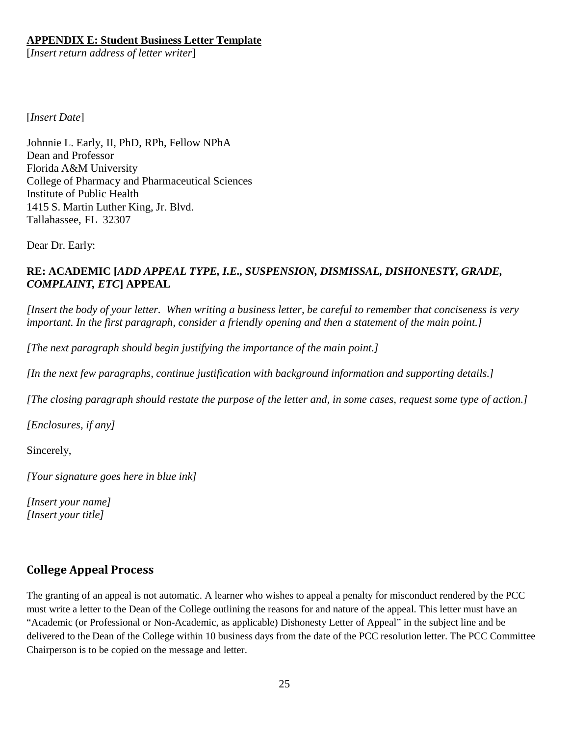#### **APPENDIX E: Student Business Letter Template**

[*Insert return address of letter writer*]

[*Insert Date*]

Johnnie L. Early, II, PhD, RPh, Fellow NPhA Dean and Professor Florida A&M University College of Pharmacy and Pharmaceutical Sciences Institute of Public Health 1415 S. Martin Luther King, Jr. Blvd. Tallahassee, FL 32307

Dear Dr. Early:

#### **RE: ACADEMIC [***ADD APPEAL TYPE, I.E., SUSPENSION, DISMISSAL, DISHONESTY, GRADE, COMPLAINT, ETC***] APPEAL**

[Insert the body of your letter. When writing a business letter, be careful to remember that conciseness is very *important. In the first paragraph, consider a friendly opening and then a statement of the main point.]*

*[The next paragraph should begin justifying the importance of the main point.]*

*[In the next few paragraphs, continue justification with background information and supporting details.]*

[The closing paragraph should restate the purpose of the letter and, in some cases, request some type of action.]

*[Enclosures, if any]*

Sincerely,

*[Your signature goes here in blue ink]*

*[Insert your name] [Insert your title]*

#### <span id="page-23-0"></span>**College Appeal Process**

The granting of an appeal is not automatic. A learner who wishes to appeal a penalty for misconduct rendered by the PCC must write a letter to the Dean of the College outlining the reasons for and nature of the appeal. This letter must have an "Academic (or Professional or Non-Academic, as applicable) Dishonesty Letter of Appeal" in the subject line and be delivered to the Dean of the College within 10 business days from the date of the PCC resolution letter. The PCC Committee Chairperson is to be copied on the message and letter.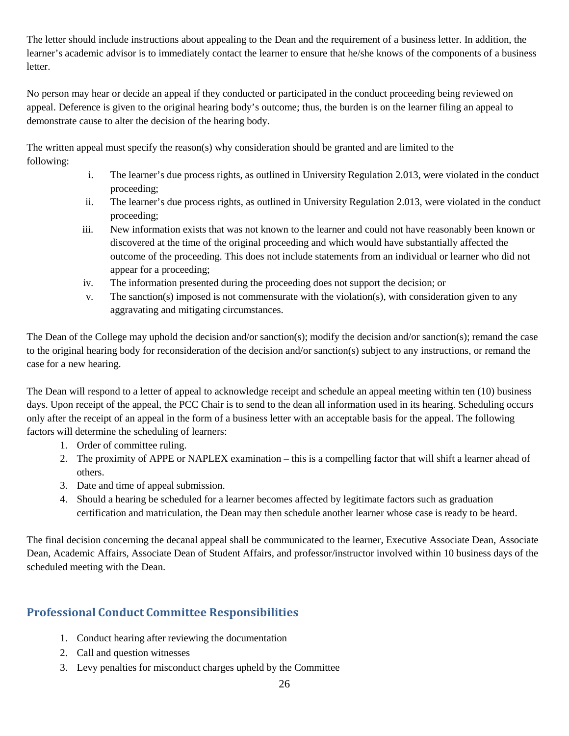The letter should include instructions about appealing to the Dean and the requirement of a business letter. In addition, the learner's academic advisor is to immediately contact the learner to ensure that he/she knows of the components of a business letter.

No person may hear or decide an appeal if they conducted or participated in the conduct proceeding being reviewed on appeal. Deference is given to the original hearing body's outcome; thus, the burden is on the learner filing an appeal to demonstrate cause to alter the decision of the hearing body.

The written appeal must specify the reason(s) why consideration should be granted and are limited to the following:

- i. The learner's due process rights, as outlined in University Regulation 2.013, were violated in the conduct proceeding;
- ii. The learner's due process rights, as outlined in University Regulation 2.013, were violated in the conduct proceeding;
- iii. New information exists that was not known to the learner and could not have reasonably been known or discovered at the time of the original proceeding and which would have substantially affected the outcome of the proceeding. This does not include statements from an individual or learner who did not appear for a proceeding;
- iv. The information presented during the proceeding does not support the decision; or
- v. The sanction(s) imposed is not commensurate with the violation(s), with consideration given to any aggravating and mitigating circumstances.

The Dean of the College may uphold the decision and/or sanction(s); modify the decision and/or sanction(s); remand the case to the original hearing body for reconsideration of the decision and/or sanction(s) subject to any instructions, or remand the case for a new hearing.

The Dean will respond to a letter of appeal to acknowledge receipt and schedule an appeal meeting within ten (10) business days. Upon receipt of the appeal, the PCC Chair is to send to the dean all information used in its hearing. Scheduling occurs only after the receipt of an appeal in the form of a business letter with an acceptable basis for the appeal. The following factors will determine the scheduling of learners:

- 1. Order of committee ruling.
- 2. The proximity of APPE or NAPLEX examination this is a compelling factor that will shift a learner ahead of others.
- 3. Date and time of appeal submission.
- 4. Should a hearing be scheduled for a learner becomes affected by legitimate factors such as graduation certification and matriculation, the Dean may then schedule another learner whose case is ready to be heard.

The final decision concerning the decanal appeal shall be communicated to the learner, Executive Associate Dean, Associate Dean, Academic Affairs, Associate Dean of Student Affairs, and professor/instructor involved within 10 business days of the scheduled meeting with the Dean.

### **Professional Conduct Committee Responsibilities**

- 1. Conduct hearing after reviewing the documentation
- 2. Call and question witnesses
- 3. Levy penalties for misconduct charges upheld by the Committee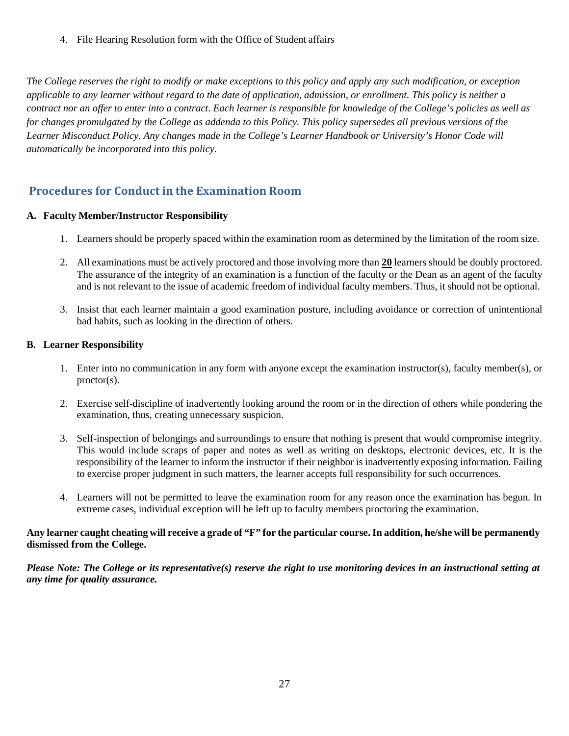4. File Hearing Resolution form with the Office of Student affairs

*The College reserves the right to modify or make exceptions to this policy and apply any such modification, or exception applicable to any learner without regard to the date of application, admission, or enrollment. This policy is neither a* contract nor an offer to enter into a contract. Each learner is responsible for knowledge of the College's policies as well as *for changes promulgated by the College as addenda to this Policy. This policy supersedes all previous versions of the Learner Misconduct Policy. Any changes made in the College's Learner Handbook or University's Honor Code will automatically be incorporated into this policy.*

### <span id="page-25-0"></span>**Procedures for Conduct in the Examination Room**

#### **A. Faculty Member/Instructor Responsibility**

- 1. Learners should be properly spaced within the examination room as determined by the limitation of the room size.
- 2. All examinations must be actively proctored and those involving more than **20** learners should be doubly proctored. The assurance of the integrity of an examination is a function of the faculty or the Dean as an agent of the faculty and is not relevant to the issue of academic freedom of individual faculty members. Thus, it should not be optional.
- 3. Insist that each learner maintain a good examination posture, including avoidance or correction of unintentional bad habits, such as looking in the direction of others.

#### **B. Learner Responsibility**

- 1. Enter into no communication in any form with anyone except the examination instructor(s), faculty member(s), or proctor(s).
- 2. Exercise self-discipline of inadvertently looking around the room or in the direction of others while pondering the examination, thus, creating unnecessary suspicion.
- 3. Self-inspection of belongings and surroundings to ensure that nothing is present that would compromise integrity. This would include scraps of paper and notes as well as writing on desktops, electronic devices, etc. It is the responsibility of the learner to inform the instructor if their neighbor is inadvertently exposing information. Failing to exercise proper judgment in such matters, the learner accepts full responsibility for such occurrences.
- 4. Learners will not be permitted to leave the examination room for any reason once the examination has begun. In extreme cases, individual exception will be left up to faculty members proctoring the examination.

#### Any learner caught cheating will receive a grade of "F" for the particular course. In addition, he/she will be permanently **dismissed from the College.**

Please Note: The College or its representative(s) reserve the right to use monitoring devices in an instructional setting at *any time for quality assurance.*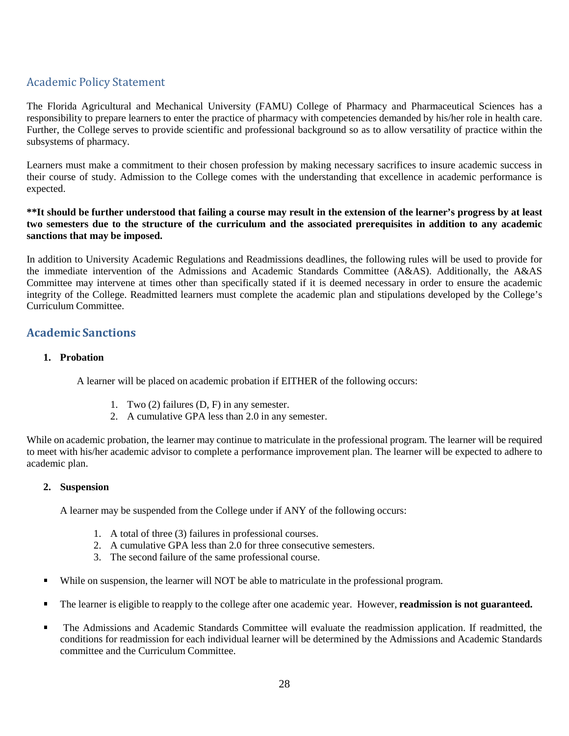### <span id="page-26-0"></span>Academic Policy Statement

The Florida Agricultural and Mechanical University (FAMU) College of Pharmacy and Pharmaceutical Sciences has a responsibility to prepare learners to enter the practice of pharmacy with competencies demanded by his/her role in health care. Further, the College serves to provide scientific and professional background so as to allow versatility of practice within the subsystems of pharmacy.

Learners must make a commitment to their chosen profession by making necessary sacrifices to insure academic success in their course of study. Admission to the College comes with the understanding that excellence in academic performance is expected.

#### **\*\*It should be further understood that failing a course may result in the extension of the learner's progress by at least two semesters due to the structure of the curriculum and the associated prerequisites in addition to any academic sanctions that may be imposed.**

In addition to University Academic Regulations and Readmissions deadlines, the following rules will be used to provide for the immediate intervention of the Admissions and Academic Standards Committee (A&AS). Additionally, the A&AS Committee may intervene at times other than specifically stated if it is deemed necessary in order to ensure the academic integrity of the College. Readmitted learners must complete the academic plan and stipulations developed by the College's Curriculum Committee.

#### <span id="page-26-1"></span>**Academic Sanctions**

#### **1. Probation**

A learner will be placed on academic probation if EITHER of the following occurs:

- 1. Two (2) failures (D, F) in any semester.
- 2. A cumulative GPA less than 2.0 in any semester.

While on academic probation, the learner may continue to matriculate in the professional program. The learner will be required to meet with his/her academic advisor to complete a performance improvement plan. The learner will be expected to adhere to academic plan.

#### **2. Suspension**

A learner may be suspended from the College under if ANY of the following occurs:

- 1. A total of three (3) failures in professional courses.
- 2. A cumulative GPA less than 2.0 for three consecutive semesters.
- 3. The second failure of the same professional course.
- While on suspension, the learner will NOT be able to matriculate in the professional program.
- The learner is eligible to reapply to the college after one academic year. However, **readmission is not guaranteed.**
- The Admissions and Academic Standards Committee will evaluate the readmission application. If readmitted, the conditions for readmission for each individual learner will be determined by the Admissions and Academic Standards committee and the Curriculum Committee.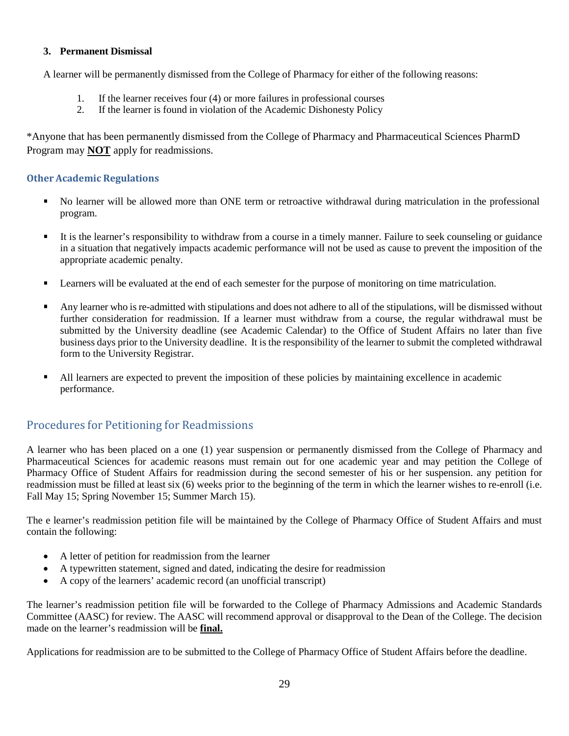#### **3. Permanent Dismissal**

A learner will be permanently dismissed from the College of Pharmacy for either of the following reasons:

- 1. If the learner receives four (4) or more failures in professional courses<br>2. If the learner is found in violation of the Academic Dishonesty Policy
- 2. If the learner is found in violation of the Academic Dishonesty Policy

\*Anyone that has been permanently dismissed from the College of Pharmacy and Pharmaceutical Sciences PharmD Program may **NOT** apply for readmissions.

#### <span id="page-27-0"></span>**Other Academic Regulations**

- No learner will be allowed more than ONE term or retroactive withdrawal during matriculation in the professional program.
- $\blacksquare$  It is the learner's responsibility to withdraw from a course in a timely manner. Failure to seek counseling or guidance in a situation that negatively impacts academic performance will not be used as cause to prevent the imposition of the appropriate academic penalty.
- **Example 1** Learners will be evaluated at the end of each semester for the purpose of monitoring on time matriculation.
- $\blacksquare$  Any learner who is re-admitted with stipulations and does not adhere to all of the stipulations, will be dismissed without further consideration for readmission. If a learner must withdraw from a course, the regular withdrawal must be submitted by the University deadline (see Academic Calendar) to the Office of Student Affairs no later than five business days prior to the University deadline. It is the responsibility of the learner to submit the completed withdrawal form to the University Registrar.
- $\blacksquare$  All learners are expected to prevent the imposition of these policies by maintaining excellence in academic performance.

#### <span id="page-27-1"></span>Procedures for Petitioning for Readmissions

A learner who has been placed on a one (1) year suspension or permanently dismissed from the College of Pharmacy and Pharmaceutical Sciences for academic reasons must remain out for one academic year and may petition the College of Pharmacy Office of Student Affairs for readmission during the second semester of his or her suspension. any petition for readmission must be filled at least six (6) weeks prior to the beginning of the term in which the learner wishes to re-enroll (i.e. Fall May 15; Spring November 15; Summer March 15).

The e learner's readmission petition file will be maintained by the College of Pharmacy Office of Student Affairs and must contain the following:

- A letter of petition for readmission from the learner
- A typewritten statement, signed and dated, indicating the desire for readmission
- A copy of the learners' academic record (an unofficial transcript)

The learner's readmission petition file will be forwarded to the College of Pharmacy Admissions and Academic Standards Committee (AASC) for review. The AASC will recommend approval or disapproval to the Dean of the College. The decision made on the learner's readmission will be **final.**

Applications for readmission are to be submitted to the College of Pharmacy Office of Student Affairs before the deadline.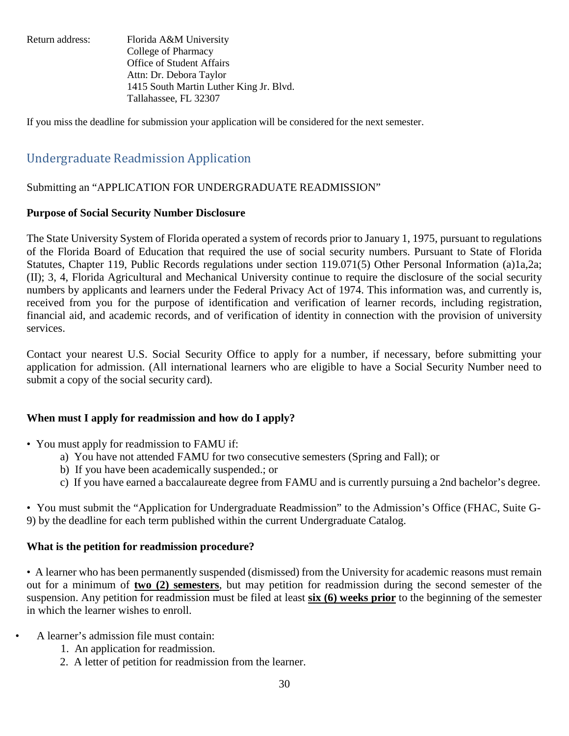Return address: Florida A&M University College of Pharmacy Office of Student Affairs Attn: Dr. Debora Taylor 1415 South Martin Luther King Jr. Blvd. Tallahassee, FL 32307

If you miss the deadline for submission your application will be considered for the next semester.

### <span id="page-28-0"></span>Undergraduate Readmission Application

#### Submitting an "APPLICATION FOR UNDERGRADUATE READMISSION"

#### **Purpose of Social Security Number Disclosure**

The State University System of Florida operated a system of records prior to January 1, 1975, pursuant to regulations of the Florida Board of Education that required the use of social security numbers. Pursuant to State of Florida Statutes, Chapter 119, Public Records regulations under section 119.071(5) Other Personal Information (a)1a,2a; (II); 3, 4, Florida Agricultural and Mechanical University continue to require the disclosure of the social security numbers by applicants and learners under the Federal Privacy Act of 1974. This information was, and currently is, received from you for the purpose of identification and verification of learner records, including registration, financial aid, and academic records, and of verification of identity in connection with the provision of university services.

Contact your nearest U.S. Social Security Office to apply for a number, if necessary, before submitting your application for admission. (All international learners who are eligible to have a Social Security Number need to submit a copy of the social security card).

#### **When must I apply for readmission and how do I apply?**

- You must apply for readmission to FAMU if:
	- a) You have not attended FAMU for two consecutive semesters (Spring and Fall); or
	- b) If you have been academically suspended.; or
	- c) If you have earned a baccalaureate degree from FAMU and is currently pursuing a 2nd bachelor's degree.

• You must submit the "Application for Undergraduate Readmission" to the Admission's Office (FHAC, Suite G-9) by the deadline for each term published within the current Undergraduate Catalog.

#### **What is the petition for readmission procedure?**

• A learner who has been permanently suspended (dismissed) from the University for academic reasons must remain out for a minimum of **two (2) semesters**, but may petition for readmission during the second semester of the suspension. Any petition for readmission must be filed at least **six (6) weeks prior** to the beginning of the semester in which the learner wishes to enroll.

- A learner's admission file must contain:
	- 1. An application for readmission.
	- 2. A letter of petition for readmission from the learner.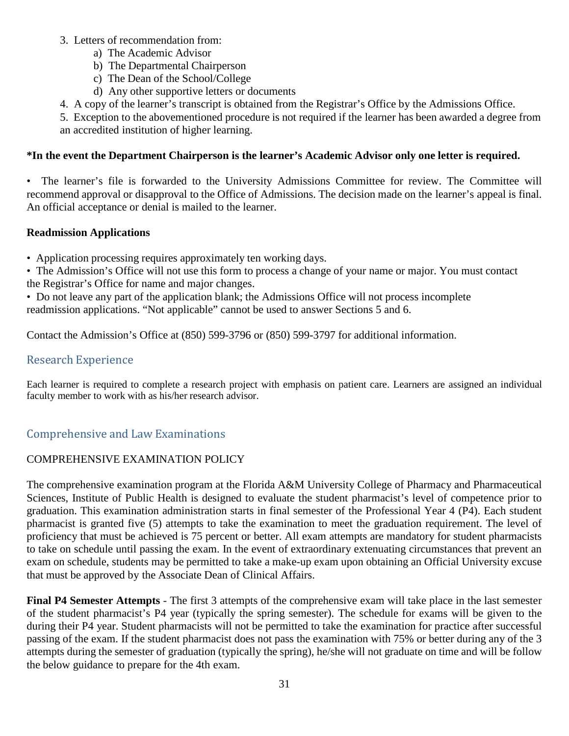#### 3. Letters of recommendation from:

- a) The Academic Advisor
- b) The Departmental Chairperson
- c) The Dean of the School/College
- d) Any other supportive letters or documents
- 4. A copy of the learner's transcript is obtained from the Registrar's Office by the Admissions Office.
- 5. Exception to the abovementioned procedure is not required if the learner has been awarded a degree from an accredited institution of higher learning.

#### **\*In the event the Department Chairperson is the learner's Academic Advisor only one letter is required.**

• The learner's file is forwarded to the University Admissions Committee for review. The Committee will recommend approval or disapproval to the Office of Admissions. The decision made on the learner's appeal is final. An official acceptance or denial is mailed to the learner.

#### **Readmission Applications**

• Application processing requires approximately ten working days.

• The Admission's Office will not use this form to process a change of your name or major. You must contact the Registrar's Office for name and major changes.

• Do not leave any part of the application blank; the Admissions Office will not process incomplete readmission applications. "Not applicable" cannot be used to answer Sections 5 and 6.

Contact the Admission's Office at (850) 599-3796 or (850) 599-3797 for additional information.

### <span id="page-29-0"></span>Research Experience

Each learner is required to complete a research project with emphasis on patient care. Learners are assigned an individual faculty member to work with as his/her research advisor.

### <span id="page-29-1"></span>Comprehensive and Law Examinations

#### COMPREHENSIVE EXAMINATION POLICY

The comprehensive examination program at the Florida A&M University College of Pharmacy and Pharmaceutical Sciences, Institute of Public Health is designed to evaluate the student pharmacist's level of competence prior to graduation. This examination administration starts in final semester of the Professional Year 4 (P4). Each student pharmacist is granted five (5) attempts to take the examination to meet the graduation requirement. The level of proficiency that must be achieved is 75 percent or better. All exam attempts are mandatory for student pharmacists to take on schedule until passing the exam. In the event of extraordinary extenuating circumstances that prevent an exam on schedule, students may be permitted to take a make-up exam upon obtaining an Official University excuse that must be approved by the Associate Dean of Clinical Affairs.

**Final P4 Semester Attempts** - The first 3 attempts of the comprehensive exam will take place in the last semester of the student pharmacist's P4 year (typically the spring semester). The schedule for exams will be given to the during their P4 year. Student pharmacists will not be permitted to take the examination for practice after successful passing of the exam. If the student pharmacist does not pass the examination with 75% or better during any of the 3 attempts during the semester of graduation (typically the spring), he/she will not graduate on time and will be follow the below guidance to prepare for the 4th exam.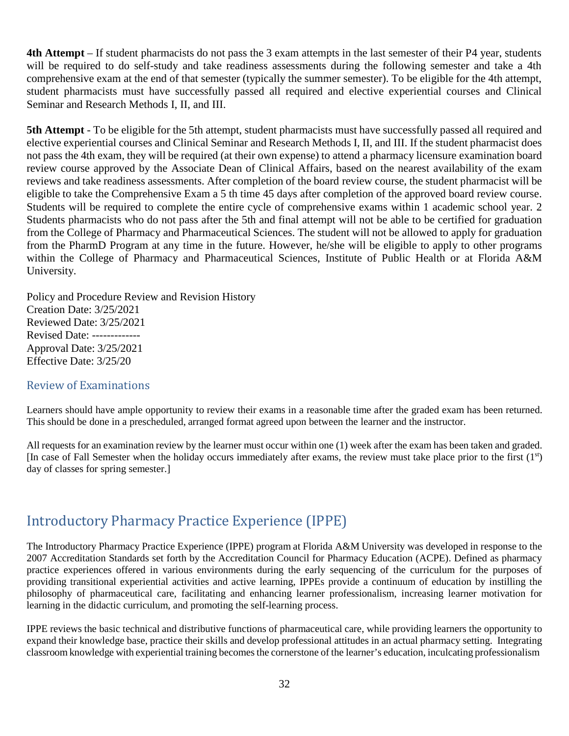**4th Attempt** – If student pharmacists do not pass the 3 exam attempts in the last semester of their P4 year, students will be required to do self-study and take readiness assessments during the following semester and take a 4th comprehensive exam at the end of that semester (typically the summer semester). To be eligible for the 4th attempt, student pharmacists must have successfully passed all required and elective experiential courses and Clinical Seminar and Research Methods I, II, and III.

**5th Attempt** - To be eligible for the 5th attempt, student pharmacists must have successfully passed all required and elective experiential courses and Clinical Seminar and Research Methods I, II, and III. If the student pharmacist does not pass the 4th exam, they will be required (at their own expense) to attend a pharmacy licensure examination board review course approved by the Associate Dean of Clinical Affairs, based on the nearest availability of the exam reviews and take readiness assessments. After completion of the board review course, the student pharmacist will be eligible to take the Comprehensive Exam a 5 th time 45 days after completion of the approved board review course. Students will be required to complete the entire cycle of comprehensive exams within 1 academic school year. 2 Students pharmacists who do not pass after the 5th and final attempt will not be able to be certified for graduation from the College of Pharmacy and Pharmaceutical Sciences. The student will not be allowed to apply for graduation from the PharmD Program at any time in the future. However, he/she will be eligible to apply to other programs within the College of Pharmacy and Pharmaceutical Sciences, Institute of Public Health or at Florida A&M University.

Policy and Procedure Review and Revision History Creation Date: 3/25/2021 Reviewed Date: 3/25/2021 Revised Date: ------------- Approval Date: 3/25/2021 Effective Date: 3/25/20

#### <span id="page-30-0"></span>Review of Examinations

Learners should have ample opportunity to review their exams in a reasonable time after the graded exam has been returned. This should be done in a prescheduled, arranged format agreed upon between the learner and the instructor.

All requests for an examination review by the learner must occur within one (1) week after the exam has been taken and graded. [In case of Fall Semester when the holiday occurs immediately after exams, the review must take place prior to the first (1st) day of classes for spring semester.]

## <span id="page-30-1"></span>Introductory Pharmacy Practice Experience (IPPE)

The Introductory Pharmacy Practice Experience (IPPE) program at Florida A&M University was developed in response to the 2007 Accreditation Standards set forth by the Accreditation Council for Pharmacy Education (ACPE). Defined as pharmacy practice experiences offered in various environments during the early sequencing of the curriculum for the purposes of providing transitional experiential activities and active learning, IPPEs provide a continuum of education by instilling the philosophy of pharmaceutical care, facilitating and enhancing learner professionalism, increasing learner motivation for learning in the didactic curriculum, and promoting the self-learning process.

IPPE reviews the basic technical and distributive functions of pharmaceutical care, while providing learners the opportunity to expand their knowledge base, practice their skills and develop professional attitudes in an actual pharmacy setting. Integrating classroom knowledge with experiential training becomesthe cornerstone of the learner's education, inculcating professionalism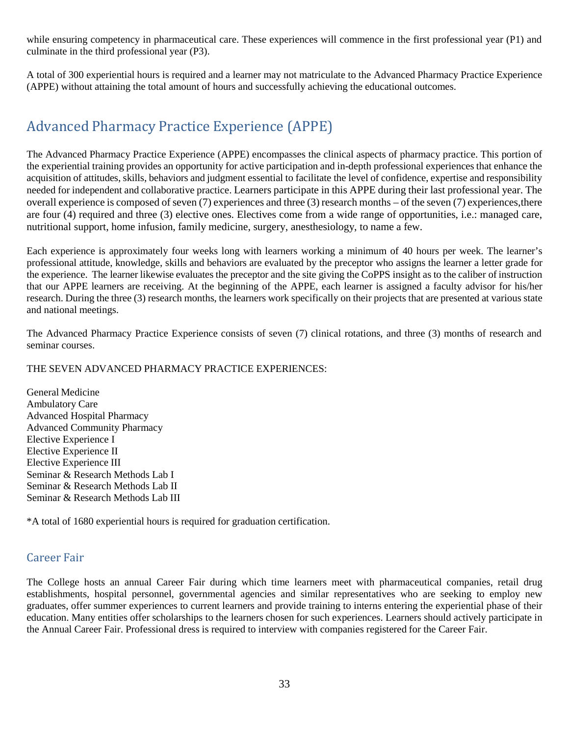while ensuring competency in pharmaceutical care. These experiences will commence in the first professional year (P1) and culminate in the third professional year (P3).

A total of 300 experiential hours is required and a learner may not matriculate to the Advanced Pharmacy Practice Experience (APPE) without attaining the total amount of hours and successfully achieving the educational outcomes.

## <span id="page-31-0"></span>Advanced Pharmacy Practice Experience (APPE)

The Advanced Pharmacy Practice Experience (APPE) encompasses the clinical aspects of pharmacy practice. This portion of the experiential training provides an opportunity for active participation and in-depth professional experiences that enhance the acquisition of attitudes, skills, behaviors and judgment essential to facilitate the level of confidence, expertise and responsibility needed for independent and collaborative practice. Learners participate in this APPE during their last professional year. The overall experience is composed of seven  $(7)$  experiences and three  $(3)$  research months – of the seven  $(7)$  experiences, there are four (4) required and three (3) elective ones. Electives come from a wide range of opportunities, i.e.: managed care, nutritional support, home infusion, family medicine, surgery, anesthesiology, to name a few.

Each experience is approximately four weeks long with learners working a minimum of 40 hours per week. The learner's professional attitude, knowledge, skills and behaviors are evaluated by the preceptor who assigns the learner a letter grade for the experience. The learner likewise evaluates the preceptor and the site giving the CoPPS insight as to the caliber of instruction that our APPE learners are receiving. At the beginning of the APPE, each learner is assigned a faculty advisor for his/her research. During the three (3) research months, the learners work specifically on their projects that are presented at various state and national meetings.

The Advanced Pharmacy Practice Experience consists of seven (7) clinical rotations, and three (3) months of research and seminar courses.

#### THE SEVEN ADVANCED PHARMACY PRACTICE EXPERIENCES:

General Medicine Ambulatory Care Advanced Hospital Pharmacy Advanced Community Pharmacy Elective Experience I Elective Experience II Elective Experience III Seminar & Research Methods Lab I Seminar & Research Methods Lab II Seminar & Research Methods Lab III

\*A total of 1680 experiential hours is required for graduation certification.

#### <span id="page-31-1"></span>Career Fair

The College hosts an annual Career Fair during which time learners meet with pharmaceutical companies, retail drug establishments, hospital personnel, governmental agencies and similar representatives who are seeking to employ new graduates, offer summer experiences to current learners and provide training to interns entering the experiential phase of their education. Many entities offer scholarships to the learners chosen for such experiences. Learners should actively participate in the Annual Career Fair. Professional dress is required to interview with companies registered for the Career Fair.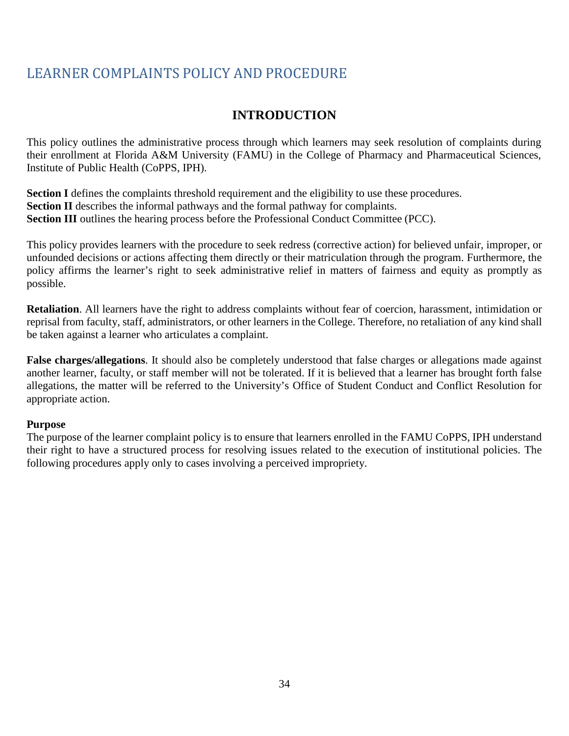## <span id="page-32-0"></span>LEARNER COMPLAINTS POLICY AND PROCEDURE

### **INTRODUCTION**

This policy outlines the administrative process through which learners may seek resolution of complaints during their enrollment at Florida A&M University (FAMU) in the College of Pharmacy and Pharmaceutical Sciences, Institute of Public Health (CoPPS, IPH).

**Section I** defines the complaints threshold requirement and the eligibility to use these procedures. **Section <b>II** describes the informal pathways and the formal pathway for complaints. **Section III** outlines the hearing process before the Professional Conduct Committee (PCC).

This policy provides learners with the procedure to seek redress (corrective action) for believed unfair, improper, or unfounded decisions or actions affecting them directly or their matriculation through the program. Furthermore, the policy affirms the learner's right to seek administrative relief in matters of fairness and equity as promptly as possible.

**Retaliation**. All learners have the right to address complaints without fear of coercion, harassment, intimidation or reprisal from faculty, staff, administrators, or other learners in the College. Therefore, no retaliation of any kind shall be taken against a learner who articulates a complaint.

**False charges/allegations**. It should also be completely understood that false charges or allegations made against another learner, faculty, or staff member will not be tolerated. If it is believed that a learner has brought forth false allegations, the matter will be referred to the University's Office of Student Conduct and Conflict Resolution for appropriate action.

#### **Purpose**

The purpose of the learner complaint policy is to ensure that learners enrolled in the FAMU CoPPS, IPH understand their right to have a structured process for resolving issues related to the execution of institutional policies. The following procedures apply only to cases involving a perceived impropriety.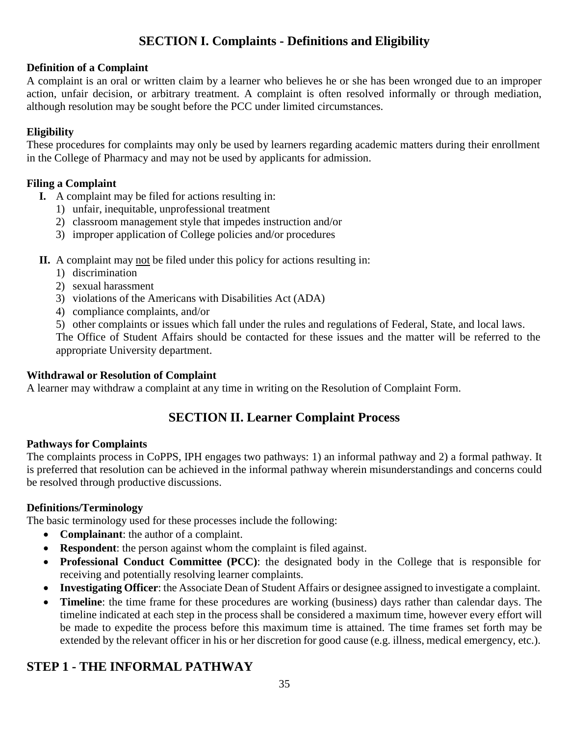### **SECTION I. Complaints - Definitions and Eligibility**

#### **Definition of a Complaint**

A complaint is an oral or written claim by a learner who believes he or she has been wronged due to an improper action, unfair decision, or arbitrary treatment. A complaint is often resolved informally or through mediation, although resolution may be sought before the PCC under limited circumstances.

#### **Eligibility**

These procedures for complaints may only be used by learners regarding academic matters during their enrollment in the College of Pharmacy and may not be used by applicants for admission.

#### **Filing a Complaint**

- **I.** A complaint may be filed for actions resulting in:
	- 1) unfair, inequitable, unprofessional treatment
	- 2) classroom management style that impedes instruction and/or
	- 3) improper application of College policies and/or procedures
- **II.** A complaint may not be filed under this policy for actions resulting in:
	- 1) discrimination
	- 2) sexual harassment
	- 3) violations of the Americans with Disabilities Act (ADA)
	- 4) compliance complaints, and/or
	- 5) other complaints or issues which fall under the rules and regulations of Federal, State, and local laws.

The Office of Student Affairs should be contacted for these issues and the matter will be referred to the appropriate University department.

#### **Withdrawal or Resolution of Complaint**

A learner may withdraw a complaint at any time in writing on the Resolution of Complaint Form.

### **SECTION II. Learner Complaint Process**

#### **Pathways for Complaints**

The complaints process in CoPPS, IPH engages two pathways: 1) an informal pathway and 2) a formal pathway. It is preferred that resolution can be achieved in the informal pathway wherein misunderstandings and concerns could be resolved through productive discussions.

#### **Definitions/Terminology**

The basic terminology used for these processes include the following:

- **Complainant**: the author of a complaint.
- **Respondent**: the person against whom the complaint is filed against.
- **Professional Conduct Committee (PCC)**: the designated body in the College that is responsible for receiving and potentially resolving learner complaints.
- **Investigating Officer**: the Associate Dean of Student Affairs or designee assigned to investigate a complaint.
- **Timeline**: the time frame for these procedures are working (business) days rather than calendar days. The timeline indicated at each step in the process shall be considered a maximum time, however every effort will be made to expedite the process before this maximum time is attained. The time frames set forth may be extended by the relevant officer in his or her discretion for good cause (e.g. illness, medical emergency, etc.).

### **STEP 1 - THE INFORMAL PATHWAY**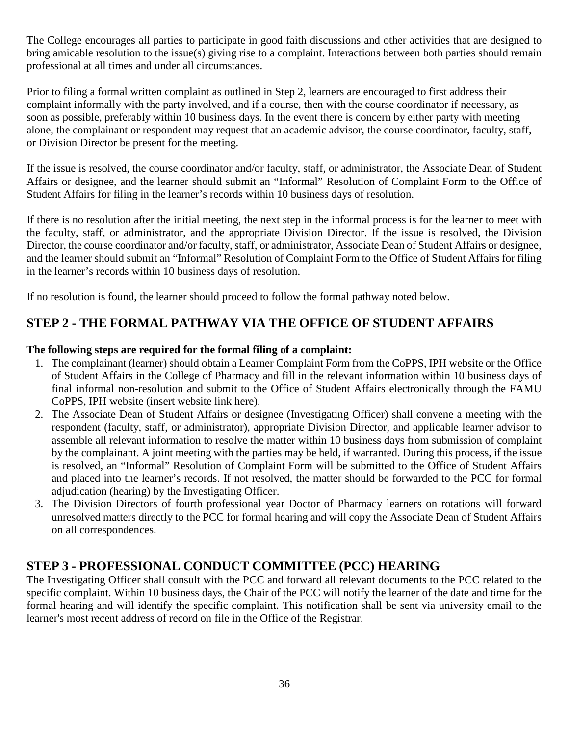The College encourages all parties to participate in good faith discussions and other activities that are designed to bring amicable resolution to the issue(s) giving rise to a complaint. Interactions between both parties should remain professional at all times and under all circumstances.

Prior to filing a formal written complaint as outlined in Step 2, learners are encouraged to first address their complaint informally with the party involved, and if a course, then with the course coordinator if necessary, as soon as possible, preferably within 10 business days. In the event there is concern by either party with meeting alone, the complainant or respondent may request that an academic advisor, the course coordinator, faculty, staff, or Division Director be present for the meeting.

If the issue is resolved, the course coordinator and/or faculty, staff, or administrator, the Associate Dean of Student Affairs or designee, and the learner should submit an "Informal" Resolution of Complaint Form to the Office of Student Affairs for filing in the learner's records within 10 business days of resolution.

If there is no resolution after the initial meeting, the next step in the informal process is for the learner to meet with the faculty, staff, or administrator, and the appropriate Division Director. If the issue is resolved, the Division Director, the course coordinator and/or faculty, staff, or administrator, Associate Dean of Student Affairs or designee, and the learner should submit an "Informal" Resolution of Complaint Form to the Office of Student Affairs for filing in the learner's records within 10 business days of resolution.

If no resolution is found, the learner should proceed to follow the formal pathway noted below.

### **STEP 2 - THE FORMAL PATHWAY VIA THE OFFICE OF STUDENT AFFAIRS**

#### **The following steps are required for the formal filing of a complaint:**

- 1. The complainant (learner) should obtain a Learner Complaint Form from the CoPPS, IPH website or the Office of Student Affairs in the College of Pharmacy and fill in the relevant information within 10 business days of final informal non-resolution and submit to the Office of Student Affairs electronically through the FAMU CoPPS, IPH website (insert website link here).
- 2. The Associate Dean of Student Affairs or designee (Investigating Officer) shall convene a meeting with the respondent (faculty, staff, or administrator), appropriate Division Director, and applicable learner advisor to assemble all relevant information to resolve the matter within 10 business days from submission of complaint by the complainant. A joint meeting with the parties may be held, if warranted. During this process, if the issue is resolved, an "Informal" Resolution of Complaint Form will be submitted to the Office of Student Affairs and placed into the learner's records. If not resolved, the matter should be forwarded to the PCC for formal adjudication (hearing) by the Investigating Officer.
- 3. The Division Directors of fourth professional year Doctor of Pharmacy learners on rotations will forward unresolved matters directly to the PCC for formal hearing and will copy the Associate Dean of Student Affairs on all correspondences.

### **STEP 3 - PROFESSIONAL CONDUCT COMMITTEE (PCC) HEARING**

The Investigating Officer shall consult with the PCC and forward all relevant documents to the PCC related to the specific complaint. Within 10 business days, the Chair of the PCC will notify the learner of the date and time for the formal hearing and will identify the specific complaint. This notification shall be sent via university email to the learner's most recent address of record on file in the Office of the Registrar.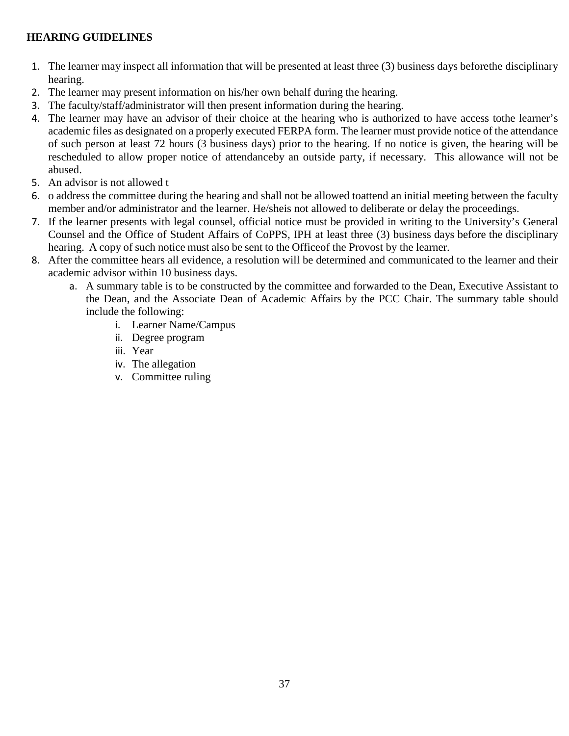#### **HEARING GUIDELINES**

- 1. The learner may inspect all information that will be presented at least three (3) business days beforethe disciplinary hearing.
- 2. The learner may present information on his/her own behalf during the hearing.
- 3. The faculty/staff/administrator will then present information during the hearing.
- 4. The learner may have an advisor of their choice at the hearing who is authorized to have access tothe learner's academic files as designated on a properly executed FERPA form. The learner must provide notice of the attendance of such person at least 72 hours (3 business days) prior to the hearing. If no notice is given, the hearing will be rescheduled to allow proper notice of attendanceby an outside party, if necessary. This allowance will not be abused.
- 5. An advisor is not allowed t
- 6. o address the committee during the hearing and shall not be allowed toattend an initial meeting between the faculty member and/or administrator and the learner. He/sheis not allowed to deliberate or delay the proceedings.
- 7. If the learner presents with legal counsel, official notice must be provided in writing to the University's General Counsel and the Office of Student Affairs of CoPPS, IPH at least three (3) business days before the disciplinary hearing. A copy of such notice must also be sent to the Officeof the Provost by the learner.
- 8. After the committee hears all evidence, a resolution will be determined and communicated to the learner and their academic advisor within 10 business days.
	- a. A summary table is to be constructed by the committee and forwarded to the Dean, Executive Assistant to the Dean, and the Associate Dean of Academic Affairs by the PCC Chair. The summary table should include the following:
		- i. Learner Name/Campus
		- ii. Degree program
		- iii. Year
		- iv. The allegation
		- v. Committee ruling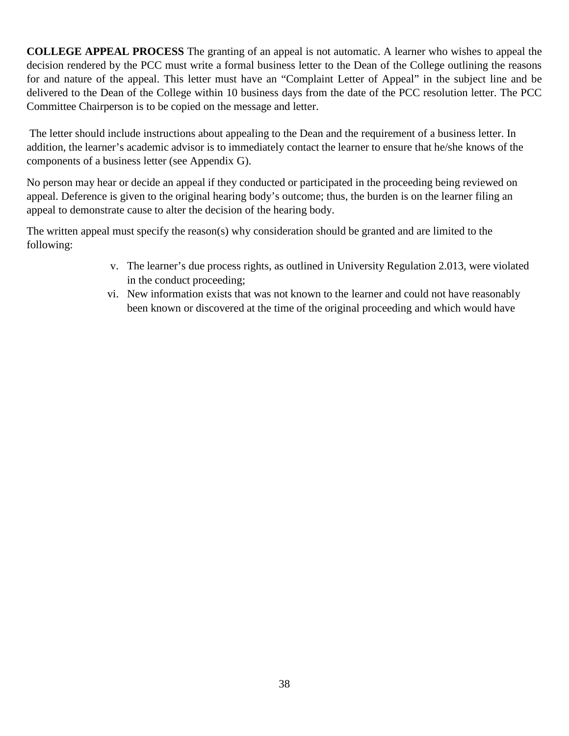**COLLEGE APPEAL PROCESS** The granting of an appeal is not automatic. A learner who wishes to appeal the decision rendered by the PCC must write a formal business letter to the Dean of the College outlining the reasons for and nature of the appeal. This letter must have an "Complaint Letter of Appeal" in the subject line and be delivered to the Dean of the College within 10 business days from the date of the PCC resolution letter. The PCC Committee Chairperson is to be copied on the message and letter.

The letter should include instructions about appealing to the Dean and the requirement of a business letter. In addition, the learner's academic advisor is to immediately contact the learner to ensure that he/she knows of the components of a business letter (see Appendix G).

No person may hear or decide an appeal if they conducted or participated in the proceeding being reviewed on appeal. Deference is given to the original hearing body's outcome; thus, the burden is on the learner filing an appeal to demonstrate cause to alter the decision of the hearing body.

The written appeal must specify the reason(s) why consideration should be granted and are limited to the following:

- v. The learner's due process rights, as outlined in University Regulation 2.013, were violated in the conduct proceeding;
- vi. New information exists that was not known to the learner and could not have reasonably been known or discovered at the time of the original proceeding and which would have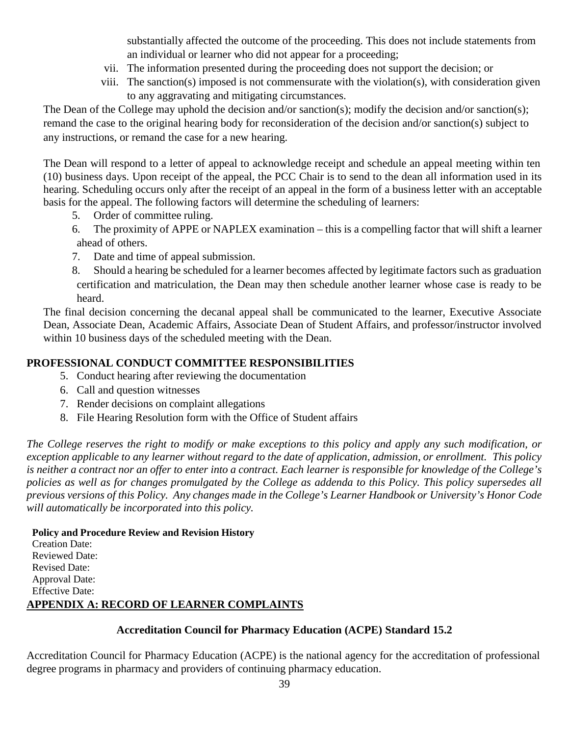substantially affected the outcome of the proceeding. This does not include statements from an individual or learner who did not appear for a proceeding;

- vii. The information presented during the proceeding does not support the decision; or
- viii. The sanction(s) imposed is not commensurate with the violation(s), with consideration given to any aggravating and mitigating circumstances.

The Dean of the College may uphold the decision and/or sanction(s); modify the decision and/or sanction(s); remand the case to the original hearing body for reconsideration of the decision and/or sanction(s) subject to any instructions, or remand the case for a new hearing.

The Dean will respond to a letter of appeal to acknowledge receipt and schedule an appeal meeting within ten (10) business days. Upon receipt of the appeal, the PCC Chair is to send to the dean all information used in its hearing. Scheduling occurs only after the receipt of an appeal in the form of a business letter with an acceptable basis for the appeal. The following factors will determine the scheduling of learners:

- 5. Order of committee ruling.
- 6. The proximity of APPE or NAPLEX examination this is a compelling factor that will shift a learner ahead of others.
- 7. Date and time of appeal submission.

8. Should a hearing be scheduled for a learner becomes affected by legitimate factors such as graduation certification and matriculation, the Dean may then schedule another learner whose case is ready to be heard.

The final decision concerning the decanal appeal shall be communicated to the learner, Executive Associate Dean, Associate Dean, Academic Affairs, Associate Dean of Student Affairs, and professor/instructor involved within 10 business days of the scheduled meeting with the Dean.

### **PROFESSIONAL CONDUCT COMMITTEE RESPONSIBILITIES**

- 5. Conduct hearing after reviewing the documentation
- 6. Call and question witnesses
- 7. Render decisions on complaint allegations
- 8. File Hearing Resolution form with the Office of Student affairs

*The College reserves the right to modify or make exceptions to this policy and apply any such modification, or* exception applicable to any learner without regard to the date of application, admission, or enrollment. This policy is neither a contract nor an offer to enter into a contract. Each learner is responsible for knowledge of the College's *policies as well as for changes promulgated by the College as addenda to this Policy. This policy supersedes all* previous versions of this Policy. Any changes made in the College's Learner Handbook or University's Honor Code *will automatically be incorporated into this policy.*

#### **Policy and Procedure Review and Revision History**

Creation Date: Reviewed Date: Revised Date: Approval Date: Effective Date: **APPENDIX A: RECORD OF LEARNER COMPLAINTS**

#### **Accreditation Council for Pharmacy Education (ACPE) Standard 15.2**

Accreditation Council for Pharmacy Education (ACPE) is the national agency for the accreditation of professional degree programs in pharmacy and providers of continuing pharmacy education.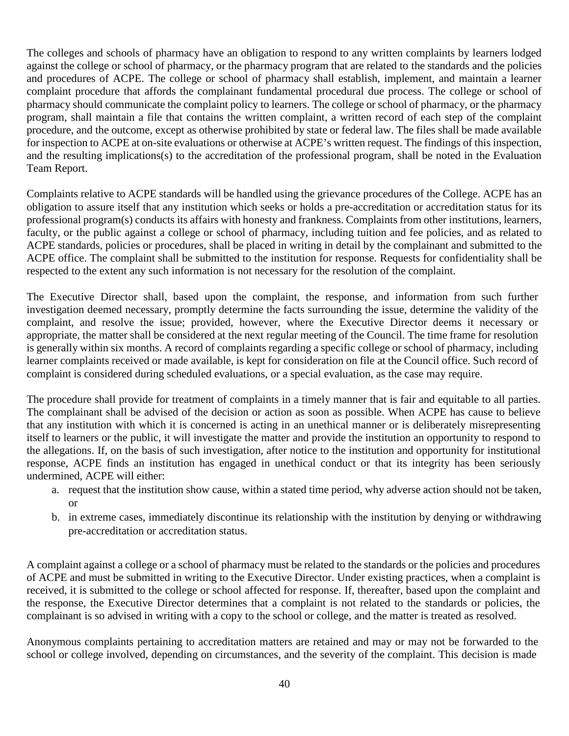The colleges and schools of pharmacy have an obligation to respond to any written complaints by learners lodged against the college or school of pharmacy, or the pharmacy program that are related to the standards and the policies and procedures of ACPE. The college or school of pharmacy shall establish, implement, and maintain a learner complaint procedure that affords the complainant fundamental procedural due process. The college or school of pharmacy should communicate the complaint policy to learners. The college or school of pharmacy, or the pharmacy program, shall maintain a file that contains the written complaint, a written record of each step of the complaint procedure, and the outcome, except as otherwise prohibited by state or federal law. The files shall be made available for inspection to ACPE at on-site evaluations or otherwise at ACPE's written request. The findings of this inspection, and the resulting implications(s) to the accreditation of the professional program, shall be noted in the Evaluation Team Report.

Complaints relative to ACPE standards will be handled using the grievance procedures of the College. ACPE has an obligation to assure itself that any institution which seeks or holds a pre-accreditation or accreditation status for its professional program(s) conducts its affairs with honesty and frankness. Complaints from other institutions, learners, faculty, or the public against a college or school of pharmacy, including tuition and fee policies, and as related to ACPE standards, policies or procedures, shall be placed in writing in detail by the complainant and submitted to the ACPE office. The complaint shall be submitted to the institution for response. Requests for confidentiality shall be respected to the extent any such information is not necessary for the resolution of the complaint.

The Executive Director shall, based upon the complaint, the response, and information from such further investigation deemed necessary, promptly determine the facts surrounding the issue, determine the validity of the complaint, and resolve the issue; provided, however, where the Executive Director deems it necessary or appropriate, the matter shall be considered at the next regular meeting of the Council. The time frame for resolution is generally within six months. A record of complaints regarding a specific college or school of pharmacy, including learner complaints received or made available, is kept for consideration on file at the Council office. Such record of complaint is considered during scheduled evaluations, or a special evaluation, as the case may require.

The procedure shall provide for treatment of complaints in a timely manner that is fair and equitable to all parties. The complainant shall be advised of the decision or action as soon as possible. When ACPE has cause to believe that any institution with which it is concerned is acting in an unethical manner or is deliberately misrepresenting itself to learners or the public, it will investigate the matter and provide the institution an opportunity to respond to the allegations. If, on the basis of such investigation, after notice to the institution and opportunity for institutional response, ACPE finds an institution has engaged in unethical conduct or that its integrity has been seriously undermined, ACPE will either:

- a. request that the institution show cause, within a stated time period, why adverse action should not be taken, or
- b. in extreme cases, immediately discontinue its relationship with the institution by denying or withdrawing pre-accreditation or accreditation status.

A complaint against a college or a school of pharmacy must be related to the standards or the policies and procedures of ACPE and must be submitted in writing to the Executive Director. Under existing practices, when a complaint is received, it is submitted to the college or school affected for response. If, thereafter, based upon the complaint and the response, the Executive Director determines that a complaint is not related to the standards or policies, the complainant is so advised in writing with a copy to the school or college, and the matter is treated as resolved.

Anonymous complaints pertaining to accreditation matters are retained and may or may not be forwarded to the school or college involved, depending on circumstances, and the severity of the complaint. This decision is made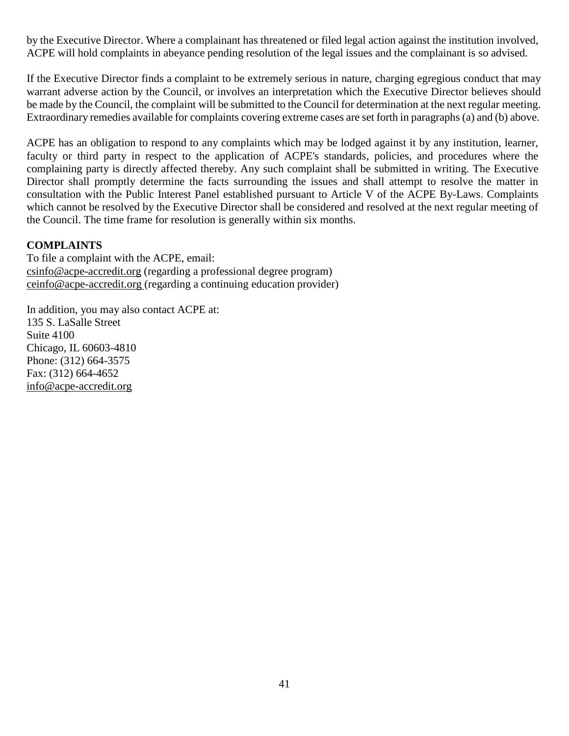by the Executive Director. Where a complainant has threatened or filed legal action against the institution involved, ACPE will hold complaints in abeyance pending resolution of the legal issues and the complainant is so advised.

If the Executive Director finds a complaint to be extremely serious in nature, charging egregious conduct that may warrant adverse action by the Council, or involves an interpretation which the Executive Director believes should be made by the Council, the complaint will be submitted to the Council for determination at the next regular meeting. Extraordinary remedies available for complaints covering extreme cases are set forth in paragraphs (a) and (b) above.

ACPE has an obligation to respond to any complaints which may be lodged against it by any institution, learner, faculty or third party in respect to the application of ACPE's standards, policies, and procedures where the complaining party is directly affected thereby. Any such complaint shall be submitted in writing. The Executive Director shall promptly determine the facts surrounding the issues and shall attempt to resolve the matter in consultation with the Public Interest Panel established pursuant to Article V of the ACPE By-Laws. Complaints which cannot be resolved by the Executive Director shall be considered and resolved at the next regular meeting of the Council. The time frame for resolution is generally within six months.

#### **COMPLAINTS**

To file a complaint with the ACPE, email: [csinfo@acpe-accredit.org](mailto:csinfo@acpe-accredit.org) (regarding a professional degree program) [ceinfo@acpe-accredit.org](mailto:ceinfo@acpe-accredit.org) (regarding a continuing education provider)

In addition, you may also contact ACPE at: 135 S. LaSalle Street Suite 4100 Chicago, IL 60603-4810 Phone: (312) 664-3575 Fax: (312) 664-4652 [info@acpe-accredit.org](mailto:info@acpe-accredit.org)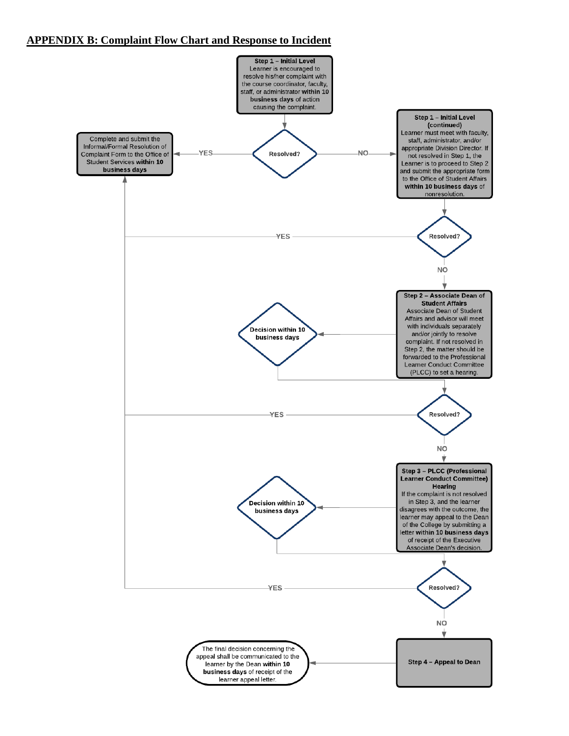#### **APPENDIX B: Complaint Flow Chart and Response to Incident**

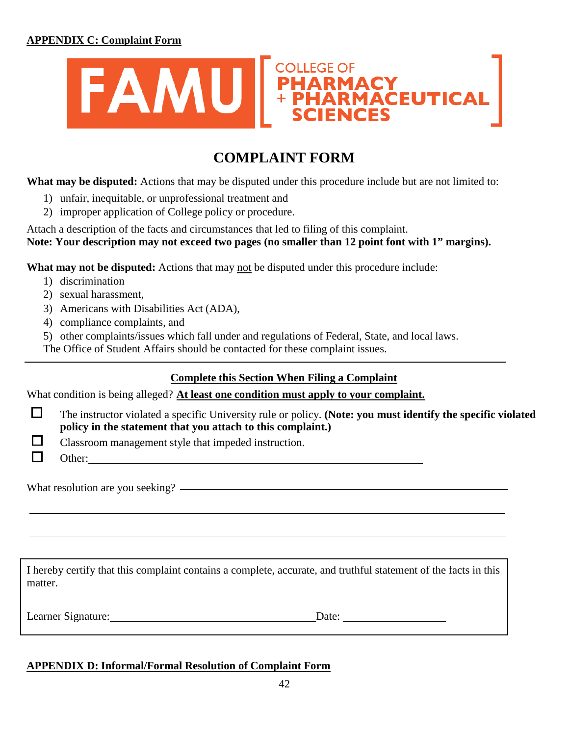

## **COMPLAINT FORM**

**What may be disputed:** Actions that may be disputed under this procedure include but are not limited to:

- 1) unfair, inequitable, or unprofessional treatment and
- 2) improper application of College policy or procedure.

Attach a description of the facts and circumstances that led to filing of this complaint. **Note: Your description may not exceed two pages (no smaller than 12 point font with 1" margins).**

**What may not be disputed:** Actions that may not be disputed under this procedure include:

- 1) discrimination
- 2) sexual harassment,
- 3) Americans with Disabilities Act (ADA),
- 4) compliance complaints, and

5) other complaints/issues which fall under and regulations of Federal, State, and local laws.

The Office of Student Affairs should be contacted for these complaint issues.

### **Complete this Section When Filing a Complaint**

What condition is being alleged? **At least one condition must apply to your complaint.**

 $\Box$ The instructor violated a specific University rule or policy. **(Note: you must identify the specific violated policy in the statement that you attach to this complaint.)**

Classroom management style that impeded instruction.

П

□

What resolution are you seeking?

Other:

I hereby certify that this complaint contains a complete, accurate, and truthful statement of the facts in this matter.

Learner Signature: Date:

#### **APPENDIX D: Informal/Formal Resolution of Complaint Form**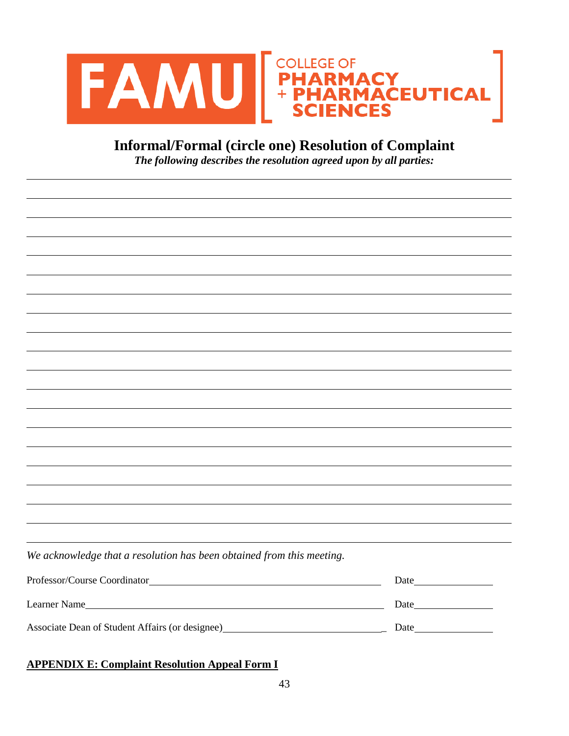



*The following describes the resolution agreed upon by all parties:*

| We acknowledge that a resolution has been obtained from this meeting.                                             |      |
|-------------------------------------------------------------------------------------------------------------------|------|
|                                                                                                                   | Date |
| Learner Name                                                                                                      | Date |
| Associate Dean of Student Affairs (or designee)<br><u>Letter and the student of Student Affairs</u> (or designee) |      |

#### **APPENDIX E: Complaint Resolution Appeal Form I**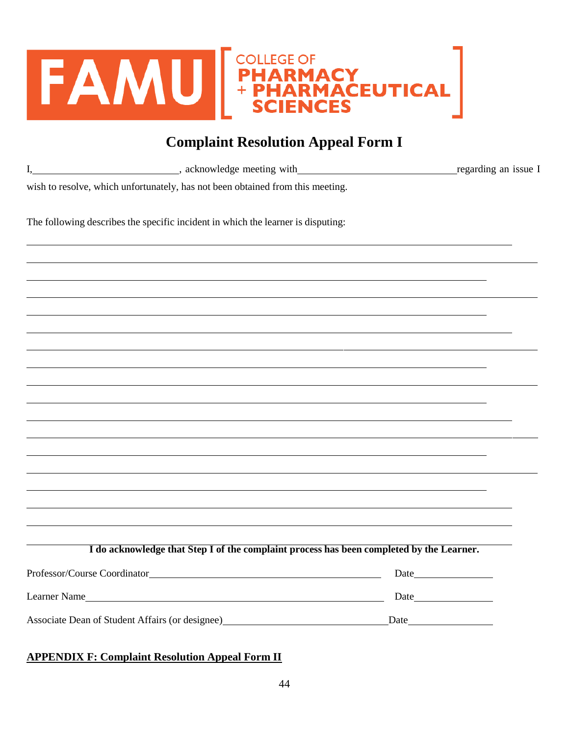

## **Complaint Resolution Appeal Form I**

| I,                            | acknowledge meeting with the contract of the contract of the contract of the contract of the contract of the contract of the contract of the contract of the contract of the contract of the contract of the contract of the c | regarding an issue I |  |
|-------------------------------|--------------------------------------------------------------------------------------------------------------------------------------------------------------------------------------------------------------------------------|----------------------|--|
|                               | wish to resolve, which unfortunately, has not been obtained from this meeting.                                                                                                                                                 |                      |  |
|                               | The following describes the specific incident in which the learner is disputing:                                                                                                                                               |                      |  |
|                               |                                                                                                                                                                                                                                |                      |  |
|                               |                                                                                                                                                                                                                                |                      |  |
|                               |                                                                                                                                                                                                                                |                      |  |
|                               |                                                                                                                                                                                                                                |                      |  |
|                               |                                                                                                                                                                                                                                |                      |  |
|                               |                                                                                                                                                                                                                                |                      |  |
|                               |                                                                                                                                                                                                                                |                      |  |
|                               |                                                                                                                                                                                                                                |                      |  |
|                               |                                                                                                                                                                                                                                |                      |  |
|                               |                                                                                                                                                                                                                                |                      |  |
|                               | I do acknowledge that Step I of the complaint process has been completed by the Learner.                                                                                                                                       |                      |  |
| Professor/Course Coordinator_ |                                                                                                                                                                                                                                |                      |  |
|                               | Learner Name                                                                                                                                                                                                                   |                      |  |
|                               | Associate Dean of Student Affairs (or designee) Manual Associate Dean of Student Affairs (or designee)                                                                                                                         | Date                 |  |

### **APPENDIX F: Complaint Resolution Appeal Form II**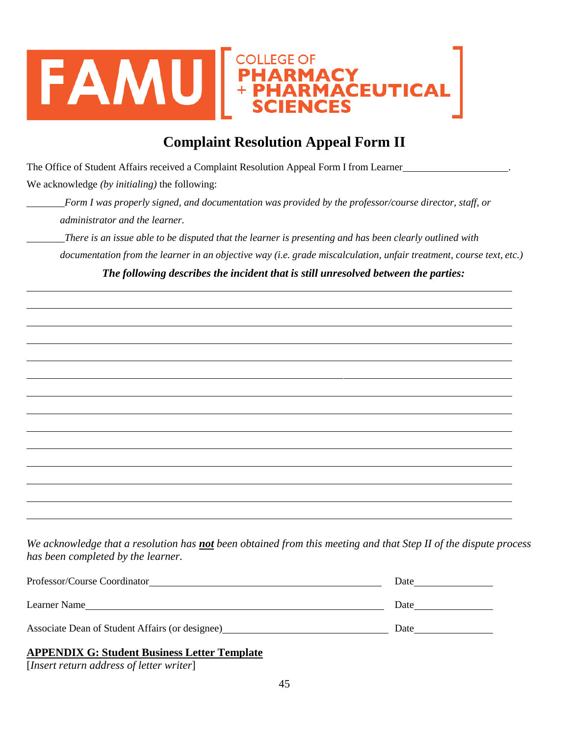

## **Complaint Resolution Appeal Form II**

The Office of Student Affairs received a Complaint Resolution Appeal Form I from Learner .

We acknowledge *(by initialing)* the following:

*Form I was properly signed, and documentation was provided by the professor/course director, staff, or administrator and the learner.*

*There is an issue able to be disputed that the learner is presenting and has been clearly outlined with documentation from the learner in an objective way (i.e. grade miscalculation, unfair treatment, course text, etc.)*

*The following describes the incident that is still unresolved between the parties:*

We acknowledge that a resolution has not been obtained from this meeting and that Step II of the dispute process *has been completed by the learner.*

| Professor/Course Coordinator                        | Date |
|-----------------------------------------------------|------|
| Learner Name                                        | Date |
| Associate Dean of Student Affairs (or designee)     | Date |
| <b>APPENDIX G: Student Business Letter Template</b> |      |

[*Insert return address of letter writer*]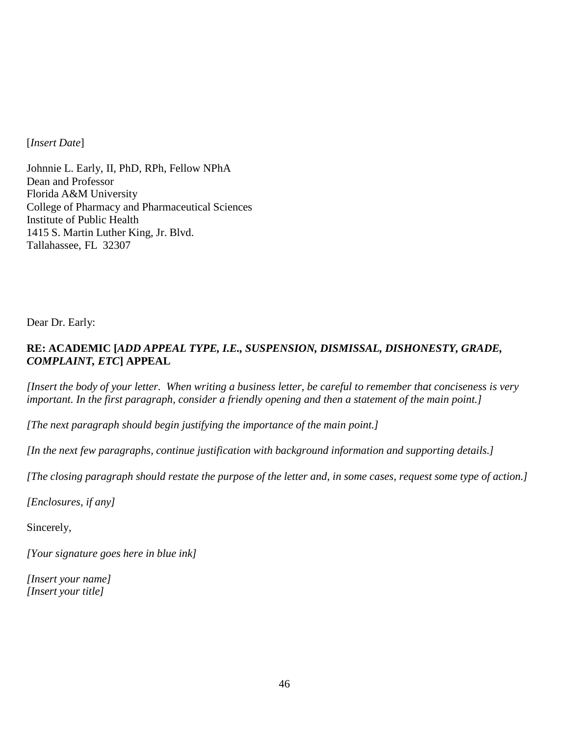[*Insert Date*]

Johnnie L. Early, II, PhD, RPh, Fellow NPhA Dean and Professor Florida A&M University College of Pharmacy and Pharmaceutical Sciences Institute of Public Health 1415 S. Martin Luther King, Jr. Blvd. Tallahassee, FL 32307

Dear Dr. Early:

#### **RE: ACADEMIC [***ADD APPEAL TYPE, I.E., SUSPENSION, DISMISSAL, DISHONESTY, GRADE, COMPLAINT, ETC***] APPEAL**

[Insert the body of your letter. When writing a business letter, be careful to remember that conciseness is very *important. In the first paragraph, consider a friendly opening and then a statement of the main point.]*

*[The next paragraph should begin justifying the importance of the main point.]*

*[In the next few paragraphs, continue justification with background information and supporting details.]*

[The closing paragraph should restate the purpose of the letter and, in some cases, request some type of action.]

*[Enclosures, if any]*

Sincerely,

*[Your signature goes here in blue ink]*

*[Insert your name] [Insert your title]*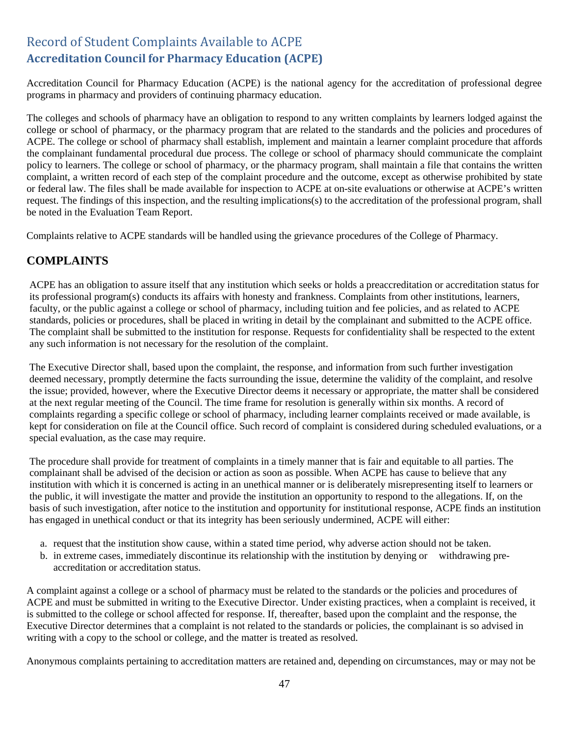### <span id="page-46-1"></span><span id="page-46-0"></span>Record of Student Complaints Available to ACPE **Accreditation Council for Pharmacy Education (ACPE)**

Accreditation Council for Pharmacy Education (ACPE) is the national agency for the accreditation of professional degree programs in pharmacy and providers of continuing pharmacy education.

The colleges and schools of pharmacy have an obligation to respond to any written complaints by learners lodged against the college or school of pharmacy, or the pharmacy program that are related to the standards and the policies and procedures of ACPE. The college or school of pharmacy shall establish, implement and maintain a learner complaint procedure that affords the complainant fundamental procedural due process. The college or school of pharmacy should communicate the complaint policy to learners. The college or school of pharmacy, or the pharmacy program, shall maintain a file that contains the written complaint, a written record of each step of the complaint procedure and the outcome, except as otherwise prohibited by state or federal law. The files shall be made available for inspection to ACPE at on-site evaluations or otherwise at ACPE's written request. The findings of this inspection, and the resulting implications(s) to the accreditation of the professional program, shall be noted in the Evaluation Team Report.

Complaints relative to ACPE standards will be handled using the grievance procedures of the College of Pharmacy.

#### **COMPLAINTS**

ACPE has an obligation to assure itself that any institution which seeks or holds a preaccreditation or accreditation status for its professional program(s) conducts its affairs with honesty and frankness. Complaints from other institutions, learners, faculty, or the public against a college or school of pharmacy, including tuition and fee policies, and as related to ACPE standards, policies or procedures, shall be placed in writing in detail by the complainant and submitted to the ACPE office. The complaint shall be submitted to the institution for response. Requests for confidentiality shall be respected to the extent any such information is not necessary for the resolution of the complaint.

The Executive Director shall, based upon the complaint, the response, and information from such further investigation deemed necessary, promptly determine the facts surrounding the issue, determine the validity of the complaint, and resolve the issue; provided, however, where the Executive Director deems it necessary or appropriate, the matter shall be considered at the next regular meeting of the Council. The time frame for resolution is generally within six months. A record of complaints regarding a specific college or school of pharmacy, including learner complaints received or made available, is kept for consideration on file at the Council office. Such record of complaint is considered during scheduled evaluations, or a special evaluation, as the case may require.

The procedure shall provide for treatment of complaints in a timely manner that is fair and equitable to all parties. The complainant shall be advised of the decision or action as soon as possible. When ACPE has cause to believe that any institution with which it is concerned is acting in an unethical manner or is deliberately misrepresenting itself to learners or the public, it will investigate the matter and provide the institution an opportunity to respond to the allegations. If, on the basis of such investigation, after notice to the institution and opportunity for institutional response, ACPE finds an institution has engaged in unethical conduct or that its integrity has been seriously undermined, ACPE will either:

- a. request that the institution show cause, within a stated time period, why adverse action should not be taken.
- b. in extreme cases, immediately discontinue its relationship with the institution by denying or withdrawing preaccreditation or accreditation status.

A complaint against a college or a school of pharmacy must be related to the standards or the policies and procedures of ACPE and must be submitted in writing to the Executive Director. Under existing practices, when a complaint is received, it is submitted to the college or school affected for response. If, thereafter, based upon the complaint and the response, the Executive Director determines that a complaint is not related to the standards or policies, the complainant is so advised in writing with a copy to the school or college, and the matter is treated as resolved.

Anonymous complaints pertaining to accreditation matters are retained and, depending on circumstances, may or may not be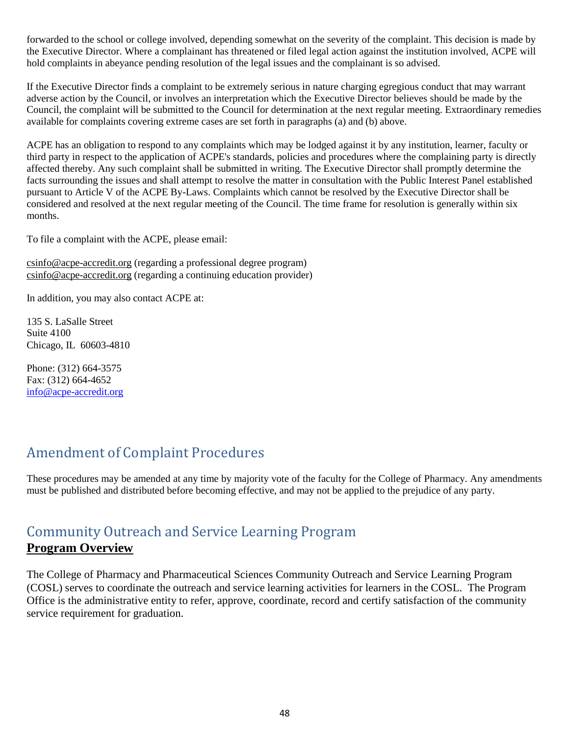forwarded to the school or college involved, depending somewhat on the severity of the complaint. This decision is made by the Executive Director. Where a complainant has threatened or filed legal action against the institution involved, ACPE will hold complaints in abeyance pending resolution of the legal issues and the complainant is so advised.

If the Executive Director finds a complaint to be extremely serious in nature charging egregious conduct that may warrant adverse action by the Council, or involves an interpretation which the Executive Director believes should be made by the Council, the complaint will be submitted to the Council for determination at the next regular meeting. Extraordinary remedies available for complaints covering extreme cases are set forth in paragraphs (a) and (b) above.

ACPE has an obligation to respond to any complaints which may be lodged against it by any institution, learner, faculty or third party in respect to the application of ACPE's standards, policies and procedures where the complaining party is directly affected thereby. Any such complaint shall be submitted in writing. The Executive Director shall promptly determine the facts surrounding the issues and shall attempt to resolve the matter in consultation with the Public Interest Panel established pursuant to Article V of the ACPE By-Laws. Complaints which cannot be resolved by the Executive Director shall be considered and resolved at the next regular meeting of the Council. The time frame for resolution is generally within six months.

To file a complaint with the ACPE, please email:

[csinfo@acpe-accredit.org](mailto:csinfo@acpe-accredit.org) (regarding a professional degree program) [csinfo@acpe-accredit.org](mailto:csinfo@acpe-accredit.org) (regarding a continuing education provider)

In addition, you may also contact ACPE at:

135 S. LaSalle Street Suite 4100 Chicago, IL 60603-4810

Phone: (312) 664-3575 Fax: (312) 664-4652 [info@acpe-accredit.org](mailto:info@acpe-accredit.org)

## <span id="page-47-0"></span>Amendment of Complaint Procedures

These procedures may be amended at any time by majority vote of the faculty for the College of Pharmacy. Any amendments must be published and distributed before becoming effective, and may not be applied to the prejudice of any party.

## <span id="page-47-1"></span>Community Outreach and Service Learning Program **Program Overview**

The College of Pharmacy and Pharmaceutical Sciences Community Outreach and Service Learning Program (COSL) serves to coordinate the outreach and service learning activities for learners in the COSL. The Program Office is the administrative entity to refer, approve, coordinate, record and certify satisfaction of the community service requirement for graduation.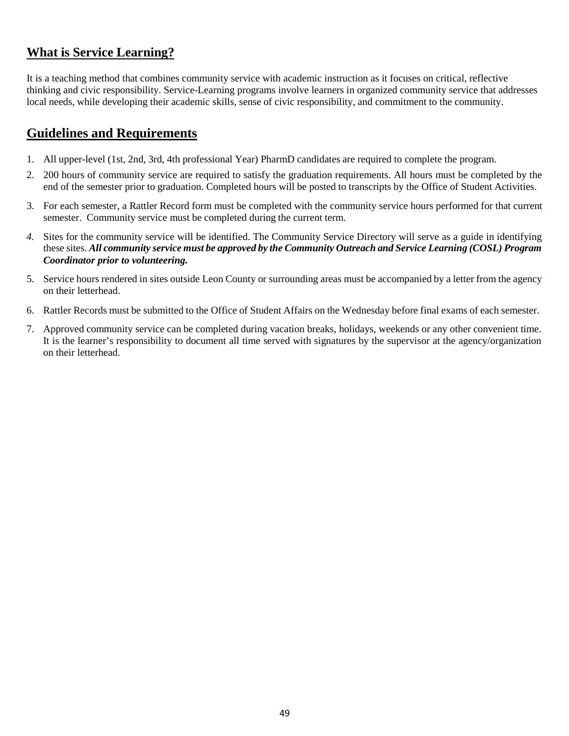### **What is Service Learning?**

It is a teaching method that combines community service with academic instruction as it focuses on critical, reflective thinking and civic responsibility. Service-Learning programs involve learners in organized community service that addresses local needs, while developing their academic skills, sense of civic responsibility, and commitment to the community.

### **Guidelines and Requirements**

- 1. All upper-level (1st, 2nd, 3rd, 4th professional Year) PharmD candidates are required to complete the program.
- 2. 200 hours of community service are required to satisfy the graduation requirements. All hours must be completed by the end of the semester prior to graduation. Completed hours will be posted to transcripts by the Office of Student Activities.
- 3. For each semester, a Rattler Record form must be completed with the community service hours performed for that current semester. Community service must be completed during the current term.
- *4.* Sites for the community service will be identified. The Community Service Directory will serve as a guide in identifying these sites. *All community service must be approved by the Community Outreach and Service Learning (COSL) Program Coordinator prior to volunteering.*
- 5. Service hours rendered in sites outside Leon County or surrounding areas must be accompanied by a letter from the agency on their letterhead.
- 6. Rattler Records must be submitted to the Office of Student Affairs on the Wednesday before final exams of each semester.
- 7. Approved community service can be completed during vacation breaks, holidays, weekends or any other convenient time. It is the learner's responsibility to document all time served with signatures by the supervisor at the agency/organization on their letterhead.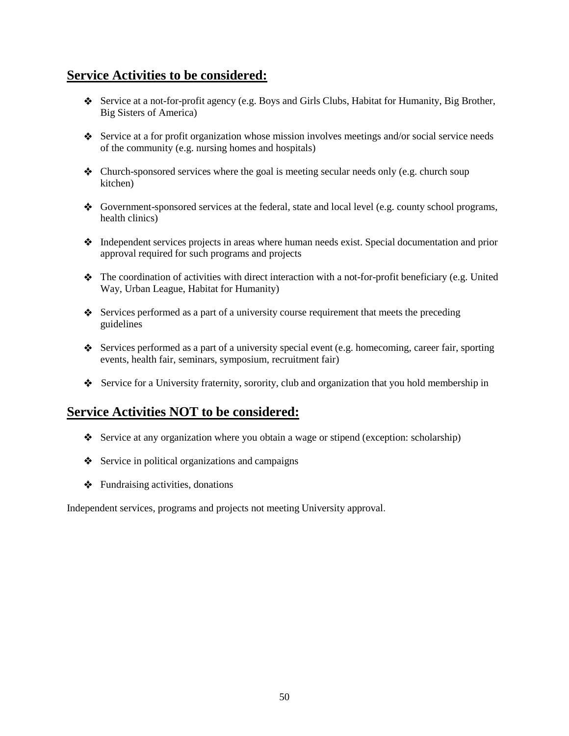### **Service Activities to be considered:**

- Service at a not-for-profit agency (e.g. Boys and Girls Clubs, Habitat for Humanity, Big Brother, Big Sisters of America)
- Service at a for profit organization whose mission involves meetings and/or social service needs of the community (e.g. nursing homes and hospitals)
- $\triangleleft$  Church-sponsored services where the goal is meeting secular needs only (e.g. church soup kitchen)
- Government-sponsored services at the federal, state and local level (e.g. county school programs, health clinics)
- Independent services projects in areas where human needs exist. Special documentation and prior approval required for such programs and projects
- $\bullet$  The coordination of activities with direct interaction with a not-for-profit beneficiary (e.g. United Way, Urban League, Habitat for Humanity)
- $\bullet$  Services performed as a part of a university course requirement that meets the preceding guidelines
- Services performed as a part of a university special event (e.g. homecoming, career fair, sporting events, health fair, seminars, symposium, recruitment fair)
- Service for a University fraternity, sorority, club and organization that you hold membership in

### **Service Activities NOT to be considered:**

- Service at any organization where you obtain a wage or stipend (exception: scholarship)
- $\bullet$  Service in political organizations and campaigns
- $\triangleleft$  Fundraising activities, donations

Independent services, programs and projects not meeting University approval.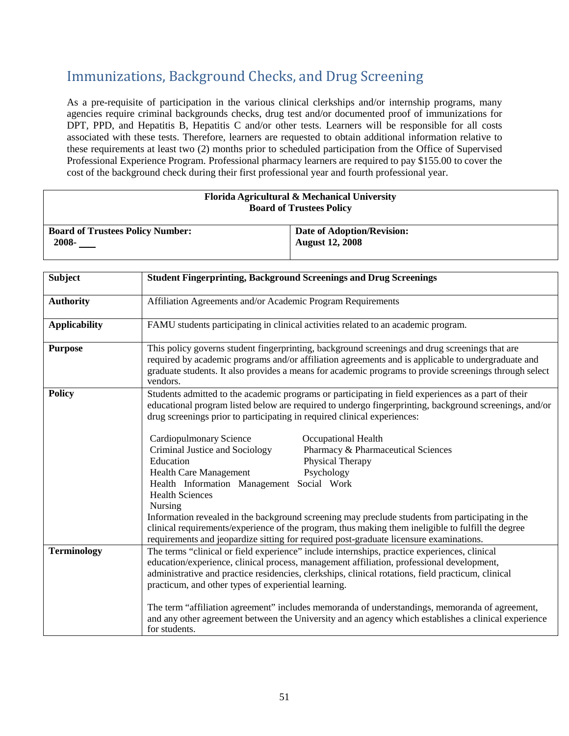## <span id="page-50-0"></span>Immunizations, Background Checks, and Drug Screening

As a pre-requisite of participation in the various clinical clerkships and/or internship programs, many agencies require criminal backgrounds checks, drug test and/or documented proof of immunizations for DPT, PPD, and Hepatitis B, Hepatitis C and/or other tests. Learners will be responsible for all costs associated with these tests. Therefore, learners are requested to obtain additional information relative to these requirements at least two (2) months prior to scheduled participation from the Office of Supervised Professional Experience Program. Professional pharmacy learners are required to pay \$155.00 to cover the cost of the background check during their first professional year and fourth professional year.

#### **Florida Agricultural & Mechanical University Board of Trustees Policy**

| <b>Board of Trustees Policy Number:</b> | Date of Adoption/Revision: |
|-----------------------------------------|----------------------------|
| 2008-                                   | August 12, 2008            |
|                                         |                            |

| <b>Subject</b>       | <b>Student Fingerprinting, Background Screenings and Drug Screenings</b>                                                                                                                                                                                                                                                                                                                                                                                                                                                                                                                                          |  |
|----------------------|-------------------------------------------------------------------------------------------------------------------------------------------------------------------------------------------------------------------------------------------------------------------------------------------------------------------------------------------------------------------------------------------------------------------------------------------------------------------------------------------------------------------------------------------------------------------------------------------------------------------|--|
| <b>Authority</b>     | Affiliation Agreements and/or Academic Program Requirements                                                                                                                                                                                                                                                                                                                                                                                                                                                                                                                                                       |  |
| <b>Applicability</b> | FAMU students participating in clinical activities related to an academic program.                                                                                                                                                                                                                                                                                                                                                                                                                                                                                                                                |  |
| <b>Purpose</b>       | This policy governs student fingerprinting, background screenings and drug screenings that are<br>required by academic programs and/or affiliation agreements and is applicable to undergraduate and<br>graduate students. It also provides a means for academic programs to provide screenings through select<br>vendors.                                                                                                                                                                                                                                                                                        |  |
| <b>Policy</b>        | Students admitted to the academic programs or participating in field experiences as a part of their<br>educational program listed below are required to undergo fingerprinting, background screenings, and/or<br>drug screenings prior to participating in required clinical experiences:                                                                                                                                                                                                                                                                                                                         |  |
|                      | <b>Cardiopulmonary Science</b><br><b>Occupational Health</b><br>Criminal Justice and Sociology<br>Pharmacy & Pharmaceutical Sciences<br>Education<br>Physical Therapy<br><b>Health Care Management</b><br>Psychology<br>Health Information Management Social Work<br><b>Health Sciences</b><br><b>Nursing</b><br>Information revealed in the background screening may preclude students from participating in the<br>clinical requirements/experience of the program, thus making them ineligible to fulfill the degree<br>requirements and jeopardize sitting for required post-graduate licensure examinations. |  |
| <b>Terminology</b>   | The terms "clinical or field experience" include internships, practice experiences, clinical<br>education/experience, clinical process, management affiliation, professional development,<br>administrative and practice residencies, clerkships, clinical rotations, field practicum, clinical<br>practicum, and other types of experiential learning.<br>The term "affiliation agreement" includes memoranda of understandings, memoranda of agreement,<br>and any other agreement between the University and an agency which establishes a clinical experience<br>for students.                                |  |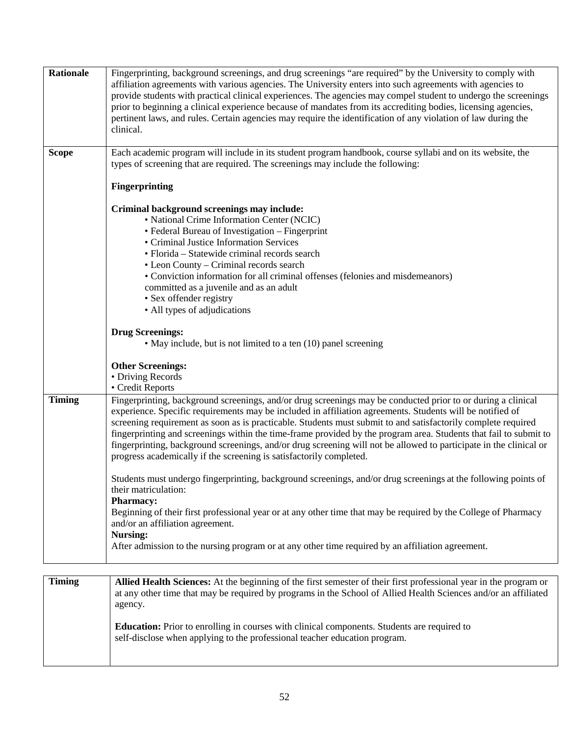| <b>Rationale</b> | Fingerprinting, background screenings, and drug screenings "are required" by the University to comply with<br>affiliation agreements with various agencies. The University enters into such agreements with agencies to<br>provide students with practical clinical experiences. The agencies may compel student to undergo the screenings<br>prior to beginning a clinical experience because of mandates from its accrediting bodies, licensing agencies,<br>pertinent laws, and rules. Certain agencies may require the identification of any violation of law during the<br>clinical.                                                                    |
|------------------|--------------------------------------------------------------------------------------------------------------------------------------------------------------------------------------------------------------------------------------------------------------------------------------------------------------------------------------------------------------------------------------------------------------------------------------------------------------------------------------------------------------------------------------------------------------------------------------------------------------------------------------------------------------|
| <b>Scope</b>     | Each academic program will include in its student program handbook, course syllabi and on its website, the<br>types of screening that are required. The screenings may include the following:                                                                                                                                                                                                                                                                                                                                                                                                                                                                |
|                  | <b>Fingerprinting</b>                                                                                                                                                                                                                                                                                                                                                                                                                                                                                                                                                                                                                                        |
|                  | Criminal background screenings may include:<br>• National Crime Information Center (NCIC)<br>• Federal Bureau of Investigation - Fingerprint<br>• Criminal Justice Information Services<br>• Florida – Statewide criminal records search<br>• Leon County - Criminal records search<br>• Conviction information for all criminal offenses (felonies and misdemeanors)<br>committed as a juvenile and as an adult<br>• Sex offender registry<br>• All types of adjudications                                                                                                                                                                                  |
|                  | <b>Drug Screenings:</b>                                                                                                                                                                                                                                                                                                                                                                                                                                                                                                                                                                                                                                      |
|                  | • May include, but is not limited to a ten (10) panel screening                                                                                                                                                                                                                                                                                                                                                                                                                                                                                                                                                                                              |
|                  | <b>Other Screenings:</b><br>• Driving Records<br>• Credit Reports                                                                                                                                                                                                                                                                                                                                                                                                                                                                                                                                                                                            |
| <b>Timing</b>    | Fingerprinting, background screenings, and/or drug screenings may be conducted prior to or during a clinical<br>experience. Specific requirements may be included in affiliation agreements. Students will be notified of<br>screening requirement as soon as is practicable. Students must submit to and satisfactorily complete required<br>fingerprinting and screenings within the time-frame provided by the program area. Students that fail to submit to<br>fingerprinting, background screenings, and/or drug screening will not be allowed to participate in the clinical or<br>progress academically if the screening is satisfactorily completed. |
|                  | Students must undergo fingerprinting, background screenings, and/or drug screenings at the following points of<br>their matriculation:<br><b>Pharmacy:</b><br>Beginning of their first professional year or at any other time that may be required by the College of Pharmacy                                                                                                                                                                                                                                                                                                                                                                                |
|                  | and/or an affiliation agreement.<br><b>Nursing:</b><br>After admission to the nursing program or at any other time required by an affiliation agreement.                                                                                                                                                                                                                                                                                                                                                                                                                                                                                                     |
| <b>Timing</b>    | Allied Health Sciences: At the beginning of the first semester of their first professional year in the program or<br>at any other time that may be required by programs in the School of Allied Health Sciences and/or an affiliated<br>agency.                                                                                                                                                                                                                                                                                                                                                                                                              |

**Education:** Prior to enrolling in courses with clinical components. Students are required to self-disclose when applying to the professional teacher education program.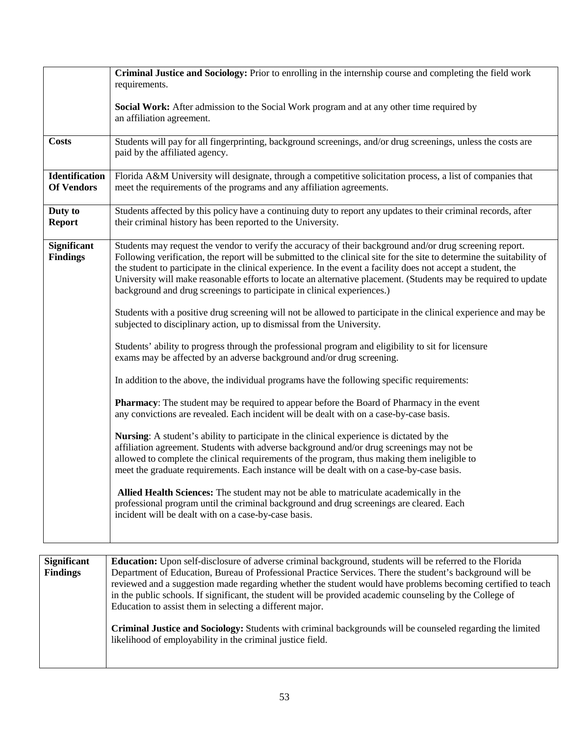|                                       | Criminal Justice and Sociology: Prior to enrolling in the internship course and completing the field work<br>requirements.                                                                                                                                                                                                                                                                                                                                                                                                                                                                                                                                                                                                                                                                                                                                                                                                                                                                                                                                                                                                                                                                                                                                                                                                                                                                                                                                                                                                                                                                                                                                                                                                                                                                                                                                         |
|---------------------------------------|--------------------------------------------------------------------------------------------------------------------------------------------------------------------------------------------------------------------------------------------------------------------------------------------------------------------------------------------------------------------------------------------------------------------------------------------------------------------------------------------------------------------------------------------------------------------------------------------------------------------------------------------------------------------------------------------------------------------------------------------------------------------------------------------------------------------------------------------------------------------------------------------------------------------------------------------------------------------------------------------------------------------------------------------------------------------------------------------------------------------------------------------------------------------------------------------------------------------------------------------------------------------------------------------------------------------------------------------------------------------------------------------------------------------------------------------------------------------------------------------------------------------------------------------------------------------------------------------------------------------------------------------------------------------------------------------------------------------------------------------------------------------------------------------------------------------------------------------------------------------|
|                                       | Social Work: After admission to the Social Work program and at any other time required by<br>an affiliation agreement.                                                                                                                                                                                                                                                                                                                                                                                                                                                                                                                                                                                                                                                                                                                                                                                                                                                                                                                                                                                                                                                                                                                                                                                                                                                                                                                                                                                                                                                                                                                                                                                                                                                                                                                                             |
| <b>Costs</b>                          | Students will pay for all fingerprinting, background screenings, and/or drug screenings, unless the costs are<br>paid by the affiliated agency.                                                                                                                                                                                                                                                                                                                                                                                                                                                                                                                                                                                                                                                                                                                                                                                                                                                                                                                                                                                                                                                                                                                                                                                                                                                                                                                                                                                                                                                                                                                                                                                                                                                                                                                    |
| Identification<br><b>Of Vendors</b>   | Florida A&M University will designate, through a competitive solicitation process, a list of companies that<br>meet the requirements of the programs and any affiliation agreements.                                                                                                                                                                                                                                                                                                                                                                                                                                                                                                                                                                                                                                                                                                                                                                                                                                                                                                                                                                                                                                                                                                                                                                                                                                                                                                                                                                                                                                                                                                                                                                                                                                                                               |
| Duty to<br><b>Report</b>              | Students affected by this policy have a continuing duty to report any updates to their criminal records, after<br>their criminal history has been reported to the University.                                                                                                                                                                                                                                                                                                                                                                                                                                                                                                                                                                                                                                                                                                                                                                                                                                                                                                                                                                                                                                                                                                                                                                                                                                                                                                                                                                                                                                                                                                                                                                                                                                                                                      |
| <b>Significant</b><br><b>Findings</b> | Students may request the vendor to verify the accuracy of their background and/or drug screening report.<br>Following verification, the report will be submitted to the clinical site for the site to determine the suitability of<br>the student to participate in the clinical experience. In the event a facility does not accept a student, the<br>University will make reasonable efforts to locate an alternative placement. (Students may be required to update<br>background and drug screenings to participate in clinical experiences.)<br>Students with a positive drug screening will not be allowed to participate in the clinical experience and may be<br>subjected to disciplinary action, up to dismissal from the University.<br>Students' ability to progress through the professional program and eligibility to sit for licensure<br>exams may be affected by an adverse background and/or drug screening.<br>In addition to the above, the individual programs have the following specific requirements:<br><b>Pharmacy:</b> The student may be required to appear before the Board of Pharmacy in the event<br>any convictions are revealed. Each incident will be dealt with on a case-by-case basis.<br>Nursing: A student's ability to participate in the clinical experience is dictated by the<br>affiliation agreement. Students with adverse background and/or drug screenings may not be<br>allowed to complete the clinical requirements of the program, thus making them ineligible to<br>meet the graduate requirements. Each instance will be dealt with on a case-by-case basis.<br>Allied Health Sciences: The student may not be able to matriculate academically in the<br>professional program until the criminal background and drug screenings are cleared. Each<br>incident will be dealt with on a case-by-case basis. |

| <b>Significant</b> | <b>Education:</b> Upon self-disclosure of adverse criminal background, students will be referred to the Florida                                                                                                                                                                                                                                                                                    |
|--------------------|----------------------------------------------------------------------------------------------------------------------------------------------------------------------------------------------------------------------------------------------------------------------------------------------------------------------------------------------------------------------------------------------------|
| <b>Findings</b>    | Department of Education, Bureau of Professional Practice Services. There the student's background will be<br>reviewed and a suggestion made regarding whether the student would have problems becoming certified to teach<br>in the public schools. If significant, the student will be provided academic counseling by the College of<br>Education to assist them in selecting a different major. |
|                    | Criminal Justice and Sociology: Students with criminal backgrounds will be counseled regarding the limited<br>likelihood of employability in the criminal justice field.                                                                                                                                                                                                                           |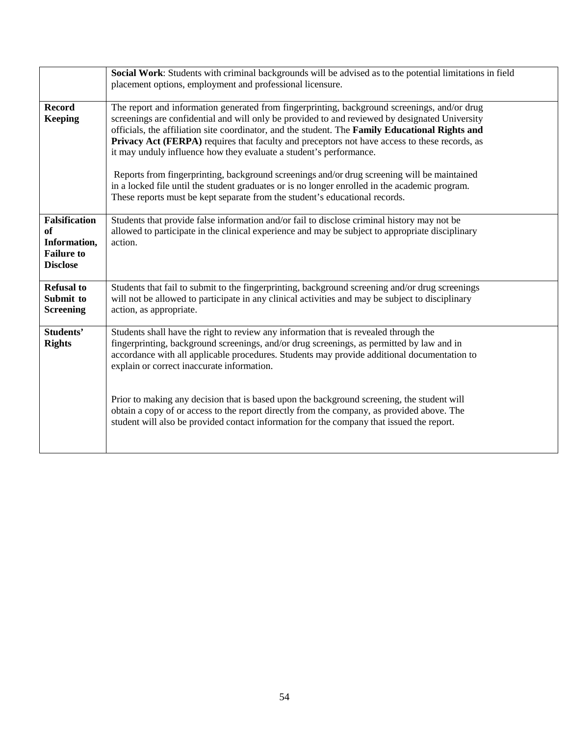|                                                                                           | Social Work: Students with criminal backgrounds will be advised as to the potential limitations in field<br>placement options, employment and professional licensure.                                                                                                                                                                                                                                                                                                                                                                                                                                                                                                                                                                                    |
|-------------------------------------------------------------------------------------------|----------------------------------------------------------------------------------------------------------------------------------------------------------------------------------------------------------------------------------------------------------------------------------------------------------------------------------------------------------------------------------------------------------------------------------------------------------------------------------------------------------------------------------------------------------------------------------------------------------------------------------------------------------------------------------------------------------------------------------------------------------|
| <b>Record</b><br><b>Keeping</b>                                                           | The report and information generated from fingerprinting, background screenings, and/or drug<br>screenings are confidential and will only be provided to and reviewed by designated University<br>officials, the affiliation site coordinator, and the student. The Family Educational Rights and<br>Privacy Act (FERPA) requires that faculty and preceptors not have access to these records, as<br>it may unduly influence how they evaluate a student's performance.<br>Reports from fingerprinting, background screenings and/or drug screening will be maintained<br>in a locked file until the student graduates or is no longer enrolled in the academic program.<br>These reports must be kept separate from the student's educational records. |
| <b>Falsification</b><br><b>of</b><br>Information,<br><b>Failure to</b><br><b>Disclose</b> | Students that provide false information and/or fail to disclose criminal history may not be<br>allowed to participate in the clinical experience and may be subject to appropriate disciplinary<br>action.                                                                                                                                                                                                                                                                                                                                                                                                                                                                                                                                               |
| <b>Refusal to</b><br>Submit to<br><b>Screening</b>                                        | Students that fail to submit to the fingerprinting, background screening and/or drug screenings<br>will not be allowed to participate in any clinical activities and may be subject to disciplinary<br>action, as appropriate.                                                                                                                                                                                                                                                                                                                                                                                                                                                                                                                           |
| Students'<br><b>Rights</b>                                                                | Students shall have the right to review any information that is revealed through the<br>fingerprinting, background screenings, and/or drug screenings, as permitted by law and in<br>accordance with all applicable procedures. Students may provide additional documentation to<br>explain or correct inaccurate information.<br>Prior to making any decision that is based upon the background screening, the student will<br>obtain a copy of or access to the report directly from the company, as provided above. The<br>student will also be provided contact information for the company that issued the report.                                                                                                                                  |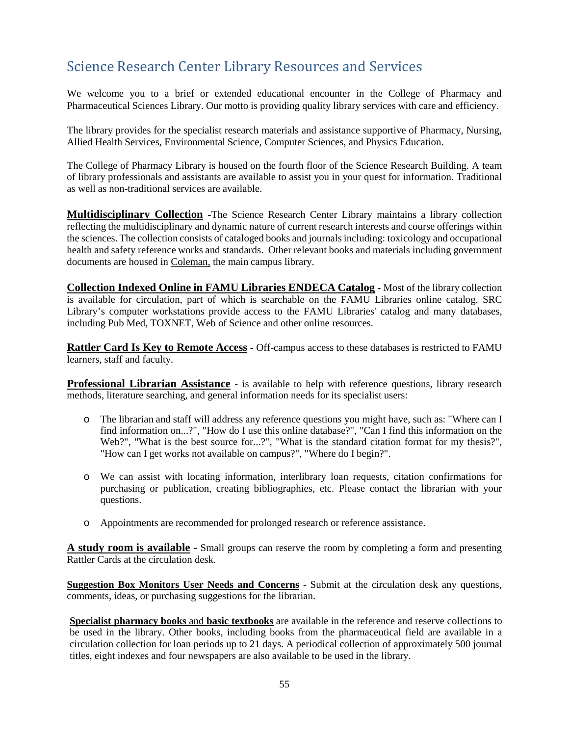## <span id="page-54-0"></span>Science Research Center Library Resources and Services

We welcome you to a brief or extended educational encounter in the College of Pharmacy and Pharmaceutical Sciences Library. Our motto is providing quality library services with care and efficiency.

The library provides for the specialist research materials and assistance supportive of Pharmacy, Nursing, Allied Health Services, Environmental Science, Computer Sciences, and Physics Education.

The College of Pharmacy Library is housed on the fourth floor of the Science Research Building. A team of library professionals and assistants are available to assist you in your quest for information. Traditional as well as non-traditional services are available.

**Multidisciplinary Collection -**The Science Research Center Library maintains a library collection reflecting the multidisciplinary and dynamic nature of current research interests and course offerings within the sciences. The collection consists of cataloged books and journals including: toxicology and occupational health and safety reference works and standards. Other relevant books and materials including government documents are housed in [Coleman,](http://www.hslib.washington.edu/) the main campus library.

**Collection Indexed Online in FAMU Libraries ENDECA Catalog -** Most of the library collection is available for circulation, part of which is searchable on the FAMU Libraries online catalog. SRC Library's computer workstations provide access to the FAMU Libraries' catalog and many databases, including Pub Med, TOXNET, Web of Science and other online resources.

**Rattler Card Is Key to Remote Access -** Off-campus access to these databases is restricted to FAMU learners, staff and faculty.

**Professional Librarian Assistance -** is available to help with reference questions, library research methods, literature searching, and general information needs for its specialist users:

- o The librarian and staff will address any reference questions you might have, such as: "Where can I find information on...?", "How do I use this online database?", "Can I find this information on the Web?", "What is the best source for...?", "What is the standard citation format for my thesis?", "How can I get works not available on campus?", "Where do I begin?".
- o We can assist with locating information, interlibrary loan requests, citation confirmations for purchasing or publication, creating bibliographies, etc. Please contact the librarian with your questions.
- o Appointments are recommended for prolonged research or reference assistance.

**A study room is available -** Small groups can reserve the room by completing a form and presenting Rattler Cards at the circulation desk.

**Suggestion Box Monitors User Needs and Concerns** - Submit at the circulation desk any questions, comments, ideas, or purchasing suggestions for the librarian.

**Specialist pharmacy books** and **basic textbooks** are available in the reference and reserve collections to be used in the library. Other books, including books from the pharmaceutical field are available in a circulation collection for loan periods up to 21 days. A periodical collection of approximately 500 journal titles, eight indexes and four newspapers are also available to be used in the library.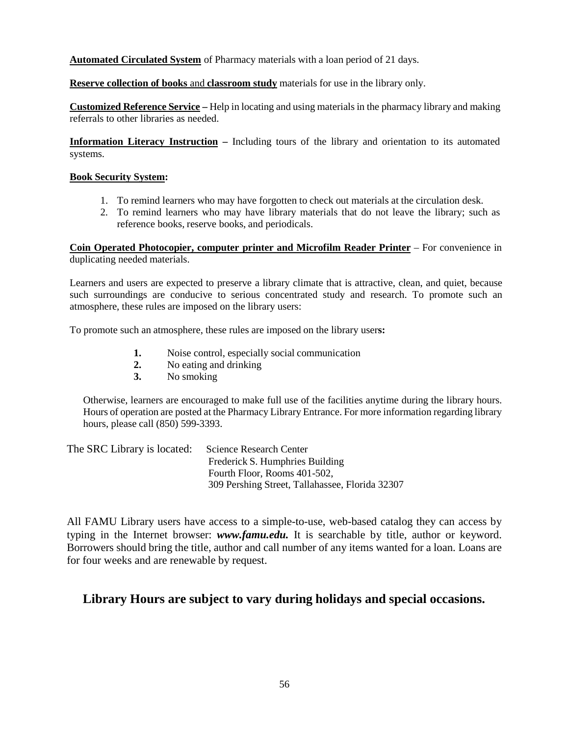**Automated Circulated System** of Pharmacy materials with a loan period of 21 days.

**Reserve collection of books** and **classroom study** materials for use in the library only.

**Customized Reference Service –** Help in locating and using materials in the pharmacy library and making referrals to other libraries as needed.

**Information Literacy Instruction –** Including tours of the library and orientation to its automated systems.

#### **Book Security System:**

- 1. To remind learners who may have forgotten to check out materials at the circulation desk.
- 2. To remind learners who may have library materials that do not leave the library; such as reference books, reserve books, and periodicals.

**Coin Operated Photocopier, computer printer and Microfilm Reader Printer** – For convenience in duplicating needed materials.

Learners and users are expected to preserve a library climate that is attractive, clean, and quiet, because such surroundings are conducive to serious concentrated study and research. To promote such an atmosphere, these rules are imposed on the library users:

To promote such an atmosphere, these rules are imposed on the library user**s:**

- **1.** Noise control, especially social communication<br> **2.** No eating and drinking
- **2.** No eating and drinking
- **3.** No smoking

Otherwise, learners are encouraged to make full use of the facilities anytime during the library hours. Hours of operation are posted at the Pharmacy Library Entrance. For more information regarding library hours, please call (850) 599-3393.

| The SRC Library is located: | Science Research Center                         |
|-----------------------------|-------------------------------------------------|
|                             | Frederick S. Humphries Building                 |
|                             | Fourth Floor, Rooms 401-502,                    |
|                             | 309 Pershing Street, Tallahassee, Florida 32307 |

All FAMU Library users have access to a simple-to-use, web-based catalog they can access by typing in the Internet browser: *[www.famu.edu.](http://www.famu.edu/)* It is searchable by title, author or keyword. Borrowers should bring the title, author and call number of any items wanted for a loan. Loans are for four weeks and are renewable by request.

#### **Library Hours are subject to vary during holidays and special occasions.**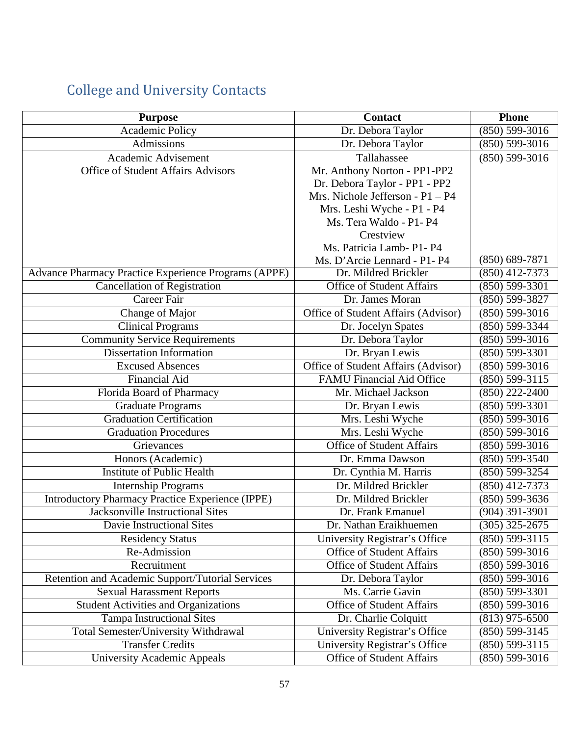## College and University Contacts

<span id="page-56-0"></span>

| <b>Purpose</b>                                          | <b>Contact</b>                      | <b>Phone</b>                    |
|---------------------------------------------------------|-------------------------------------|---------------------------------|
| Academic Policy                                         | Dr. Debora Taylor                   | $(850) 599 - 3016$              |
| Admissions                                              | Dr. Debora Taylor                   | $(850) 599 - 3016$              |
| Academic Advisement                                     | Tallahassee                         | $(850) 599 - 3016$              |
| <b>Office of Student Affairs Advisors</b>               | Mr. Anthony Norton - PP1-PP2        |                                 |
|                                                         | Dr. Debora Taylor - PP1 - PP2       |                                 |
|                                                         | Mrs. Nichole Jefferson - $P1 - P4$  |                                 |
|                                                         | Mrs. Leshi Wyche - P1 - P4          |                                 |
|                                                         | Ms. Tera Waldo - P1- P4             |                                 |
|                                                         | Crestview                           |                                 |
|                                                         | Ms. Patricia Lamb- P1- P4           |                                 |
|                                                         | Ms. D'Arcie Lennard - P1- P4        | $(850) 689 - 7871$              |
| Advance Pharmacy Practice Experience Programs (APPE)    | Dr. Mildred Brickler                | $(850)$ 412-7373                |
| <b>Cancellation of Registration</b>                     | <b>Office of Student Affairs</b>    | $(850) 599 - 3301$              |
| Career Fair                                             | Dr. James Moran                     | $(850) 599 - 3827$              |
| Change of Major                                         | Office of Student Affairs (Advisor) | $(850) 599 - 3016$              |
| <b>Clinical Programs</b>                                | Dr. Jocelyn Spates                  | $(850) 599 - 3344$              |
| <b>Community Service Requirements</b>                   | Dr. Debora Taylor                   | $(850) 599 - 3016$              |
| <b>Dissertation Information</b>                         | Dr. Bryan Lewis                     | $(850) 599 - 3301$              |
| <b>Excused Absences</b>                                 | Office of Student Affairs (Advisor) | $(850) 599 - 3016$              |
| <b>Financial Aid</b>                                    | <b>FAMU Financial Aid Office</b>    | $(850) 599 - 3115$              |
| Florida Board of Pharmacy                               | Mr. Michael Jackson                 | $(850)$ 222-2400                |
| <b>Graduate Programs</b>                                | Dr. Bryan Lewis                     | $\overline{(850) 599}$ -3301    |
| <b>Graduation Certification</b>                         | Mrs. Leshi Wyche                    | $(850) 599 - 3016$              |
| <b>Graduation Procedures</b>                            | Mrs. Leshi Wyche                    | $(850) 599 - 3016$              |
| Grievances                                              | <b>Office of Student Affairs</b>    | $(850) 599-3016$                |
| Honors (Academic)                                       | Dr. Emma Dawson                     | $(850) 599 - 3540$              |
| <b>Institute of Public Health</b>                       | Dr. Cynthia M. Harris               | (850) 599-3254                  |
| <b>Internship Programs</b>                              | Dr. Mildred Brickler                | $(850)$ 412-7373                |
| <b>Introductory Pharmacy Practice Experience (IPPE)</b> | Dr. Mildred Brickler                | $(850)$ 599-3636                |
| <b>Jacksonville Instructional Sites</b>                 | Dr. Frank Emanuel                   | $(904)$ 391-3901                |
| Davie Instructional Sites                               | Dr. Nathan Eraikhuemen              | $\overline{(305)325\cdot 2675}$ |
| <b>Residency Status</b>                                 | University Registrar's Office       | $(850)$ 599-3115                |
| Re-Admission                                            | <b>Office of Student Affairs</b>    | $(850) 599 - 3016$              |
| Recruitment                                             | <b>Office of Student Affairs</b>    | $(850) 599 - 3016$              |
| Retention and Academic Support/Tutorial Services        | Dr. Debora Taylor                   | $(850) 599 - 3016$              |
| <b>Sexual Harassment Reports</b>                        | Ms. Carrie Gavin                    | $(850) 599 - 3301$              |
| <b>Student Activities and Organizations</b>             | <b>Office of Student Affairs</b>    | $(850)$ 599-3016                |
| <b>Tampa Instructional Sites</b>                        | Dr. Charlie Colquitt                | $(813)$ 975-6500                |
| Total Semester/University Withdrawal                    | University Registrar's Office       | $(850) 599 - 3145$              |
| <b>Transfer Credits</b>                                 | University Registrar's Office       | $(850) 599 - 3115$              |
| <b>University Academic Appeals</b>                      | Office of Student Affairs           | $(850) 599 - 3016$              |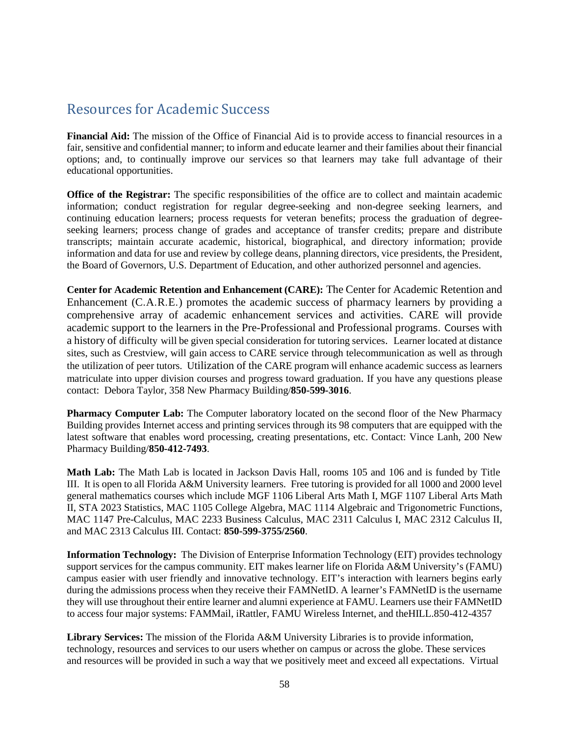### <span id="page-57-0"></span>Resources for Academic Success

**Financial Aid:** The mission of the Office of Financial Aid is to provide access to financial resources in a fair, sensitive and confidential manner; to inform and educate learner and their families about their financial options; and, to continually improve our services so that learners may take full advantage of their educational opportunities.

**Office of the Registrar:** The specific responsibilities of the office are to collect and maintain academic information; conduct registration for regular degree-seeking and non-degree seeking learners, and continuing education learners; process requests for veteran benefits; process the graduation of degreeseeking learners; process change of grades and acceptance of transfer credits; prepare and distribute transcripts; maintain accurate academic, historical, biographical, and directory information; provide information and data for use and review by college deans, planning directors, vice presidents, the President, the Board of Governors, U.S. Department of Education, and other authorized personnel and agencies.

**Center for Academic Retention and Enhancement (CARE):** The Center for Academic Retention and Enhancement (C.A.R.E.) promotes the academic success of pharmacy learners by providing a comprehensive array of academic enhancement services and activities. CARE will provide academic support to the learners in the Pre-Professional and Professional programs. Courses with a history of difficulty will be given special consideration for tutoring services. Learner located at distance sites, such as Crestview, will gain access to CARE service through telecommunication as well as through the utilization of peer tutors. Utilization of the CARE program will enhance academic success as learners matriculate into upper division courses and progress toward graduation. If you have any questions please contact: Debora Taylor, 358 New Pharmacy Building/**850-599-3016**.

**Pharmacy Computer Lab:** The Computer laboratory located on the second floor of the New Pharmacy Building provides Internet access and printing services through its 98 computers that are equipped with the latest software that enables word processing, creating presentations, etc. Contact: Vince Lanh, 200 New Pharmacy Building/**850-412-7493**.

**Math Lab:** The Math Lab is located in Jackson Davis Hall, rooms 105 and 106 and is funded by Title III. It is open to all Florida A&M University learners. Free tutoring is provided for all 1000 and 2000 level general mathematics courses which include MGF 1106 Liberal Arts Math I, MGF 1107 Liberal Arts Math II, STA 2023 Statistics, MAC 1105 College Algebra, MAC 1114 Algebraic and Trigonometric Functions, MAC 1147 Pre-Calculus, MAC 2233 Business Calculus, MAC 2311 Calculus I, MAC 2312 Calculus II, and MAC 2313 Calculus III. Contact: **850-599-3755/2560**.

**Information Technology:** The Division of Enterprise Information Technology (EIT) provides technology support services for the campus community. EIT makes learner life on Florida A&M University's (FAMU) campus easier with user friendly and innovative technology. EIT's interaction with learners begins early during the admissions process when they receive their FAMNetID. A learner's FAMNetID is the username they will use throughout their entire learner and alumni experience at FAMU. Learners use their FAMNetID to access four major systems: FAMMail, iRattler, FAMU Wireless Internet, and theHILL.850-412-4357

**Library Services:** The mission of the Florida A&M University Libraries is to provide information, technology, resources and services to our users whether on campus or across the globe. These services and resources will be provided in such a way that we positively meet and exceed all expectations. Virtual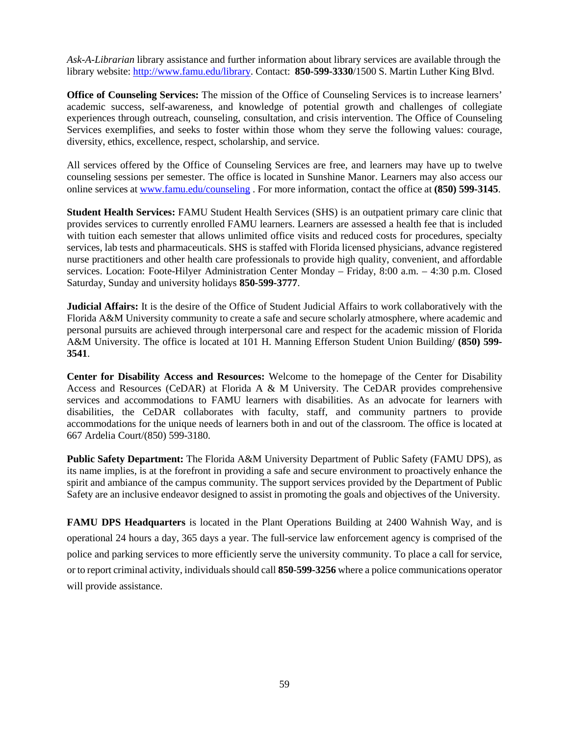*Ask-A-Librarian* library assistance and further information about library services are available through the library website: [http://www.famu.edu/library.](http://www.famu.edu/library) Contact: **850-599-3330**/1500 S. Martin Luther King Blvd.

**Office of Counseling Services:** The mission of the Office of Counseling Services is to increase learners' academic success, self-awareness, and knowledge of potential growth and challenges of collegiate experiences through outreach, counseling, consultation, and crisis intervention. The Office of Counseling Services exemplifies, and seeks to foster within those whom they serve the following values: courage, diversity, ethics, excellence, respect, scholarship, and service.

All services offered by the Office of Counseling Services are free, and learners may have up to twelve counseling sessions per semester. The office is located in Sunshine Manor. Learners may also access our online services at [www.famu.edu/counseling](http://www.famu.edu/counseling) . For more information, contact the office at **(850) 599-3145**.

**Student Health Services:** FAMU Student Health Services (SHS) is an outpatient primary care clinic that provides services to currently enrolled FAMU learners. Learners are assessed a health fee that is included with tuition each semester that allows unlimited office visits and reduced costs for procedures, specialty services, lab tests and pharmaceuticals. SHS is staffed with Florida licensed physicians, advance registered nurse practitioners and other health care professionals to provide high quality, convenient, and affordable services. Location: Foote-Hilyer Administration Center Monday – Friday, 8:00 a.m. – 4:30 p.m. Closed Saturday, Sunday and university holidays **850-599-3777**.

**Judicial Affairs:** It is the desire of the Office of Student Judicial Affairs to work collaboratively with the Florida A&M University community to create a safe and secure scholarly atmosphere, where academic and personal pursuits are achieved through interpersonal care and respect for the academic mission of Florida A&M University. The office is located at 101 H. Manning Efferson Student Union Building/ **(850) 599- 3541**.

**Center for Disability Access and Resources:** Welcome to the homepage of the Center for Disability Access and Resources (CeDAR) at Florida A & M University. The CeDAR provides comprehensive services and accommodations to FAMU learners with disabilities. As an advocate for learners with disabilities, the CeDAR collaborates with faculty, staff, and community partners to provide accommodations for the unique needs of learners both in and out of the classroom. The office is located at 667 Ardelia Court/(850) 599-3180.

**Public Safety Department:** The Florida A&M University Department of Public Safety (FAMU DPS), as its name implies, is at the forefront in providing a safe and secure environment to proactively enhance the spirit and ambiance of the campus community. The support services provided by the Department of Public Safety are an inclusive endeavor designed to assist in promoting the goals and objectives of the University.

**FAMU DPS Headquarters** is located in the Plant Operations Building at 2400 Wahnish Way, and is operational 24 hours a day, 365 days a year. The full-service law enforcement agency is comprised of the police and parking services to more efficiently serve the university community. To place a call for service, or to report criminal activity, individuals should call 850-599-3256 where a police communications operator will provide assistance.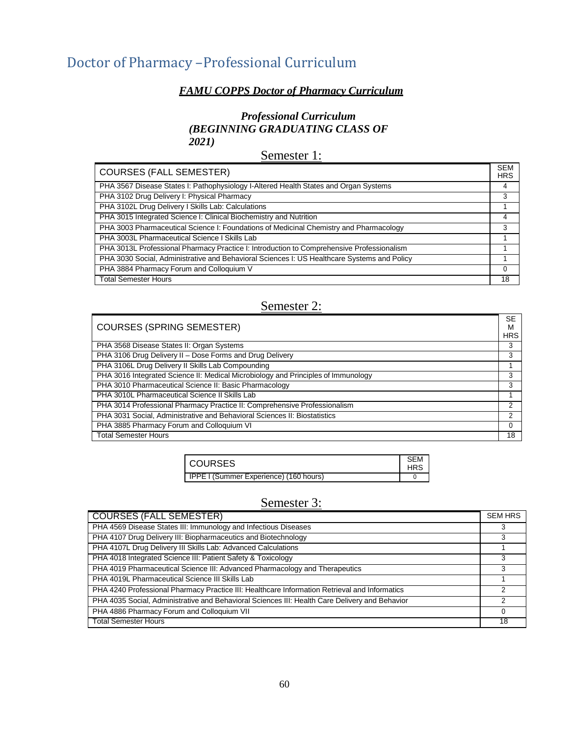## <span id="page-59-0"></span>Doctor of Pharmacy –Professional Curriculum

#### *FAMU COPPS Doctor of Pharmacy Curriculum*

#### *Professional Curriculum (BEGINNING GRADUATING CLASS OF 2021)*

Semester 1:

| <b>COURSES (FALL SEMESTER)</b>                                                              | <b>SEM</b><br><b>HRS</b> |
|---------------------------------------------------------------------------------------------|--------------------------|
| PHA 3567 Disease States I: Pathophysiology I-Altered Health States and Organ Systems        |                          |
| PHA 3102 Drug Delivery I: Physical Pharmacy                                                 |                          |
| PHA 3102L Drug Delivery I Skills Lab: Calculations                                          |                          |
| PHA 3015 Integrated Science I: Clinical Biochemistry and Nutrition                          |                          |
| PHA 3003 Pharmaceutical Science I: Foundations of Medicinal Chemistry and Pharmacology      |                          |
| PHA 3003L Pharmaceutical Science I Skills Lab                                               |                          |
| PHA 3013L Professional Pharmacy Practice I: Introduction to Comprehensive Professionalism   |                          |
| PHA 3030 Social, Administrative and Behavioral Sciences I: US Healthcare Systems and Policy |                          |
| PHA 3884 Pharmacy Forum and Colloquium V                                                    | 0                        |
| <b>Total Semester Hours</b>                                                                 | 18                       |

### Semester 2:

| <b>COURSES (SPRING SEMESTER)</b>                                                  | <b>SE</b><br>M |
|-----------------------------------------------------------------------------------|----------------|
|                                                                                   | <b>HRS</b>     |
| PHA 3568 Disease States II: Organ Systems                                         | 3              |
| PHA 3106 Drug Delivery II - Dose Forms and Drug Delivery                          | 3              |
| PHA 3106L Drug Delivery II Skills Lab Compounding                                 |                |
| PHA 3016 Integrated Science II: Medical Microbiology and Principles of Immunology | 3              |
| PHA 3010 Pharmaceutical Science II: Basic Pharmacology                            | 3              |
| PHA 3010L Pharmaceutical Science II Skills Lab                                    |                |
| PHA 3014 Professional Pharmacy Practice II: Comprehensive Professionalism         | 2              |
| PHA 3031 Social, Administrative and Behavioral Sciences II: Biostatistics         | 2              |
| PHA 3885 Pharmacy Forum and Colloquium VI                                         | 0              |
| <b>Total Semester Hours</b>                                                       | 18             |

| <b>COURSES</b>                                | SEM<br>HRS |
|-----------------------------------------------|------------|
| <b>IPPE I (Summer Experience) (160 hours)</b> |            |

### Semester 3:

| COURSES (FALL SEMESTER)                                                                        | <b>SEM HRS</b> |
|------------------------------------------------------------------------------------------------|----------------|
| PHA 4569 Disease States III: Immunology and Infectious Diseases                                |                |
| PHA 4107 Drug Delivery III: Biopharmaceutics and Biotechnology                                 |                |
| PHA 4107L Drug Delivery III Skills Lab: Advanced Calculations                                  |                |
| PHA 4018 Integrated Science III: Patient Safety & Toxicology                                   |                |
| PHA 4019 Pharmaceutical Science III: Advanced Pharmacology and Therapeutics                    |                |
| PHA 4019L Pharmaceutical Science III Skills Lab                                                |                |
| PHA 4240 Professional Pharmacy Practice III: Healthcare Information Retrieval and Informatics  | 2              |
| PHA 4035 Social, Administrative and Behavioral Sciences III: Health Care Delivery and Behavior | 2              |
| PHA 4886 Pharmacy Forum and Colloquium VII                                                     | 0              |
| <b>Total Semester Hours</b>                                                                    | 18             |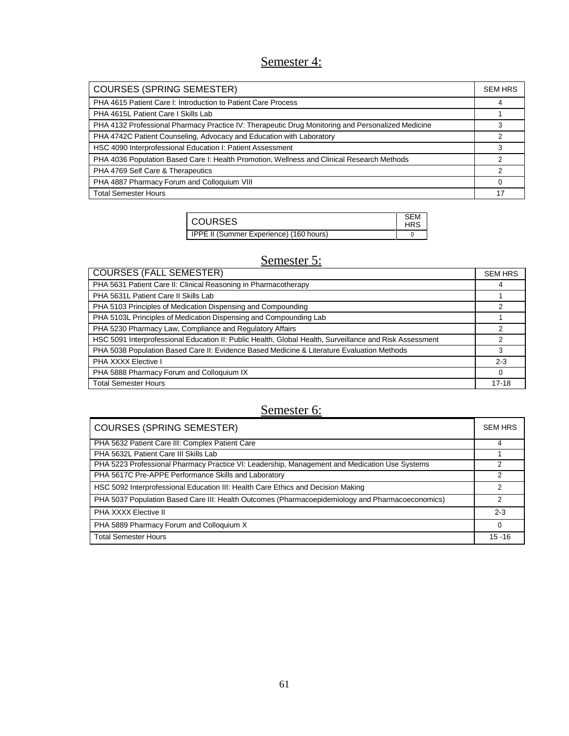## Semester 4:

| <b>COURSES (SPRING SEMESTER)</b>                                                                  | <b>SEM HRS</b> |
|---------------------------------------------------------------------------------------------------|----------------|
| PHA 4615 Patient Care I: Introduction to Patient Care Process                                     | 4              |
| PHA 4615L Patient Care I Skills Lab                                                               |                |
| PHA 4132 Professional Pharmacy Practice IV: Therapeutic Drug Monitoring and Personalized Medicine |                |
| PHA 4742C Patient Counseling, Advocacy and Education with Laboratory                              | 2              |
| HSC 4090 Interprofessional Education I: Patient Assessment                                        | 3              |
| PHA 4036 Population Based Care I: Health Promotion, Wellness and Clinical Research Methods        | 2              |
| PHA 4769 Self Care & Therapeutics                                                                 | 2              |
| PHA 4887 Pharmacy Forum and Colloquium VIII                                                       |                |
| <b>Total Semester Hours</b>                                                                       | 17             |

| COURSES                                 | <b>SEM</b><br><b>HRS</b> |
|-----------------------------------------|--------------------------|
| IPPE II (Summer Experience) (160 hours) |                          |

## Semester 5:

| <b>COURSES (FALL SEMESTER)</b>                                                                          | <b>SEM HRS</b> |
|---------------------------------------------------------------------------------------------------------|----------------|
| PHA 5631 Patient Care II: Clinical Reasoning in Pharmacotherapy                                         | 4              |
| PHA 5631L Patient Care II Skills Lab                                                                    |                |
| PHA 5103 Principles of Medication Dispensing and Compounding                                            |                |
| PHA 5103L Principles of Medication Dispensing and Compounding Lab                                       |                |
| PHA 5230 Pharmacy Law, Compliance and Regulatory Affairs                                                |                |
| HSC 5091 Interprofessional Education II: Public Health, Global Health, Surveillance and Risk Assessment | $\mathcal{P}$  |
| PHA 5038 Population Based Care II: Evidence Based Medicine & Literature Evaluation Methods              | 3              |
| PHA XXXX Elective I                                                                                     | $2 - 3$        |
| PHA 5888 Pharmacy Forum and Colloquium IX                                                               | $\Omega$       |
| <b>Total Semester Hours</b>                                                                             | $17 - 18$      |

## Semester 6:

| Semester 6:                                                                                      |                |
|--------------------------------------------------------------------------------------------------|----------------|
| <b>COURSES (SPRING SEMESTER)</b>                                                                 | <b>SEM HRS</b> |
| PHA 5632 Patient Care III: Complex Patient Care                                                  |                |
| PHA 5632L Patient Care III Skills Lab                                                            |                |
| PHA 5223 Professional Pharmacy Practice VI: Leadership, Management and Medication Use Systems    | 2              |
| PHA 5617C Pre-APPE Performance Skills and Laboratory                                             | 2              |
| HSC 5092 Interprofessional Education III: Health Care Ethics and Decision Making                 | 2              |
| PHA 5037 Population Based Care III: Health Outcomes (Pharmacoepidemiology and Pharmacoeconomics) | 2              |
| PHA XXXX Elective II                                                                             | $2 - 3$        |
| PHA 5889 Pharmacy Forum and Colloquium X                                                         | $\Omega$       |
| <b>Total Semester Hours</b>                                                                      | $15 - 16$      |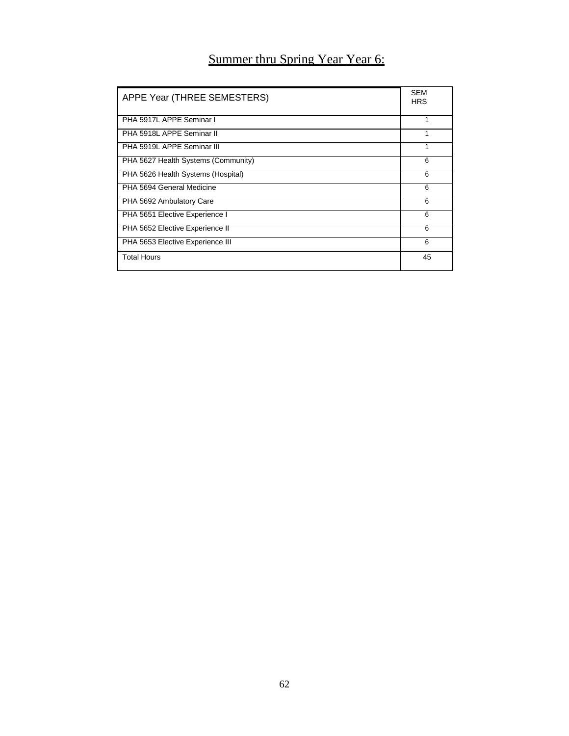## Summer thru Spring Year Year 6:

| APPE Year (THREE SEMESTERS)         | <b>SEM</b><br><b>HRS</b> |
|-------------------------------------|--------------------------|
| PHA 5917L APPE Seminar I            |                          |
| PHA 5918L APPE Seminar II           |                          |
| PHA 5919L APPE Seminar III          |                          |
| PHA 5627 Health Systems (Community) | 6                        |
| PHA 5626 Health Systems (Hospital)  | 6                        |
| PHA 5694 General Medicine           | 6                        |
| PHA 5692 Ambulatory Care            | 6                        |
| PHA 5651 Elective Experience I      | 6                        |
| PHA 5652 Elective Experience II     | 6                        |
| PHA 5653 Elective Experience III    | 6                        |
| <b>Total Hours</b>                  | 45                       |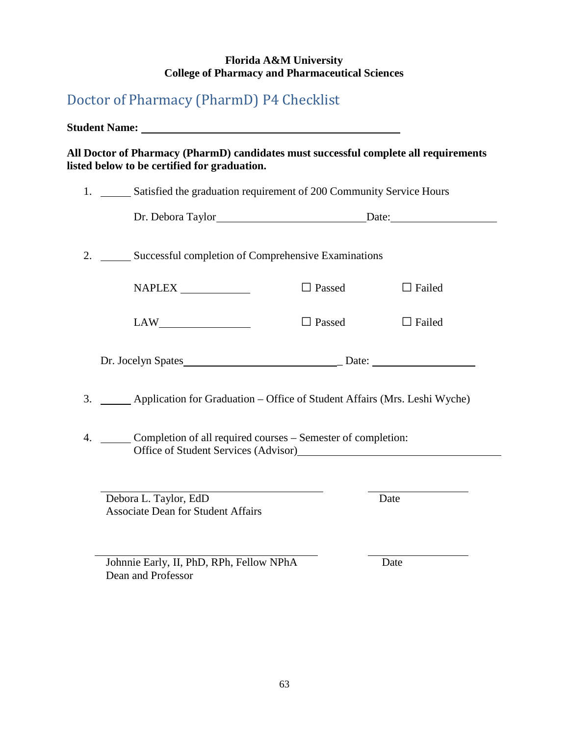#### **Florida A&M University College of Pharmacy and Pharmaceutical Sciences**

## <span id="page-62-0"></span>Doctor of Pharmacy (PharmD) P4 Checklist

Dean and Professor

**Student Name: All Doctor of Pharmacy (PharmD) candidates must successful complete all requirements listed below to be certified for graduation.** 1. Satisfied the graduation requirement of 200 Community Service Hours Dr. Debora Taylor Date: 2. Successful completion of Comprehensive Examinations NAPLEX  $LAW$  $\Box$  Passed  $\Box$  Failed □ Passed □ Failed Dr. Jocelyn Spates \_ Date: 3. Application for Graduation – Office of Student Affairs (Mrs. Leshi Wyche) 4. Completion of all required courses – Semester of completion: Office of Student Services (Advisor) Debora L. Taylor, EdD Date Associate Dean for Student Affairs Johnnie Early, II, PhD, RPh, Fellow NPhA Date